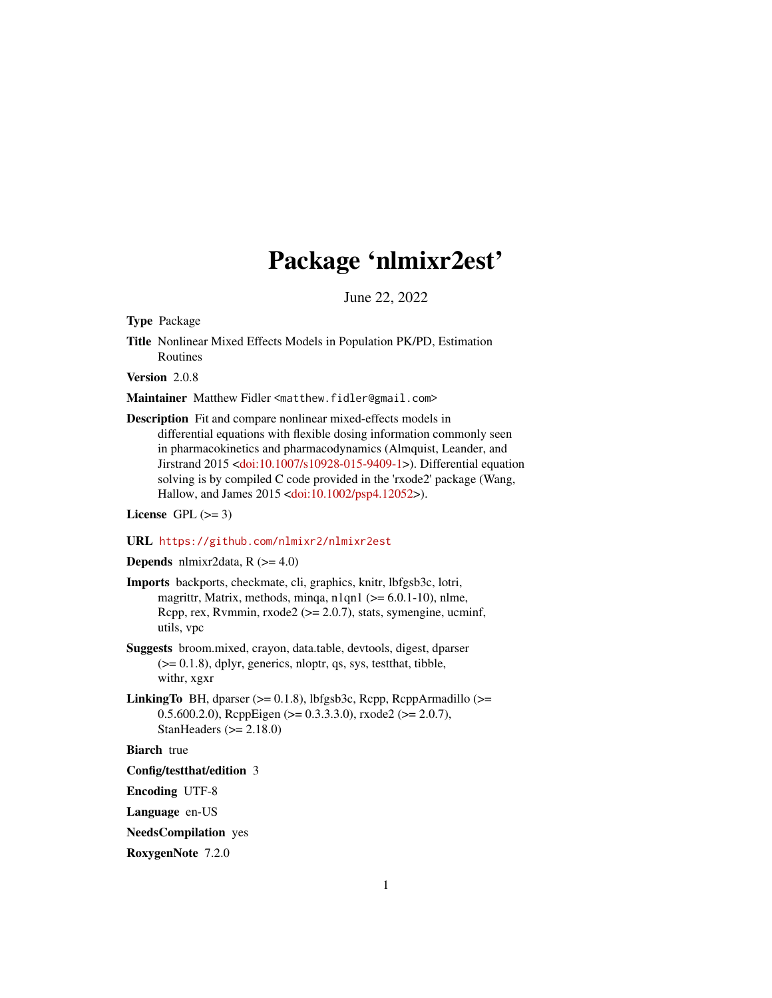# Package 'nlmixr2est'

June 22, 2022

<span id="page-0-0"></span>Type Package

Title Nonlinear Mixed Effects Models in Population PK/PD, Estimation Routines

Version 2.0.8

Maintainer Matthew Fidler <matthew.fidler@gmail.com>

Description Fit and compare nonlinear mixed-effects models in differential equations with flexible dosing information commonly seen in pharmacokinetics and pharmacodynamics (Almquist, Leander, and Jirstrand 2015 [<doi:10.1007/s10928-015-9409-1>](https://doi.org/10.1007/s10928-015-9409-1)). Differential equation solving is by compiled C code provided in the 'rxode2' package (Wang, Hallow, and James 2015 [<doi:10.1002/psp4.12052>](https://doi.org/10.1002/psp4.12052)).

License GPL  $(>= 3)$ 

#### URL <https://github.com/nlmixr2/nlmixr2est>

#### **Depends** nlmixr2data,  $R$  ( $>= 4.0$ )

- Imports backports, checkmate, cli, graphics, knitr, lbfgsb3c, lotri, magrittr, Matrix, methods, minqa, n1qn1 ( $>= 6.0.1-10$ ), nlme, Rcpp, rex, Rvmmin, rxode2 (>= 2.0.7), stats, symengine, ucminf, utils, vpc
- Suggests broom.mixed, crayon, data.table, devtools, digest, dparser  $(>= 0.1.8)$ , dplyr, generics, nloptr, qs, sys, test that, tibble, withr, xgxr
- LinkingTo BH, dparser (>= 0.1.8), lbfgsb3c, Rcpp, RcppArmadillo (>= 0.5.600.2.0), RcppEigen (>= 0.3.3.3.0), rxode2 (>= 2.0.7), StanHeaders  $(>= 2.18.0)$

**Biarch** true

Config/testthat/edition 3

Encoding UTF-8

Language en-US

NeedsCompilation yes

RoxygenNote 7.2.0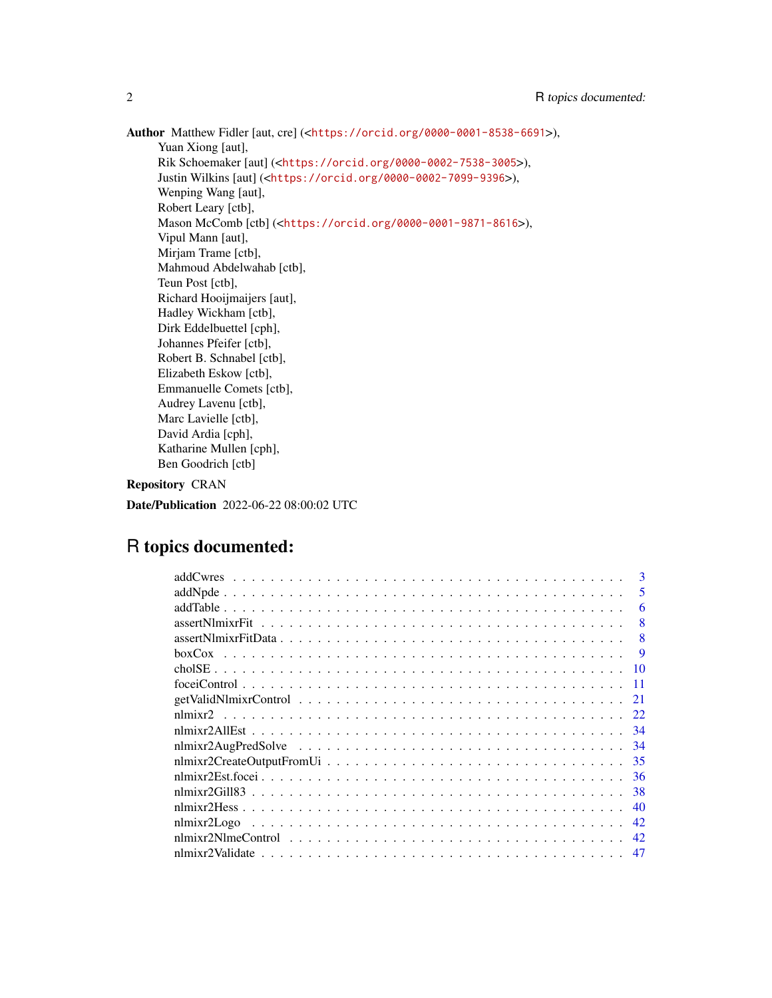Author Matthew Fidler [aut, cre] (<<https://orcid.org/0000-0001-8538-6691>>), Yuan Xiong [aut], Rik Schoemaker [aut] (<<https://orcid.org/0000-0002-7538-3005>>), Justin Wilkins [aut] (<<https://orcid.org/0000-0002-7099-9396>>), Wenping Wang [aut], Robert Leary [ctb], Mason McComb [ctb] (<<https://orcid.org/0000-0001-9871-8616>>), Vipul Mann [aut], Mirjam Trame [ctb], Mahmoud Abdelwahab [ctb], Teun Post [ctb], Richard Hooijmaijers [aut], Hadley Wickham [ctb], Dirk Eddelbuettel [cph], Johannes Pfeifer [ctb], Robert B. Schnabel [ctb], Elizabeth Eskow [ctb], Emmanuelle Comets [ctb], Audrey Lavenu [ctb], Marc Lavielle [ctb], David Ardia [cph], Katharine Mullen [cph], Ben Goodrich [ctb]

Repository CRAN

Date/Publication 2022-06-22 08:00:02 UTC

# R topics documented:

| 3                                                                                                                         |
|---------------------------------------------------------------------------------------------------------------------------|
| 5                                                                                                                         |
| 6                                                                                                                         |
| 8                                                                                                                         |
| 8<br>$assertNlmixFitData \dots \dots \dots \dots \dots \dots \dots \dots \dots \dots \dots \dots \dots \dots \dots \dots$ |
| 9                                                                                                                         |
| 10                                                                                                                        |
| 11                                                                                                                        |
| 21                                                                                                                        |
| 22                                                                                                                        |
| -34                                                                                                                       |
| -34                                                                                                                       |
| -35                                                                                                                       |
| 36                                                                                                                        |
| 38                                                                                                                        |
| 40                                                                                                                        |
| 42                                                                                                                        |
| 42                                                                                                                        |
| 47                                                                                                                        |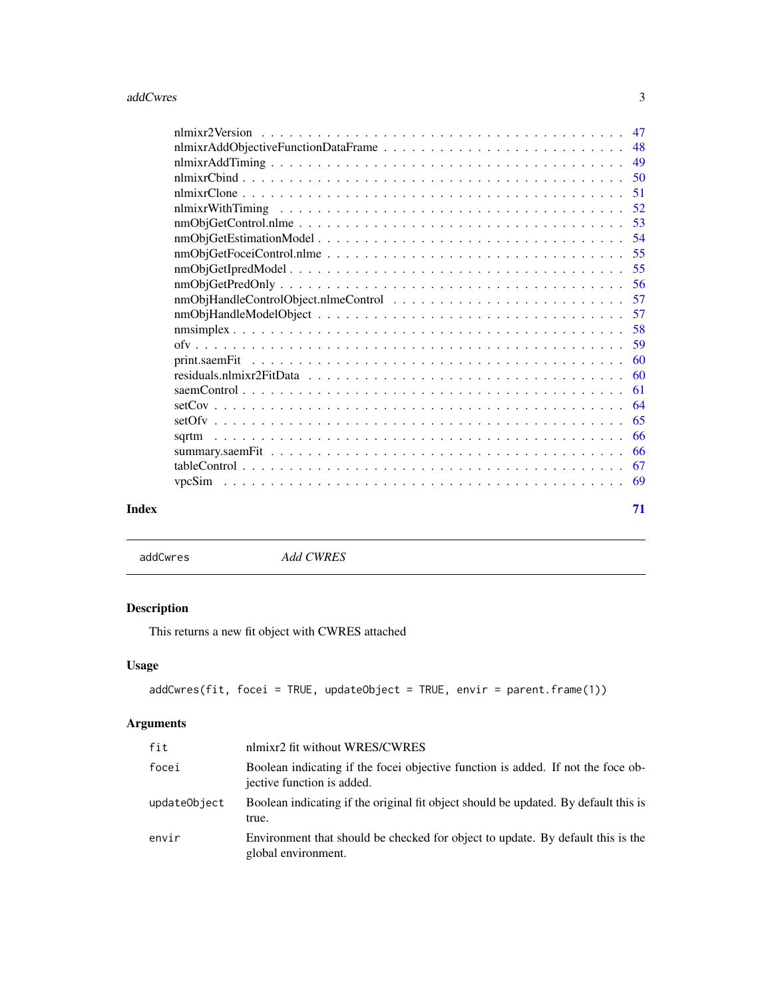<span id="page-2-0"></span>

| Index | 71 |
|-------|----|
|       |    |

addCwres *Add CWRES*

# Description

This returns a new fit object with CWRES attached

# Usage

```
addCwres(fit, focei = TRUE, updateObject = TRUE, envir = parent.frame(1))
```
# Arguments

| fit          | nlmixr2 fit without WRES/CWRES                                                                                 |
|--------------|----------------------------------------------------------------------------------------------------------------|
| focei        | Boolean indicating if the focei objective function is added. If not the foce ob-<br>jective function is added. |
| updateObject | Boolean indicating if the original fit object should be updated. By default this is<br>true.                   |
| envir        | Environment that should be checked for object to update. By default this is the<br>global environment.         |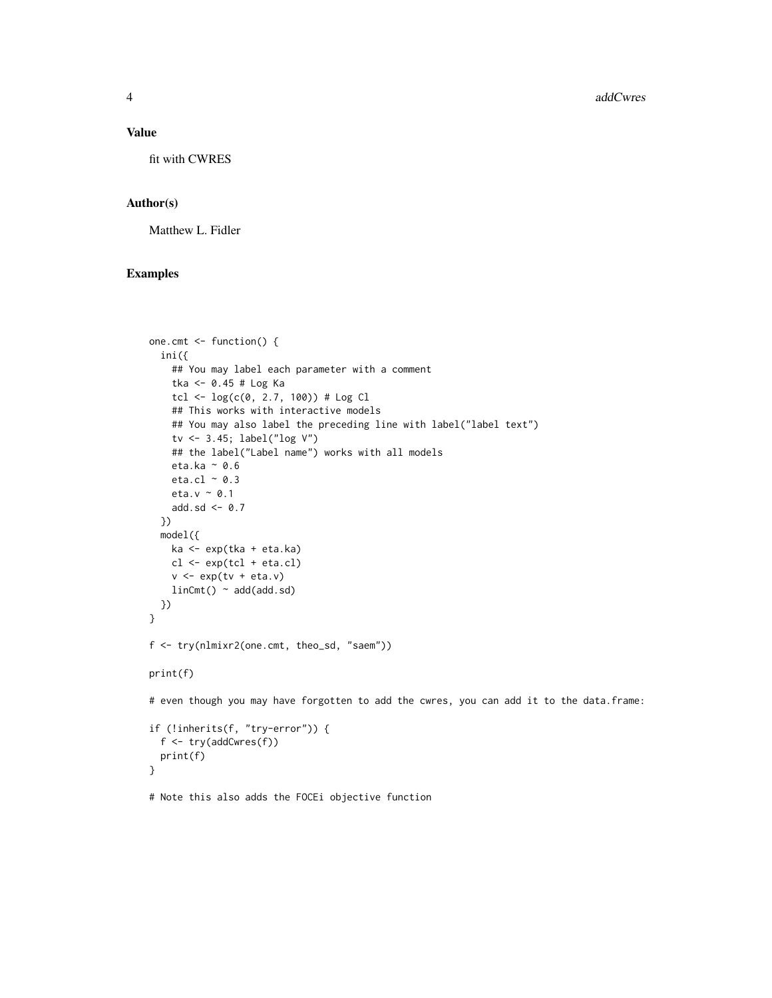#### Value

fit with CWRES

#### Author(s)

Matthew L. Fidler

# Examples

}

```
one.cmt <- function() {
  ini({
    ## You may label each parameter with a comment
    tka <- 0.45 # Log Ka
    tcl \leftarrow log(c(0, 2.7, 100)) # Log Cl
    ## This works with interactive models
    ## You may also label the preceding line with label("label text")
    tv <- 3.45; label("log V")
    ## the label("Label name") works with all models
    eta.ka ~ 0.6
    eta.cl ~ 0.3
    eta.v ~ 0.1
    add.sd <- 0.7
  })
  model({
    ka <- exp(tka + eta.ka)
   cl <- exp(tcl + eta.cl)
    v \leq -\exp(tv + \text{eta.v})linCmt() ~ ~ add(add.sd)})
}
f <- try(nlmixr2(one.cmt, theo_sd, "saem"))
print(f)
# even though you may have forgotten to add the cwres, you can add it to the data.frame:
if (!inherits(f, "try-error")) {
  f <- try(addCwres(f))
  print(f)
```
# Note this also adds the FOCEi objective function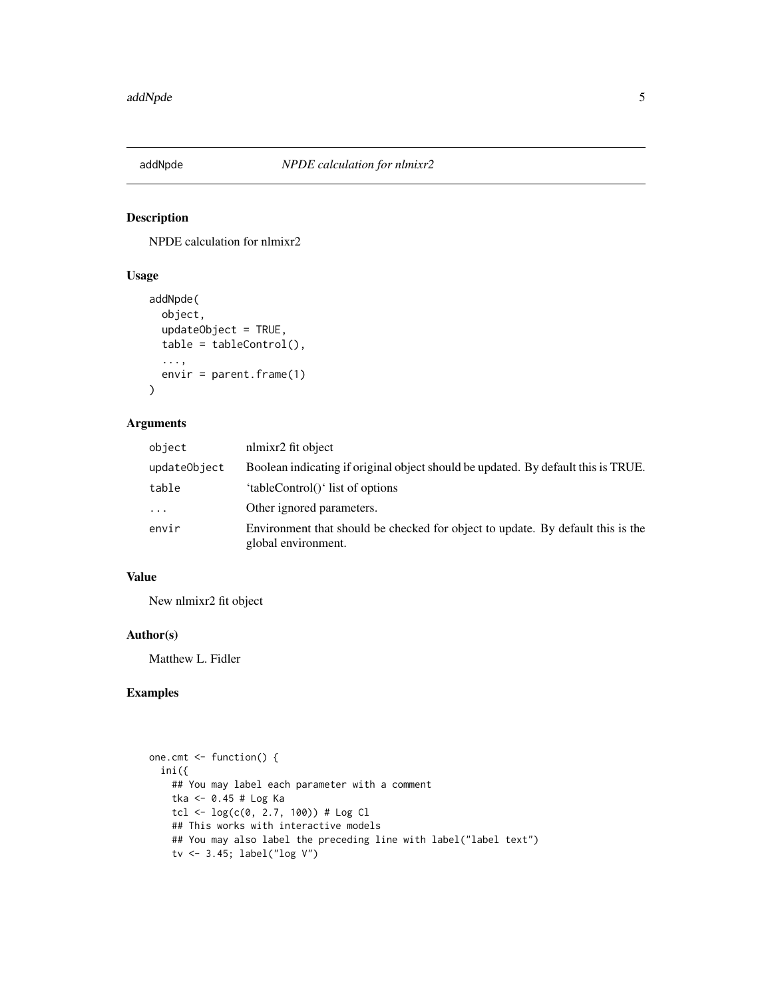<span id="page-4-0"></span>

# Description

NPDE calculation for nlmixr2

# Usage

```
addNpde(
  object,
  updateObject = TRUE,table = tableControl(),
  ...,
  envir = parent.frame(1)
\mathcal{L}
```
# Arguments

| object       | nlmixr2 fit object                                                                                     |
|--------------|--------------------------------------------------------------------------------------------------------|
| updateObject | Boolean indicating if original object should be updated. By default this is TRUE.                      |
| table        | 'tableControl()' list of options                                                                       |
| $\cdot$      | Other ignored parameters.                                                                              |
| envir        | Environment that should be checked for object to update. By default this is the<br>global environment. |

# Value

New nlmixr2 fit object

#### Author(s)

Matthew L. Fidler

# Examples

```
one.cmt <- function() {
  ini({
    ## You may label each parameter with a comment
   tka <- 0.45 # Log Ka
   tcl <- log(c(0, 2.7, 100)) # Log Cl
   ## This works with interactive models
   ## You may also label the preceding line with label("label text")
   tv <- 3.45; label("log V")
```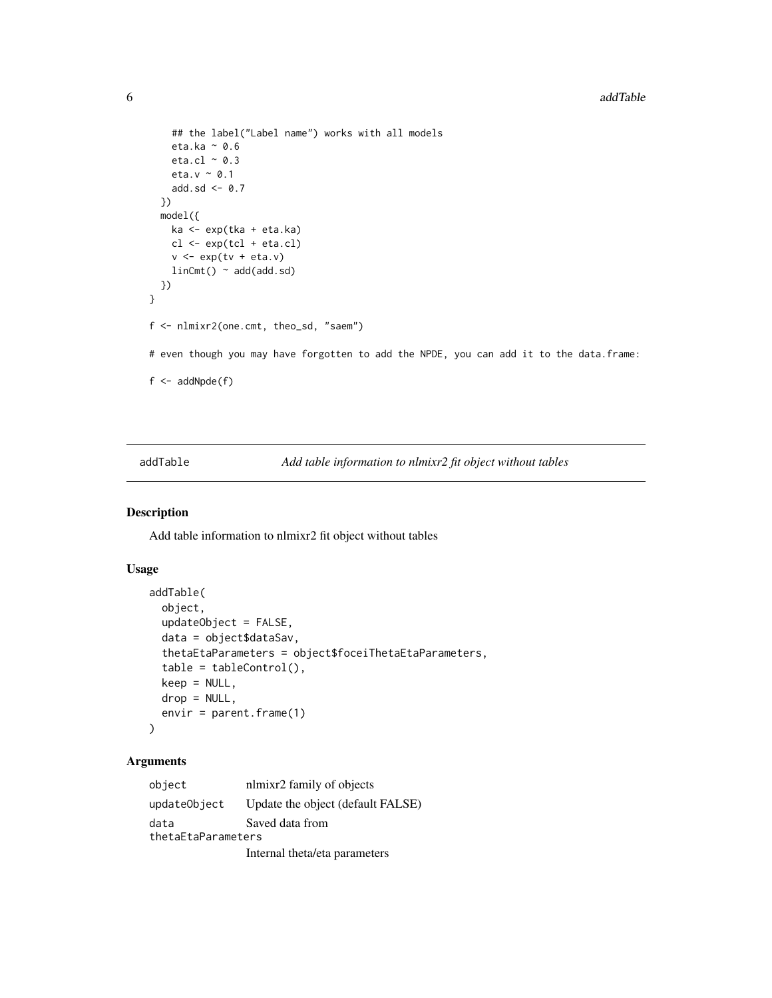```
## the label("Label name") works with all models
    eta.ka ~ 0.6
    eta.cl \sim 0.3
    eta.v \sim 0.1
    add.sd <- 0.7
  })
  model({
    ka <- exp(tka + eta.ka)
    cl <- exp(tcl + eta.cl)
    v \leftarrow \exp(tv + eta.v)linCmt() ~ ~ add(add.sd)})
}
f <- nlmixr2(one.cmt, theo_sd, "saem")
# even though you may have forgotten to add the NPDE, you can add it to the data.frame:
f \leftarrow addNpde(f)
```
addTable *Add table information to nlmixr2 fit object without tables*

# Description

Add table information to nlmixr2 fit object without tables

# Usage

```
addTable(
  object,
  updateObject = FALSE,
  data = object$dataSav,
  thetaEtaParameters = object$foceiThetaEtaParameters,
  table = tableControl(),
  keep = NULL,
  drop = NULL,
  envir = parent.frame(1)
)
```
# Arguments

| object             | nlmixr2 family of objects         |  |
|--------------------|-----------------------------------|--|
| updateObject       | Update the object (default FALSE) |  |
| data               | Saved data from                   |  |
| thetaEtaParameters |                                   |  |
|                    | Internal theta/eta parameters     |  |

<span id="page-5-0"></span>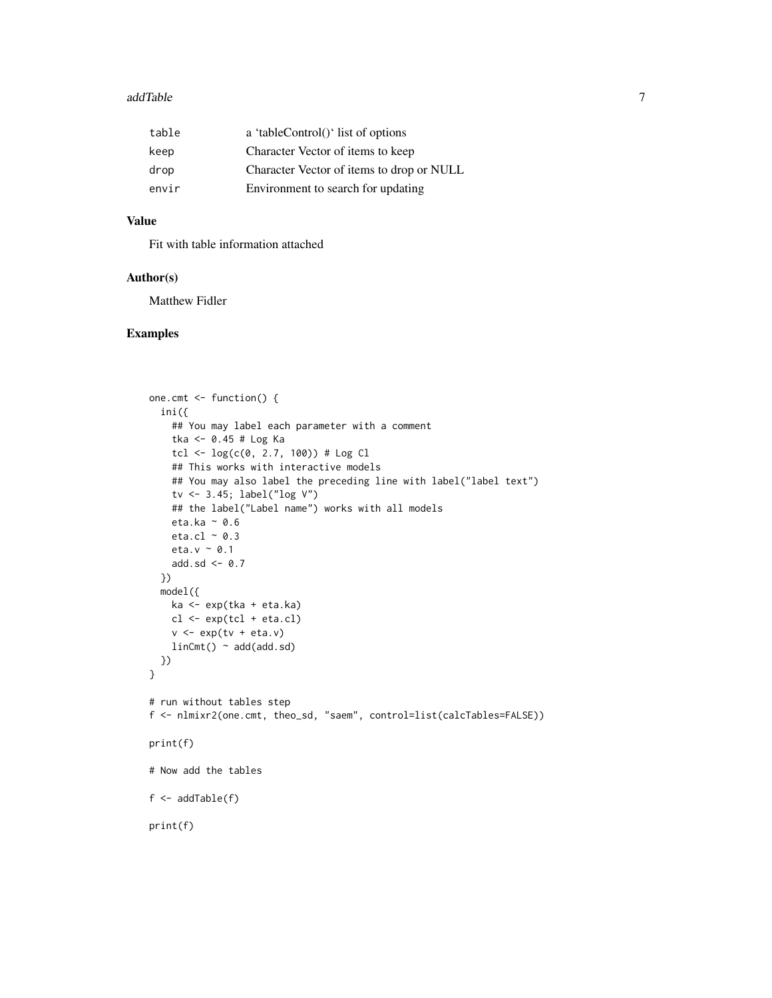#### addTable 7 and 7 and 7 and 7 and 7 and 7 and 7 and 7 and 7 and 7 and 7 and 7 and 7 and 7 and 7 and 7 and 7 and 7 and 7 and 7 and 7 and 7 and 7 and 7 and 7 and 7 and 7 and 7 and 7 and 7 and 7 and 7 and 7 and 7 and 7 and 7 a

| table | a 'tableControl()' list of options        |
|-------|-------------------------------------------|
| keep  | Character Vector of items to keep         |
| drop  | Character Vector of items to drop or NULL |
| envir | Environment to search for updating        |

# Value

Fit with table information attached

#### Author(s)

Matthew Fidler

#### Examples

```
one.cmt <- function() {
  ini({
    ## You may label each parameter with a comment
    tka <- 0.45 # Log Ka
    tcl <- log(c(0, 2.7, 100)) # Log Cl
    ## This works with interactive models
    ## You may also label the preceding line with label("label text")
    tv <- 3.45; label("log V")
    ## the label("Label name") works with all models
    eta.ka ~ 0.6
    eta.cl \sim 0.3
    eta.v ~ 0.1
    add.sd \leftarrow \emptyset.7})
  model({
    ka <- exp(tka + eta.ka)
   cl <- exp(tcl + eta.cl)
    v <- exp(tv + eta.v)
    linCmt() ~ ~ add(add.sd)})
}
# run without tables step
f <- nlmixr2(one.cmt, theo_sd, "saem", control=list(calcTables=FALSE))
print(f)
# Now add the tables
f \leftarrow addTable(f)print(f)
```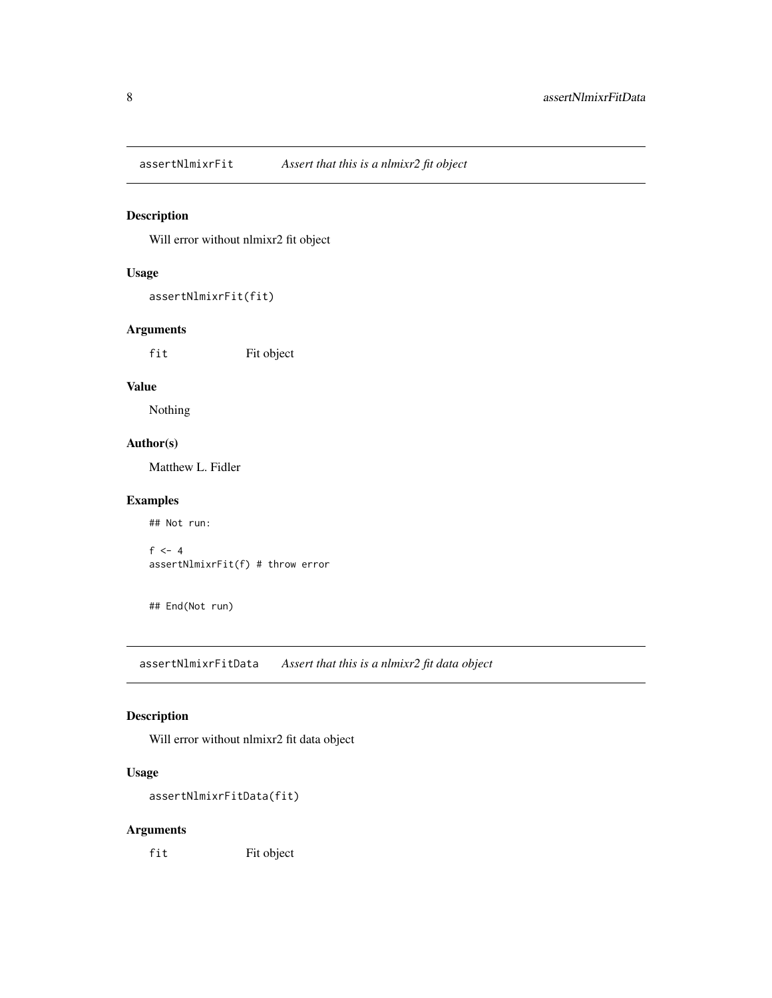<span id="page-7-0"></span>

# Description

Will error without nlmixr2 fit object

# Usage

```
assertNlmixrFit(fit)
```
# Arguments

fit Fit object

#### Value

Nothing

# Author(s)

Matthew L. Fidler

# Examples

## Not run:

```
f \leftarrow 4assertNlmixrFit(f) # throw error
```
## End(Not run)

assertNlmixrFitData *Assert that this is a nlmixr2 fit data object*

# Description

Will error without nlmixr2 fit data object

# Usage

```
assertNlmixrFitData(fit)
```
# Arguments

fit Fit object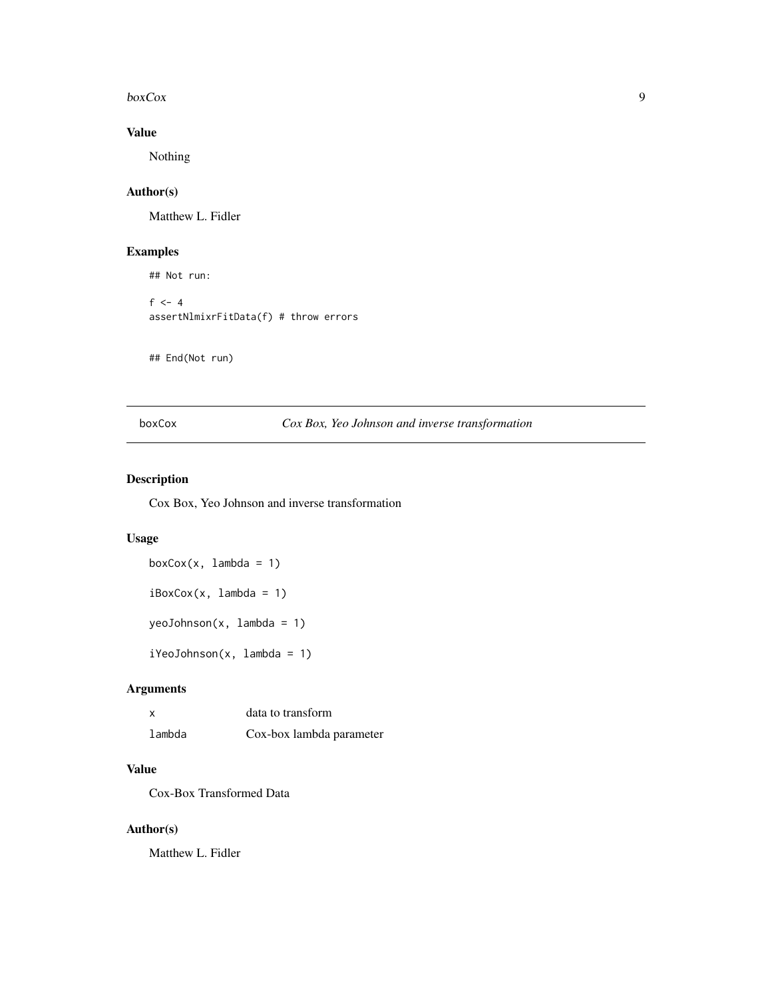#### <span id="page-8-0"></span> $b\alpha$ Cox  $\alpha$

# Value

Nothing

#### Author(s)

Matthew L. Fidler

# Examples

## Not run:  $f \leftarrow 4$ assertNlmixrFitData(f) # throw errors

## End(Not run)

# boxCox *Cox Box, Yeo Johnson and inverse transformation*

# Description

Cox Box, Yeo Johnson and inverse transformation

#### Usage

 $boxCox(x, lambda = 1)$  $iBoxCox(x, lambda = 1)$ yeoJohnson(x, lambda = 1) iYeoJohnson(x, lambda = 1)

# Arguments

| X      | data to transform        |
|--------|--------------------------|
| lambda | Cox-box lambda parameter |

# Value

Cox-Box Transformed Data

# Author(s)

Matthew L. Fidler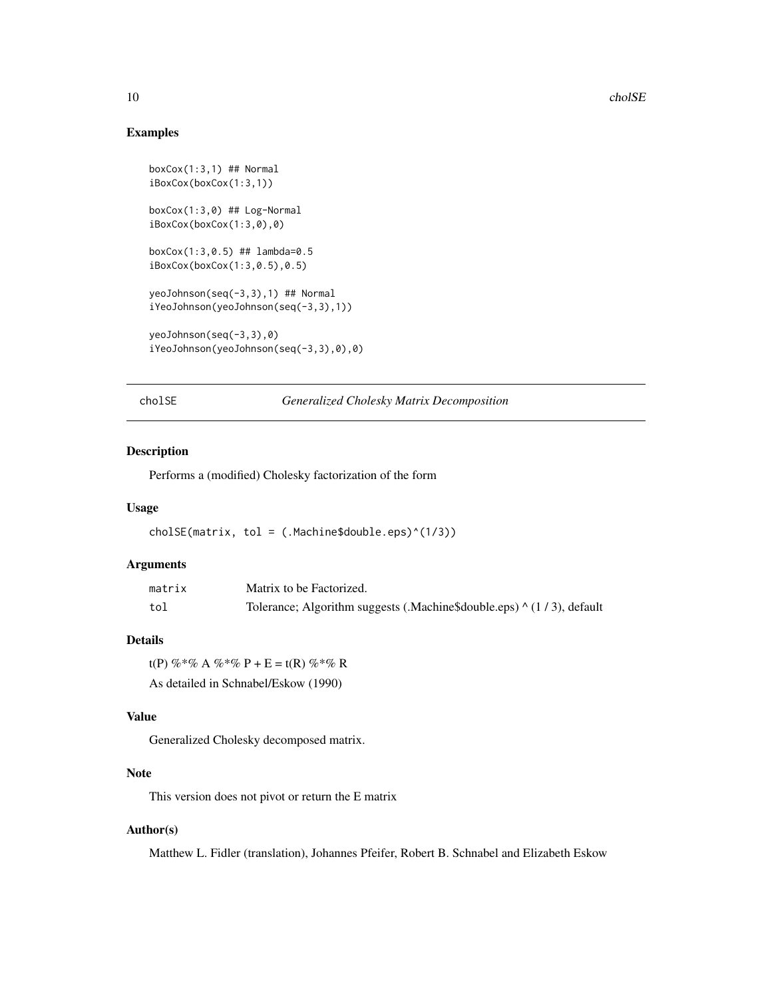#### Examples

```
boxCox(1:3,1) ## Normal
iBoxCox(boxCox(1:3,1))
boxCox(1:3,0) ## Log-Normal
iBoxCox(boxCox(1:3,0),0)
boxCox(1:3,0.5) ## lambda=0.5
iBoxCox(boxCox(1:3,0.5),0.5)
yeoJohnson(seq(-3,3),1) ## Normal
iYeoJohnson(yeoJohnson(seq(-3,3),1))
yeoJohnson(seq(-3,3),0)
iYeoJohnson(yeoJohnson(seq(-3,3),0),0)
```
cholSE *Generalized Cholesky Matrix Decomposition*

#### Description

Performs a (modified) Cholesky factorization of the form

#### Usage

 $cholSE(matrix, tol = (.Machine$double.eps)^(1/3))$ 

#### Arguments

| matrix | Matrix to be Factorized.                                              |
|--------|-----------------------------------------------------------------------|
| tol    | Tolerance; Algorithm suggests (.Machine\$double.eps) ^ (1/3), default |

# Details

t(P) %\*% A %\*% P + E = t(R) %\*% R As detailed in Schnabel/Eskow (1990)

# Value

Generalized Cholesky decomposed matrix.

# Note

This version does not pivot or return the E matrix

#### Author(s)

Matthew L. Fidler (translation), Johannes Pfeifer, Robert B. Schnabel and Elizabeth Eskow

<span id="page-9-0"></span>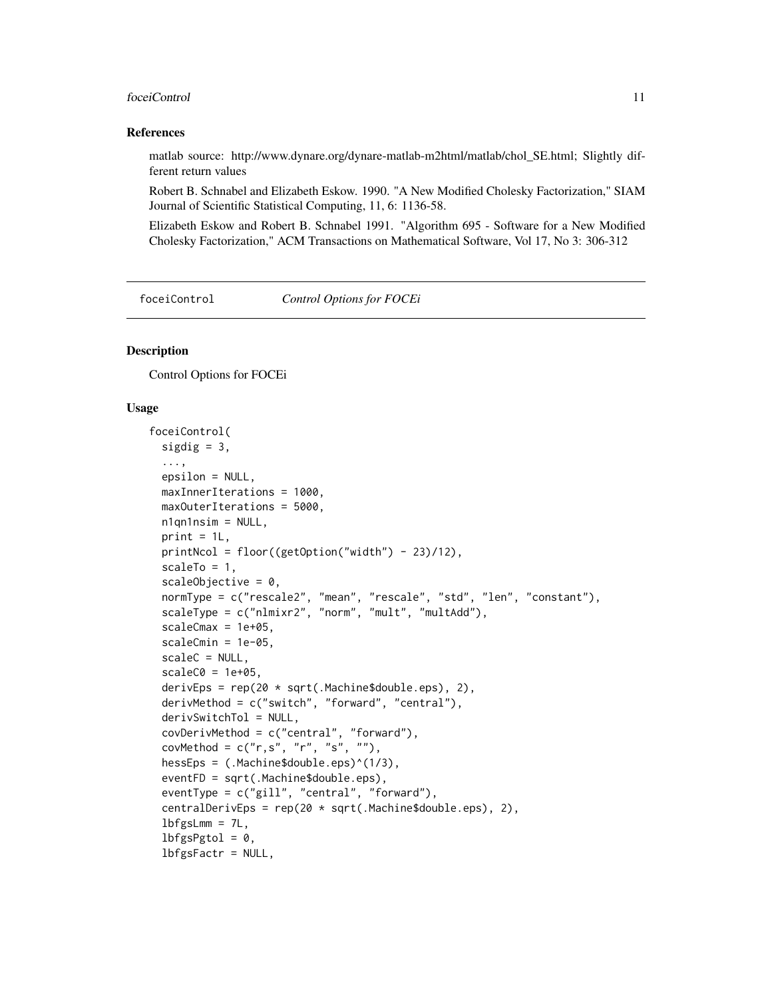#### <span id="page-10-0"></span>foceiControl 11

#### References

matlab source: http://www.dynare.org/dynare-matlab-m2html/matlab/chol\_SE.html; Slightly different return values

Robert B. Schnabel and Elizabeth Eskow. 1990. "A New Modified Cholesky Factorization," SIAM Journal of Scientific Statistical Computing, 11, 6: 1136-58.

Elizabeth Eskow and Robert B. Schnabel 1991. "Algorithm 695 - Software for a New Modified Cholesky Factorization," ACM Transactions on Mathematical Software, Vol 17, No 3: 306-312

#### foceiControl *Control Options for FOCEi*

# Description

Control Options for FOCEi

#### Usage

```
foceiControl(
  sigdig = 3,
  ...,
  epsilon = NULL,
  maxInnerIterations = 1000,
 maxOuterIterations = 5000,
 n1qn1nsim = NULL,
 print = 1L,
 printNcol = floor((getOption("width") - 23)/12),
  scaleTo = 1,
  scaleObjective = 0,
  normType = c("rescale2", "mean", "rescale", "std", "len", "constant"),
  scaleType = c("nlmixr2", "norm", "mult", "multAdd"),
  scaleCmax = 1e+05,
  scaleCmin = 1e-05,
  scaleC = NULL,
  scaleC0 = 1e+05,
  derivEps = rep(20 * sqrt(.Machine$double.eps), 2),derivMethod = c("switch", "forward", "central"),
  derivSwitchTol = NULL,
  covDerivMethod = c("central", "forward"),
  covMethod = c("r,s", "r", "s", ""),
  hessEps = (.Machine$double.eps)^(1/3),
  eventFD = sqrt(.Machine$double.eps),
  eventType = c("gill", "central", "forward"),
  centralDerivEps = rep(20 * sqrt(.Machine$double.eps), 2),
  lbfgslmm = 7L,lbfgsPgtol = 0,
  lbfgsFactr = NULL,
```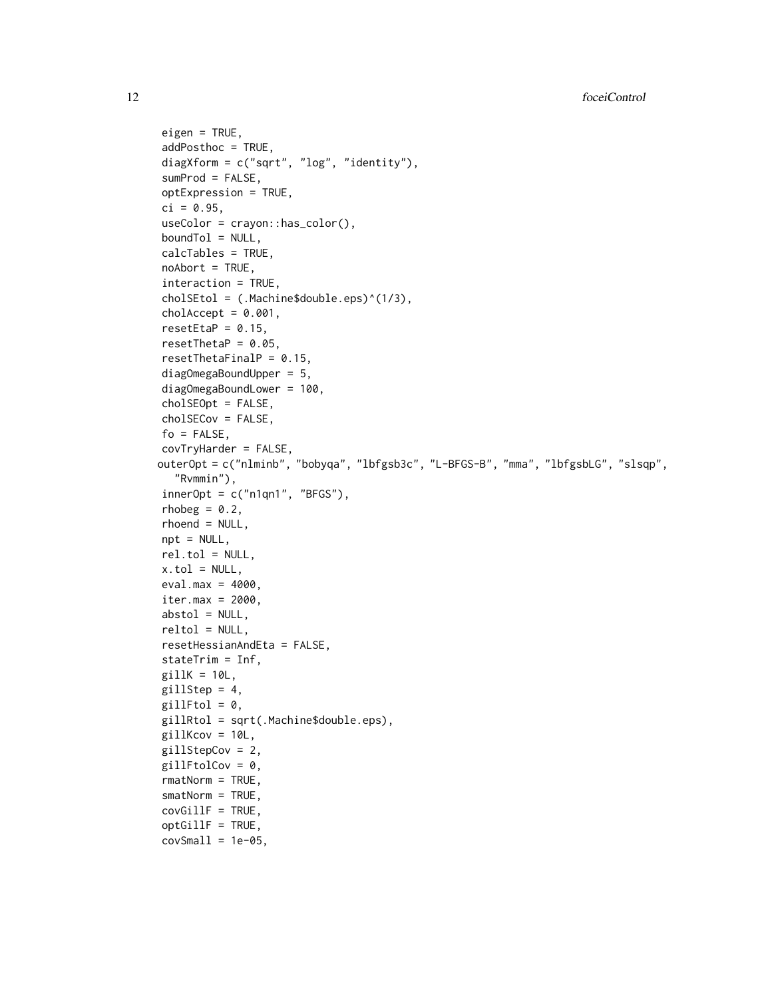```
eigen = TRUE,
addPosthoc = TRUE,
diagXform = c("sqrt", "log", "identity"),
sumProd = FALSE,
optExpression = TRUE,
ci = 0.95,useColor = crayon::has_color(),
boundTol = NULL,calcTables = TRUE,
noAbort = TRUE,interaction = TRUE,
cholSEtol = (.Machine$double.eps)^(1/3),
cholAccept = 0.001,
resetEtaP = 0.15,
resetThetaP = 0.05,
resetThetaFinalP = 0.15,
diagOmegaBoundUpper = 5,
diagOmegaBoundLower = 100,
cholSEOpt = FALSE,
cholSECov = FALSE,
fo = FALSE,covTryHarder = FALSE,
outerOpt = c("nlminb", "bobyqa", "lbfgsb3c", "L-BFGS-B", "mma", "lbfgsbLG", "slsqp",
  "Rvmmin"),
innerOpt = c("n1qn1", "BFGS"),rhobeg = 0.2,
rhoend = NULL,
npt = NULL,
rel.tol = NULL,x.tol = NULL,eval.max = 4000,
iter.max = 2000,abstol = NULL,reltol = NULL,resetHessianAndEta = FALSE,
stateTrim = Inf,
gillK = 10L,
gillStep = 4,
gillFtol = 0,gillRtol = sqrt(.Machine$double.eps),
gillKcov = 10L,gillStepCov = 2,
gillFtolCov = 0,
rmatNorm = TRUE,
smatNorm = TRUE,
covGillF = TRUE,optGillF = TRUE,covSmall = 1e-05,
```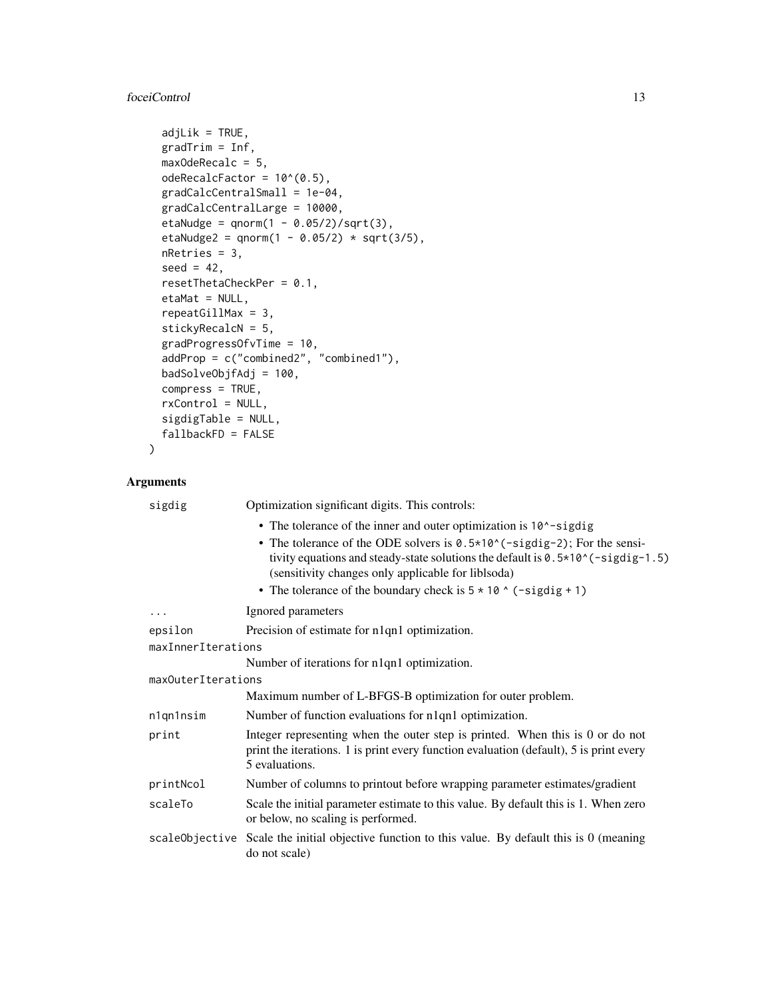# foceiControl 13

```
adjLik = TRUE,
gradient = Inf,maxOdeRecalc = 5,
odeRecalcFactor = 10^{\circ}(0.5),
gradCalcCentralSmall = 1e-04,
gradCalcCentralLarge = 10000,
etaNudge = qnorm(1 - 0.05/2)/sqrt(3),
etaNudge2 = qnorm(1 - 0.05/2) * sqrt(3/5),
nRetries = 3,
seed = 42,
resetThetaCheckPer = 0.1,
etaMat = NULL,repeatGillMax = 3,
stickyRecalcN = 5,
gradProgressOfvTime = 10,
addProp = c("combined2", "combined1"),
badSolveObjfAdj = 100,
compress = TRUE,
rxControl = NULL,
sigdigTable = NULL,
fallbackFD = FALSE
```
# Arguments

 $\mathcal{L}$ 

| sigdig             | Optimization significant digits. This controls:                                                                                                                                                                      |  |
|--------------------|----------------------------------------------------------------------------------------------------------------------------------------------------------------------------------------------------------------------|--|
|                    | • The tolerance of the inner and outer optimization is 10 <sup><math>\sim</math></sup> -sigdig                                                                                                                       |  |
|                    | • The tolerance of the ODE solvers is $0.5*10*(-signal)$ ; For the sensi-<br>tivity equations and steady-state solutions the default is $0.5*10*(-sigdig-1.5)$<br>(sensitivity changes only applicable for liblsoda) |  |
|                    | • The tolerance of the boundary check is $5 \times 10$ $\circ$ (-sigdig + 1)                                                                                                                                         |  |
| $\cdots$           | Ignored parameters                                                                                                                                                                                                   |  |
| epsilon            | Precision of estimate for n1qn1 optimization.                                                                                                                                                                        |  |
| maxInnerIterations |                                                                                                                                                                                                                      |  |
|                    | Number of iterations for n1qn1 optimization.                                                                                                                                                                         |  |
| maxOuterIterations |                                                                                                                                                                                                                      |  |
|                    | Maximum number of L-BFGS-B optimization for outer problem.                                                                                                                                                           |  |
| n1qn1nsim          | Number of function evaluations for n1qn1 optimization.                                                                                                                                                               |  |
| print              | Integer representing when the outer step is printed. When this is 0 or do not<br>print the iterations. 1 is print every function evaluation (default), 5 is print every<br>5 evaluations.                            |  |
| printNcol          | Number of columns to printout before wrapping parameter estimates/gradient                                                                                                                                           |  |
| scaleTo            | Scale the initial parameter estimate to this value. By default this is 1. When zero<br>or below, no scaling is performed.                                                                                            |  |
|                    | scale Objective Scale the initial objective function to this value. By default this is 0 (meaning<br>do not scale)                                                                                                   |  |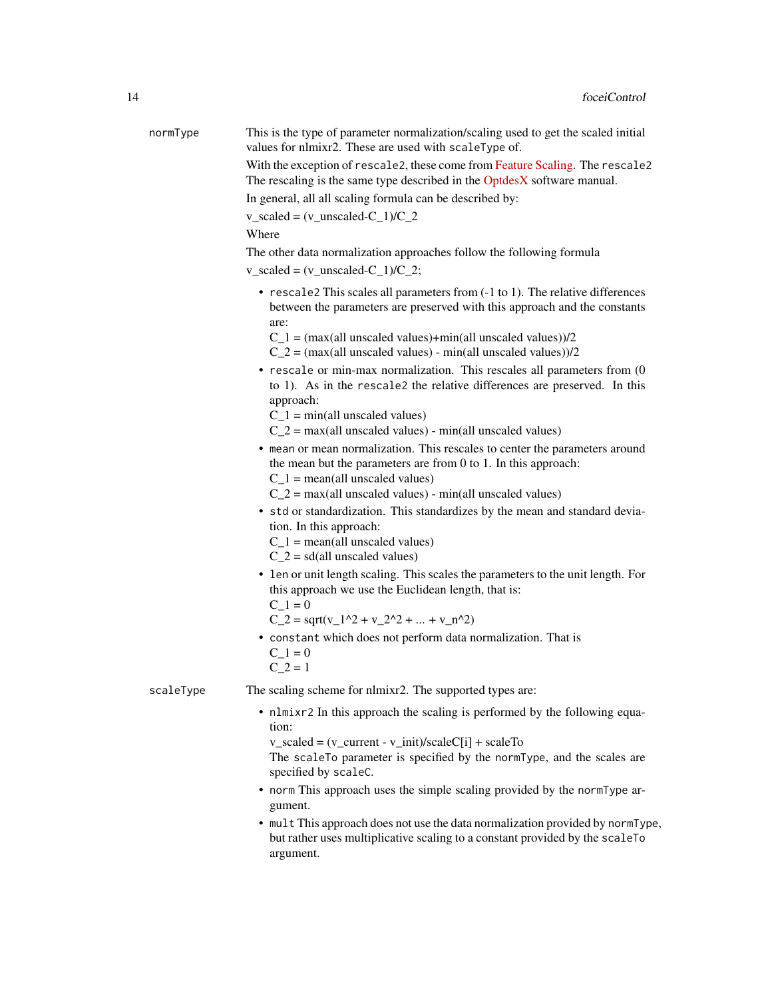| normType  | This is the type of parameter normalization/scaling used to get the scaled initial<br>values for nlmixr2. These are used with scaleType of.<br>With the exception of rescale2, these come from Feature Scaling. The rescale2 |
|-----------|------------------------------------------------------------------------------------------------------------------------------------------------------------------------------------------------------------------------------|
|           | The rescaling is the same type described in the OptdesX software manual.                                                                                                                                                     |
|           | In general, all all scaling formula can be described by:                                                                                                                                                                     |
|           | $v$ _scaled = $(v$ _unscaled-C_1)/C_2                                                                                                                                                                                        |
|           | Where                                                                                                                                                                                                                        |
|           | The other data normalization approaches follow the following formula                                                                                                                                                         |
|           | $v$ _scaled = $(v$ _unscaled-C_1)/C_2;                                                                                                                                                                                       |
|           | • rescale2 This scales all parameters from (-1 to 1). The relative differences<br>between the parameters are preserved with this approach and the constants<br>are:                                                          |
|           | $C_1$ = (max(all unscaled values)+min(all unscaled values))/2<br>$C_2$ = (max(all unscaled values) - min(all unscaled values))/2                                                                                             |
|           | $\bullet$ rescale or min-max normalization. This rescales all parameters from (0<br>to 1). As in the rescale2 the relative differences are preserved. In this<br>approach:                                                   |
|           | $C_1$ = min(all unscaled values)                                                                                                                                                                                             |
|           | $C_2$ = max(all unscaled values) - min(all unscaled values)                                                                                                                                                                  |
|           | • mean or mean normalization. This rescales to center the parameters around<br>the mean but the parameters are from $0$ to $1$ . In this approach:<br>$C_1$ = mean(all unscaled values)                                      |
|           | $C_2$ = max(all unscaled values) - min(all unscaled values)                                                                                                                                                                  |
|           | • std or standardization. This standardizes by the mean and standard devia-<br>tion. In this approach:                                                                                                                       |
|           | $C_1$ = mean(all unscaled values)<br>$C_2$ = sd(all unscaled values)                                                                                                                                                         |
|           | • len or unit length scaling. This scales the parameters to the unit length. For<br>this approach we use the Euclidean length, that is:<br>$C_1 = 0$                                                                         |
|           | $C_2 = \sqrt{(v_1^2 + v_2^2 +  + v_n^2)}$                                                                                                                                                                                    |
|           | • constant which does not perform data normalization. That is<br>$C_1 = 0$<br>$C_2 = 1$                                                                                                                                      |
| scaleType | The scaling scheme for nlmixr2. The supported types are:                                                                                                                                                                     |
|           | • nlmixr2 In this approach the scaling is performed by the following equa-<br>tion:                                                                                                                                          |
|           | $v_scaled = (v_current - v_iinit)/scaleC[i] + scaleTo$<br>The scaleTo parameter is specified by the normType, and the scales are<br>specified by scaleC.                                                                     |
|           | • norm This approach uses the simple scaling provided by the normType ar-<br>gument.                                                                                                                                         |
|           | • mult This approach does not use the data normalization provided by normType,<br>but rather uses multiplicative scaling to a constant provided by the scaleTo<br>argument.                                                  |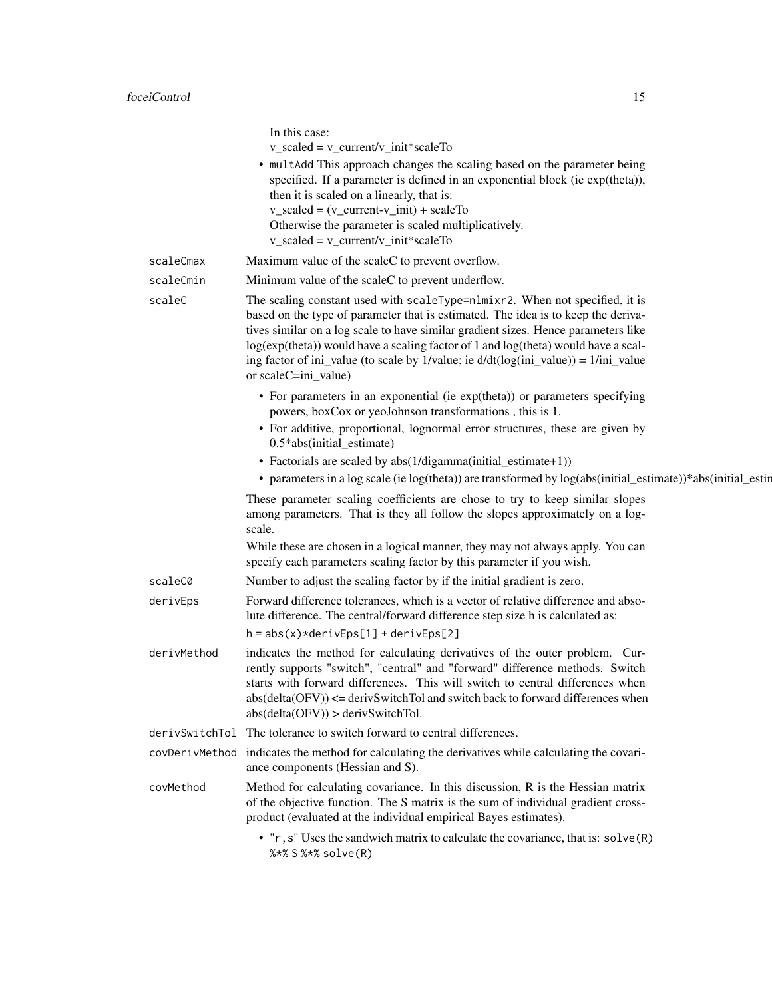|                | In this case:<br>$v$ _scaled = $v$ _current/ $v$ _init*scaleTo<br>• multAdd This approach changes the scaling based on the parameter being<br>specified. If a parameter is defined in an exponential block (ie exp(theta)),<br>then it is scaled on a linearly, that is:<br>$v$ _scaled = $(v$ _current- $v$ _init) + scaleTo<br>Otherwise the parameter is scaled multiplicatively.<br>$v$ _scaled = $v$ _current/v_init*scaleTo                               |
|----------------|-----------------------------------------------------------------------------------------------------------------------------------------------------------------------------------------------------------------------------------------------------------------------------------------------------------------------------------------------------------------------------------------------------------------------------------------------------------------|
| scaleCmax      | Maximum value of the scaleC to prevent overflow.                                                                                                                                                                                                                                                                                                                                                                                                                |
| scaleCmin      | Minimum value of the scaleC to prevent underflow.                                                                                                                                                                                                                                                                                                                                                                                                               |
| scaleC         | The scaling constant used with scaleType=nlmixr2. When not specified, it is<br>based on the type of parameter that is estimated. The idea is to keep the deriva-<br>tives similar on a log scale to have similar gradient sizes. Hence parameters like<br>log(exp(theta)) would have a scaling factor of 1 and log(theta) would have a scal-<br>ing factor of ini_value (to scale by 1/value; ie $d/dt(log(ini_value)) = 1/ini_value$<br>or $scaleC=ini_value)$ |
|                | • For parameters in an exponential (ie exp(theta)) or parameters specifying<br>powers, boxCox or yeoJohnson transformations, this is 1.                                                                                                                                                                                                                                                                                                                         |
|                | • For additive, proportional, lognormal error structures, these are given by<br>0.5*abs(initial_estimate)                                                                                                                                                                                                                                                                                                                                                       |
|                | • Factorials are scaled by abs(1/digamma(initial_estimate+1))                                                                                                                                                                                                                                                                                                                                                                                                   |
|                | • parameters in a log scale (ie log(theta)) are transformed by log(abs(initial_estimate))*abs(initial_estin                                                                                                                                                                                                                                                                                                                                                     |
|                | These parameter scaling coefficients are chose to try to keep similar slopes<br>among parameters. That is they all follow the slopes approximately on a log-<br>scale.                                                                                                                                                                                                                                                                                          |
|                | While these are chosen in a logical manner, they may not always apply. You can<br>specify each parameters scaling factor by this parameter if you wish.                                                                                                                                                                                                                                                                                                         |
| scaleC0        | Number to adjust the scaling factor by if the initial gradient is zero.                                                                                                                                                                                                                                                                                                                                                                                         |
| derivEps       | Forward difference tolerances, which is a vector of relative difference and abso-<br>lute difference. The central/forward difference step size h is calculated as:<br>$h = abs(x)*derivEps[1] + derivEps[2]$                                                                                                                                                                                                                                                    |
| derivMethod    | indicates the method for calculating derivatives of the outer problem. Cur-<br>rently supports "switch", "central" and "forward" difference methods. Switch<br>starts with forward differences. This will switch to central differences when<br>$abs(detta(OFV)) \leq -$ derivSwitchTol and switch back to forward differences when<br>abs(detta(OFV)) > derivSwitchTol.                                                                                        |
| derivSwitchTol | The tolerance to switch forward to central differences.                                                                                                                                                                                                                                                                                                                                                                                                         |
| covDerivMethod | indicates the method for calculating the derivatives while calculating the covari-<br>ance components (Hessian and S).                                                                                                                                                                                                                                                                                                                                          |
| covMethod      | Method for calculating covariance. In this discussion, R is the Hessian matrix<br>of the objective function. The S matrix is the sum of individual gradient cross-<br>product (evaluated at the individual empirical Bayes estimates).                                                                                                                                                                                                                          |
|                | • "r, s" Uses the sandwich matrix to calculate the covariance, that is: solve (R)<br>%*% S %*% solve(R)                                                                                                                                                                                                                                                                                                                                                         |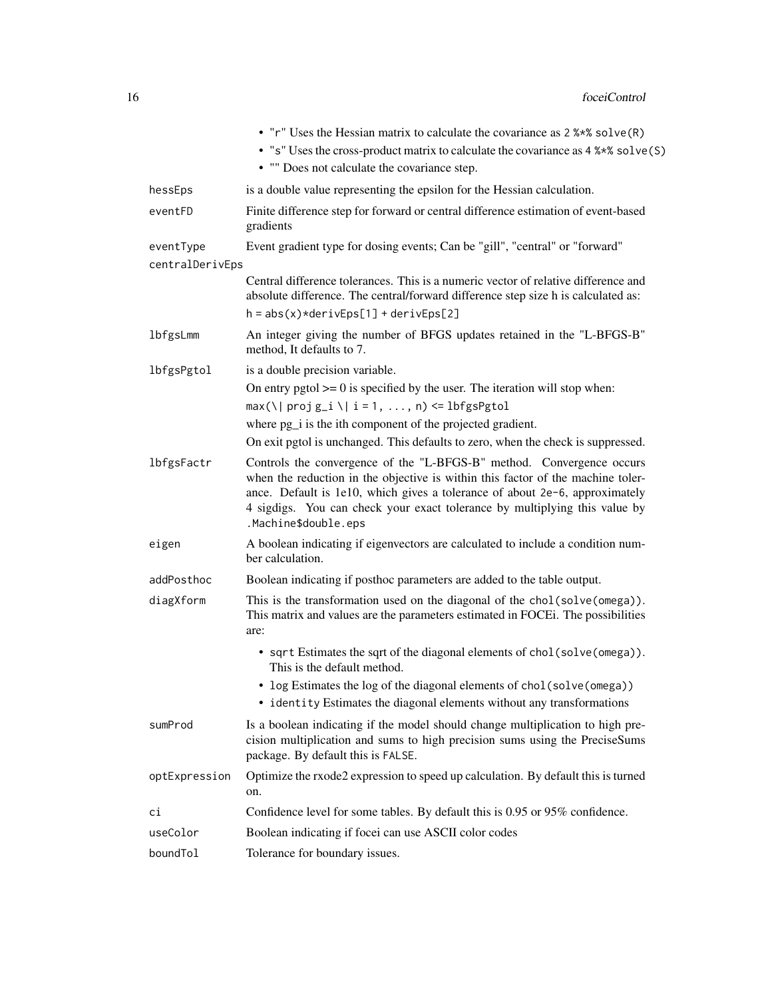|                              | • "r" Uses the Hessian matrix to calculate the covariance as 2 %*% solve (R)<br>• "s" Uses the cross-product matrix to calculate the covariance as 4 %*% solve (S)<br>• "" Does not calculate the covariance step.                                                                                                                            |
|------------------------------|-----------------------------------------------------------------------------------------------------------------------------------------------------------------------------------------------------------------------------------------------------------------------------------------------------------------------------------------------|
| hessEps                      | is a double value representing the epsilon for the Hessian calculation.                                                                                                                                                                                                                                                                       |
| eventFD                      | Finite difference step for forward or central difference estimation of event-based<br>gradients                                                                                                                                                                                                                                               |
| eventType<br>centralDerivEps | Event gradient type for dosing events; Can be "gill", "central" or "forward"                                                                                                                                                                                                                                                                  |
|                              | Central difference tolerances. This is a numeric vector of relative difference and<br>absolute difference. The central/forward difference step size h is calculated as:                                                                                                                                                                       |
|                              | $h = abs(x)*derivEps[1] + derivEps[2]$                                                                                                                                                                                                                                                                                                        |
| lbfgsLmm                     | An integer giving the number of BFGS updates retained in the "L-BFGS-B"<br>method, It defaults to 7.                                                                                                                                                                                                                                          |
| lbfgsPgtol                   | is a double precision variable.<br>On entry pgtol $\geq$ 0 is specified by the user. The iteration will stop when:<br>$max(\lceil \text{proj } g_i \rceil \lceil i = 1, , n \rceil \leq 1$ bfgsPgtol                                                                                                                                          |
|                              | where pg <sub>1</sub> is the ith component of the projected gradient.                                                                                                                                                                                                                                                                         |
|                              | On exit pgtol is unchanged. This defaults to zero, when the check is suppressed.                                                                                                                                                                                                                                                              |
| lbfgsFactr                   | Controls the convergence of the "L-BFGS-B" method. Convergence occurs<br>when the reduction in the objective is within this factor of the machine toler-<br>ance. Default is 1e10, which gives a tolerance of about 2e-6, approximately<br>4 sigdigs. You can check your exact tolerance by multiplying this value by<br>.Machine\$double.eps |
| eigen                        | A boolean indicating if eigenvectors are calculated to include a condition num-<br>ber calculation.                                                                                                                                                                                                                                           |
| addPosthoc                   | Boolean indicating if posthoc parameters are added to the table output.                                                                                                                                                                                                                                                                       |
| diagXform                    | This is the transformation used on the diagonal of the chol(solve(omega)).<br>This matrix and values are the parameters estimated in FOCEi. The possibilities<br>are:                                                                                                                                                                         |
|                              | • sqrt Estimates the sqrt of the diagonal elements of chol(solve(omega)).<br>This is the default method.                                                                                                                                                                                                                                      |
|                              | • log Estimates the log of the diagonal elements of chol (solve (omega))<br>• identity Estimates the diagonal elements without any transformations                                                                                                                                                                                            |
| sumProd                      | Is a boolean indicating if the model should change multiplication to high pre-<br>cision multiplication and sums to high precision sums using the PreciseSums<br>package. By default this is FALSE.                                                                                                                                           |
| optExpression                | Optimize the rxode2 expression to speed up calculation. By default this is turned<br>on.                                                                                                                                                                                                                                                      |
| сi                           | Confidence level for some tables. By default this is 0.95 or 95% confidence.                                                                                                                                                                                                                                                                  |
| useColor                     | Boolean indicating if focei can use ASCII color codes                                                                                                                                                                                                                                                                                         |
| boundTol                     | Tolerance for boundary issues.                                                                                                                                                                                                                                                                                                                |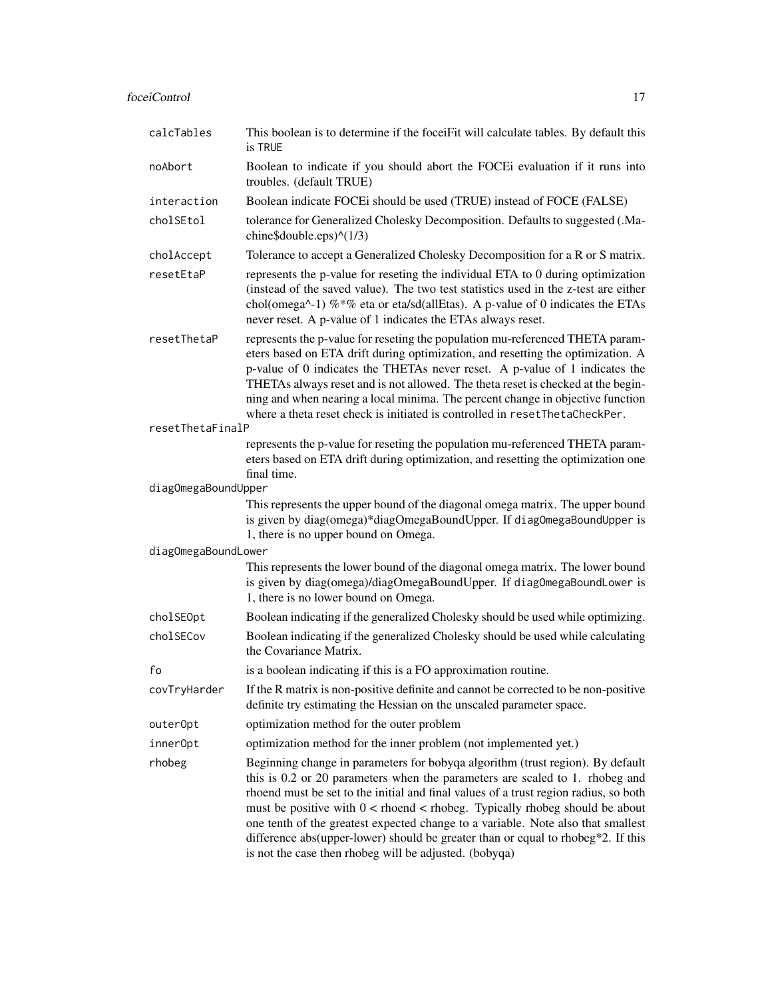# foceiControl 17

| calcTables          | This boolean is to determine if the foceiFit will calculate tables. By default this<br>is TRUE                                                                                                                                                                                                                                                                                                                                                                                                                                                                              |
|---------------------|-----------------------------------------------------------------------------------------------------------------------------------------------------------------------------------------------------------------------------------------------------------------------------------------------------------------------------------------------------------------------------------------------------------------------------------------------------------------------------------------------------------------------------------------------------------------------------|
| noAbort             | Boolean to indicate if you should abort the FOCEi evaluation if it runs into<br>troubles. (default TRUE)                                                                                                                                                                                                                                                                                                                                                                                                                                                                    |
| interaction         | Boolean indicate FOCEi should be used (TRUE) instead of FOCE (FALSE)                                                                                                                                                                                                                                                                                                                                                                                                                                                                                                        |
| cholSEtol           | tolerance for Generalized Cholesky Decomposition. Defaults to suggested (.Ma-<br>chine\$double.eps $\rangle$ $\wedge$ (1/3)                                                                                                                                                                                                                                                                                                                                                                                                                                                 |
| cholAccept          | Tolerance to accept a Generalized Cholesky Decomposition for a R or S matrix.                                                                                                                                                                                                                                                                                                                                                                                                                                                                                               |
| resetEtaP           | represents the p-value for reseting the individual ETA to 0 during optimization<br>(instead of the saved value). The two test statistics used in the z-test are either<br>chol(omega^-1) % *% eta or eta/sd(allEtas). A p-value of 0 indicates the ETAs<br>never reset. A p-value of 1 indicates the ETAs always reset.                                                                                                                                                                                                                                                     |
| resetThetaP         | represents the p-value for reseting the population mu-referenced THETA param-<br>eters based on ETA drift during optimization, and resetting the optimization. A<br>p-value of 0 indicates the THETAs never reset. A p-value of 1 indicates the<br>THETAs always reset and is not allowed. The theta reset is checked at the begin-<br>ning and when nearing a local minima. The percent change in objective function<br>where a theta reset check is initiated is controlled in resetThetaCheckPer.                                                                        |
| resetThetaFinalP    |                                                                                                                                                                                                                                                                                                                                                                                                                                                                                                                                                                             |
|                     | represents the p-value for reseting the population mu-referenced THETA param-<br>eters based on ETA drift during optimization, and resetting the optimization one<br>final time.                                                                                                                                                                                                                                                                                                                                                                                            |
| diagOmegaBoundUpper |                                                                                                                                                                                                                                                                                                                                                                                                                                                                                                                                                                             |
|                     | This represents the upper bound of the diagonal omega matrix. The upper bound<br>is given by diag(omega)*diagOmegaBoundUpper. If diagOmegaBoundUpper is<br>1, there is no upper bound on Omega.                                                                                                                                                                                                                                                                                                                                                                             |
| diagOmegaBoundLower |                                                                                                                                                                                                                                                                                                                                                                                                                                                                                                                                                                             |
|                     | This represents the lower bound of the diagonal omega matrix. The lower bound<br>is given by diag(omega)/diagOmegaBoundUpper. If diagOmegaBoundLower is<br>1, there is no lower bound on Omega.                                                                                                                                                                                                                                                                                                                                                                             |
| cholSE0pt           | Boolean indicating if the generalized Cholesky should be used while optimizing.                                                                                                                                                                                                                                                                                                                                                                                                                                                                                             |
| cholSECov           | Boolean indicating if the generalized Cholesky should be used while calculating<br>the Covariance Matrix.                                                                                                                                                                                                                                                                                                                                                                                                                                                                   |
| fo                  | is a boolean indicating if this is a FO approximation routine.                                                                                                                                                                                                                                                                                                                                                                                                                                                                                                              |
| covTryHarder        | If the R matrix is non-positive definite and cannot be corrected to be non-positive<br>definite try estimating the Hessian on the unscaled parameter space.                                                                                                                                                                                                                                                                                                                                                                                                                 |
| outerOpt            | optimization method for the outer problem                                                                                                                                                                                                                                                                                                                                                                                                                                                                                                                                   |
| innerOpt            | optimization method for the inner problem (not implemented yet.)                                                                                                                                                                                                                                                                                                                                                                                                                                                                                                            |
| rhobeg              | Beginning change in parameters for bobyqa algorithm (trust region). By default<br>this is 0.2 or 20 parameters when the parameters are scaled to 1. rhobeg and<br>rhoend must be set to the initial and final values of a trust region radius, so both<br>must be positive with $0 <$ rhoend $<$ rhobeg. Typically rhobeg should be about<br>one tenth of the greatest expected change to a variable. Note also that smallest<br>difference abs(upper-lower) should be greater than or equal to rhobeg*2. If this<br>is not the case then rhobeg will be adjusted. (bobyqa) |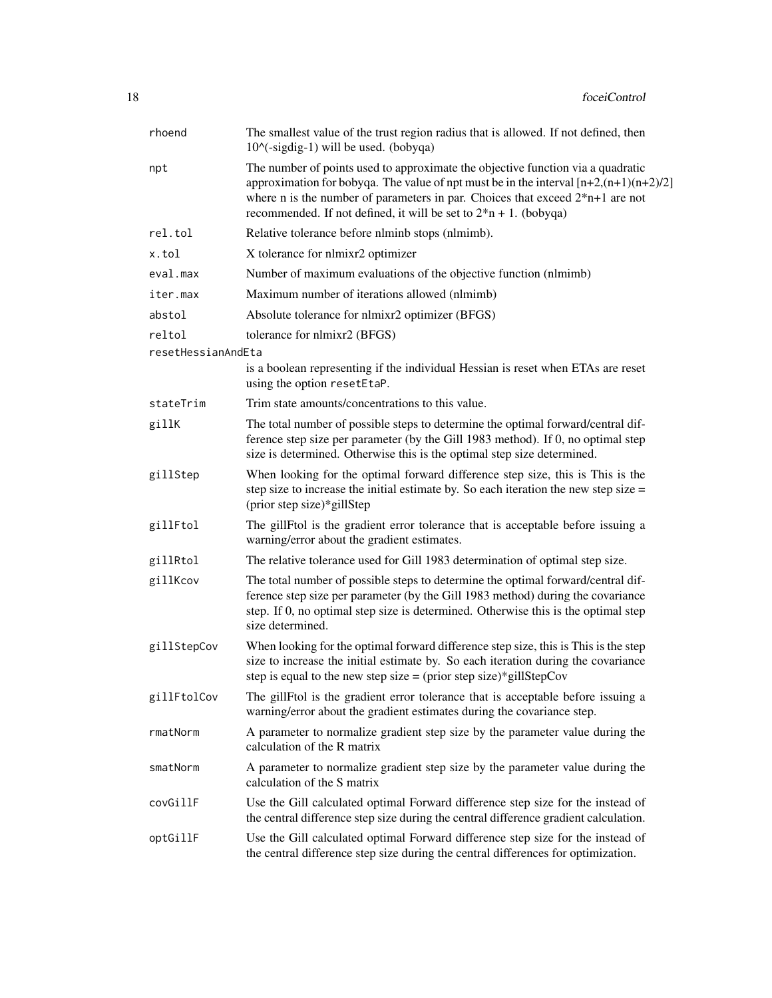| rhoend             | The smallest value of the trust region radius that is allowed. If not defined, then<br>$10^{\circ}$ (-sigdig-1) will be used. (bobyqa)                                                                                                                                                                                               |
|--------------------|--------------------------------------------------------------------------------------------------------------------------------------------------------------------------------------------------------------------------------------------------------------------------------------------------------------------------------------|
| npt                | The number of points used to approximate the objective function via a quadratic<br>approximation for bobyqa. The value of npt must be in the interval $[n+2,(n+1)(n+2)/2]$<br>where n is the number of parameters in par. Choices that exceed $2*n+1$ are not<br>recommended. If not defined, it will be set to $2*n + 1$ . (bobyqa) |
| rel.tol            | Relative tolerance before nlminb stops (nlmimb).                                                                                                                                                                                                                                                                                     |
| x.tol              | X tolerance for nlmixr2 optimizer                                                                                                                                                                                                                                                                                                    |
| eval.max           | Number of maximum evaluations of the objective function (nlmimb)                                                                                                                                                                                                                                                                     |
| iter.max           | Maximum number of iterations allowed (nlmimb)                                                                                                                                                                                                                                                                                        |
| abstol             | Absolute tolerance for nlmixr2 optimizer (BFGS)                                                                                                                                                                                                                                                                                      |
| reltol             | tolerance for nlmixr2 (BFGS)                                                                                                                                                                                                                                                                                                         |
| resetHessianAndEta |                                                                                                                                                                                                                                                                                                                                      |
|                    | is a boolean representing if the individual Hessian is reset when ETAs are reset<br>using the option resetEtaP.                                                                                                                                                                                                                      |
| stateTrim          | Trim state amounts/concentrations to this value.                                                                                                                                                                                                                                                                                     |
| gillK              | The total number of possible steps to determine the optimal forward/central dif-<br>ference step size per parameter (by the Gill 1983 method). If 0, no optimal step<br>size is determined. Otherwise this is the optimal step size determined.                                                                                      |
| gillStep           | When looking for the optimal forward difference step size, this is This is the<br>step size to increase the initial estimate by. So each iteration the new step size $=$<br>(prior step size)*gillStep                                                                                                                               |
| gillFtol           | The gillFtol is the gradient error tolerance that is acceptable before issuing a<br>warning/error about the gradient estimates.                                                                                                                                                                                                      |
| gillRtol           | The relative tolerance used for Gill 1983 determination of optimal step size.                                                                                                                                                                                                                                                        |
| gillKcov           | The total number of possible steps to determine the optimal forward/central dif-<br>ference step size per parameter (by the Gill 1983 method) during the covariance<br>step. If 0, no optimal step size is determined. Otherwise this is the optimal step<br>size determined.                                                        |
| gillStepCov        | When looking for the optimal forward difference step size, this is This is the step<br>size to increase the initial estimate by. So each iteration during the covariance<br>step is equal to the new step size = (prior step size)*gillStepCov                                                                                       |
| gillFtolCov        | The gillFtol is the gradient error tolerance that is acceptable before issuing a<br>warning/error about the gradient estimates during the covariance step.                                                                                                                                                                           |
| rmatNorm           | A parameter to normalize gradient step size by the parameter value during the<br>calculation of the R matrix                                                                                                                                                                                                                         |
| smatNorm           | A parameter to normalize gradient step size by the parameter value during the<br>calculation of the S matrix                                                                                                                                                                                                                         |
| covGillF           | Use the Gill calculated optimal Forward difference step size for the instead of<br>the central difference step size during the central difference gradient calculation.                                                                                                                                                              |
| optGillF           | Use the Gill calculated optimal Forward difference step size for the instead of<br>the central difference step size during the central differences for optimization.                                                                                                                                                                 |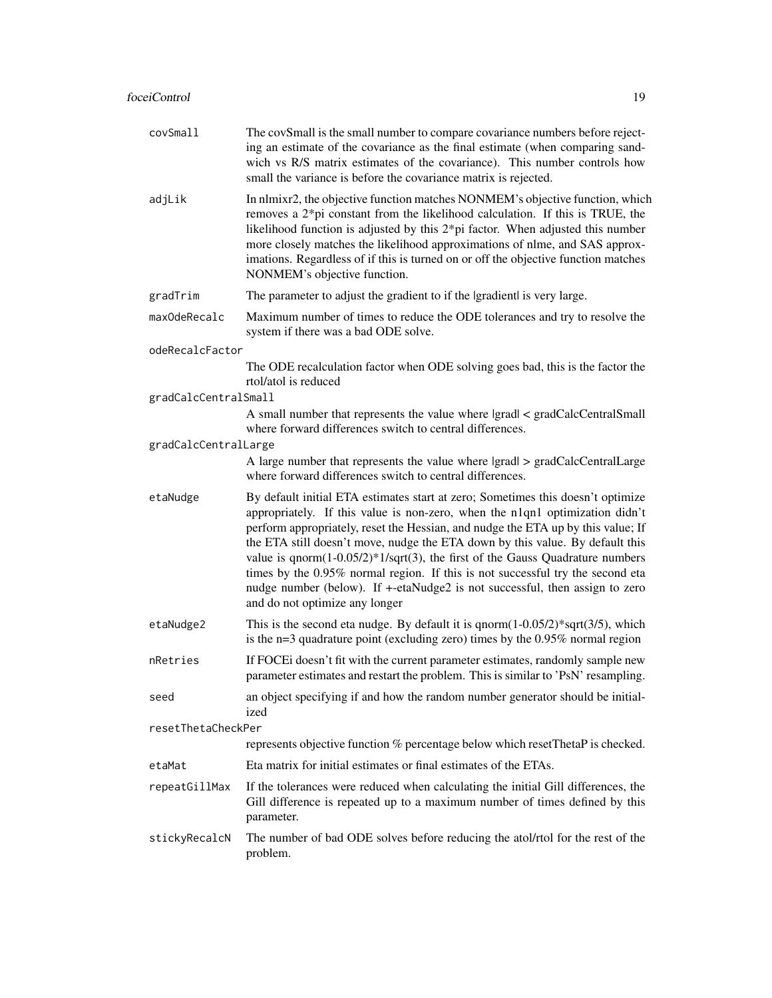| covSmall             | The covSmall is the small number to compare covariance numbers before reject-<br>ing an estimate of the covariance as the final estimate (when comparing sand-<br>wich vs R/S matrix estimates of the covariance). This number controls how<br>small the variance is before the covariance matrix is rejected.                                                                                                                                                                                                                                                                                                              |
|----------------------|-----------------------------------------------------------------------------------------------------------------------------------------------------------------------------------------------------------------------------------------------------------------------------------------------------------------------------------------------------------------------------------------------------------------------------------------------------------------------------------------------------------------------------------------------------------------------------------------------------------------------------|
| adjLik               | In nlmixr2, the objective function matches NONMEM's objective function, which<br>removes a $2$ <sup>*</sup> pi constant from the likelihood calculation. If this is TRUE, the<br>likelihood function is adjusted by this $2*pi$ factor. When adjusted this number<br>more closely matches the likelihood approximations of nlme, and SAS approx-<br>imations. Regardless of if this is turned on or off the objective function matches<br>NONMEM's objective function.                                                                                                                                                      |
| gradTrim             | The parameter to adjust the gradient to if the Igradientl is very large.                                                                                                                                                                                                                                                                                                                                                                                                                                                                                                                                                    |
| maxOdeRecalc         | Maximum number of times to reduce the ODE tolerances and try to resolve the<br>system if there was a bad ODE solve.                                                                                                                                                                                                                                                                                                                                                                                                                                                                                                         |
| odeRecalcFactor      |                                                                                                                                                                                                                                                                                                                                                                                                                                                                                                                                                                                                                             |
|                      | The ODE recalculation factor when ODE solving goes bad, this is the factor the<br>rtol/atol is reduced                                                                                                                                                                                                                                                                                                                                                                                                                                                                                                                      |
| gradCalcCentralSmall | A small number that represents the value where lgradl < gradCalcCentralSmall<br>where forward differences switch to central differences.                                                                                                                                                                                                                                                                                                                                                                                                                                                                                    |
| gradCalcCentralLarge |                                                                                                                                                                                                                                                                                                                                                                                                                                                                                                                                                                                                                             |
|                      | A large number that represents the value where lgradl > gradCalcCentralLarge<br>where forward differences switch to central differences.                                                                                                                                                                                                                                                                                                                                                                                                                                                                                    |
| etaNudge             | By default initial ETA estimates start at zero; Sometimes this doesn't optimize<br>appropriately. If this value is non-zero, when the n1qn1 optimization didn't<br>perform appropriately, reset the Hessian, and nudge the ETA up by this value; If<br>the ETA still doesn't move, nudge the ETA down by this value. By default this<br>value is $qnorm(1-0.05/2)*1/sqrt(3)$ , the first of the Gauss Quadrature numbers<br>times by the 0.95% normal region. If this is not successful try the second eta<br>nudge number (below). If +-etaNudge2 is not successful, then assign to zero<br>and do not optimize any longer |
| etaNudge2            | This is the second eta nudge. By default it is $qnorm(1-0.05/2)*sqrt(3/5)$ , which<br>is the $n=3$ quadrature point (excluding zero) times by the 0.95% normal region                                                                                                                                                                                                                                                                                                                                                                                                                                                       |
| nRetries             | If FOCEi doesn't fit with the current parameter estimates, randomly sample new<br>parameter estimates and restart the problem. This is similar to 'PsN' resampling.                                                                                                                                                                                                                                                                                                                                                                                                                                                         |
| seed                 | an object specifying if and how the random number generator should be initial-<br>ized                                                                                                                                                                                                                                                                                                                                                                                                                                                                                                                                      |
| resetThetaCheckPer   |                                                                                                                                                                                                                                                                                                                                                                                                                                                                                                                                                                                                                             |
|                      | represents objective function % percentage below which resetThetaP is checked.                                                                                                                                                                                                                                                                                                                                                                                                                                                                                                                                              |
| etaMat               | Eta matrix for initial estimates or final estimates of the ETAs.                                                                                                                                                                                                                                                                                                                                                                                                                                                                                                                                                            |
| repeatGillMax        | If the tolerances were reduced when calculating the initial Gill differences, the<br>Gill difference is repeated up to a maximum number of times defined by this<br>parameter.                                                                                                                                                                                                                                                                                                                                                                                                                                              |
| stickyRecalcN        | The number of bad ODE solves before reducing the atol/rtol for the rest of the<br>problem.                                                                                                                                                                                                                                                                                                                                                                                                                                                                                                                                  |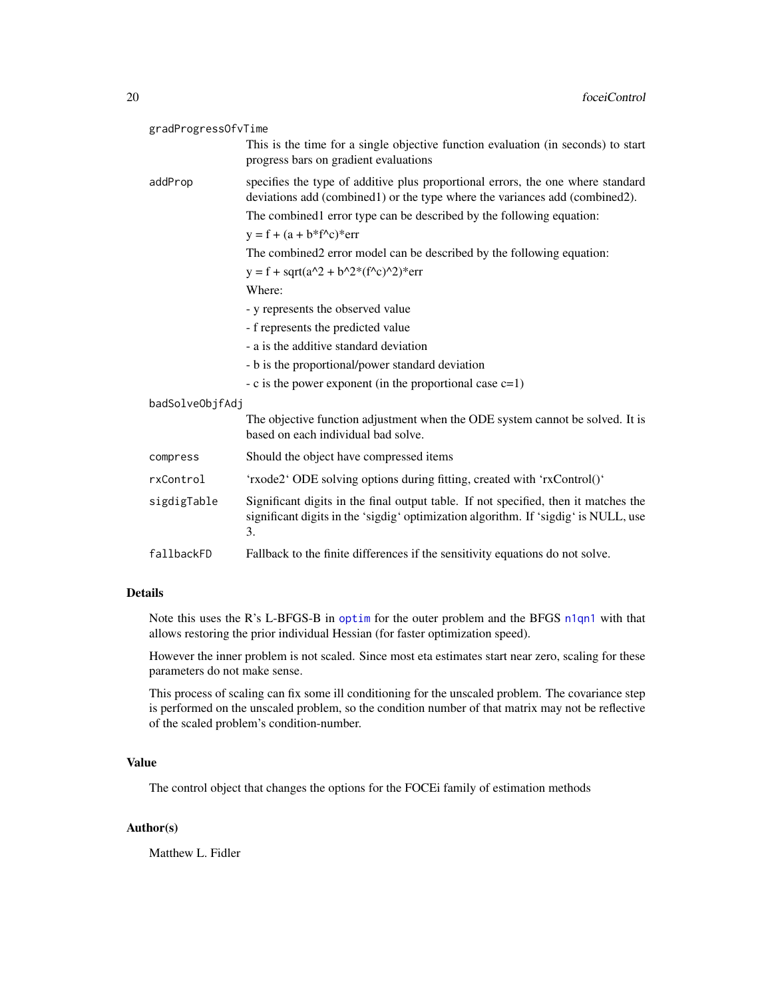| gradProgressOfvTime |                                                                                                                                                                                  |
|---------------------|----------------------------------------------------------------------------------------------------------------------------------------------------------------------------------|
|                     | This is the time for a single objective function evaluation (in seconds) to start<br>progress bars on gradient evaluations                                                       |
| addProp             | specifies the type of additive plus proportional errors, the one where standard<br>deviations add (combined1) or the type where the variances add (combined2).                   |
|                     | The combined error type can be described by the following equation:                                                                                                              |
|                     | $y = f + (a + b * f^c)^*$ err                                                                                                                                                    |
|                     | The combined2 error model can be described by the following equation:                                                                                                            |
|                     | $y = f + sqrt(a^2 + b^2*(f^2c)^2)$ * err                                                                                                                                         |
|                     | Where:                                                                                                                                                                           |
|                     | - y represents the observed value                                                                                                                                                |
|                     | - f represents the predicted value                                                                                                                                               |
|                     | - a is the additive standard deviation                                                                                                                                           |
|                     | - b is the proportional/power standard deviation                                                                                                                                 |
|                     | $-c$ is the power exponent (in the proportional case $c=1$ )                                                                                                                     |
| badSolveObjfAdj     |                                                                                                                                                                                  |
|                     | The objective function adjustment when the ODE system cannot be solved. It is<br>based on each individual bad solve.                                                             |
| compress            | Should the object have compressed items                                                                                                                                          |
| rxControl           | 'rxode2' ODE solving options during fitting, created with 'rxControl()'                                                                                                          |
| sigdigTable         | Significant digits in the final output table. If not specified, then it matches the<br>significant digits in the 'sigdig' optimization algorithm. If 'sigdig' is NULL, use<br>3. |
| fallbackFD          | Fallback to the finite differences if the sensitivity equations do not solve.                                                                                                    |

# Details

Note this uses the R's L-BFGS-B in [optim](#page-0-0) for the outer problem and the BFGS [n1qn1](#page-0-0) with that allows restoring the prior individual Hessian (for faster optimization speed).

However the inner problem is not scaled. Since most eta estimates start near zero, scaling for these parameters do not make sense.

This process of scaling can fix some ill conditioning for the unscaled problem. The covariance step is performed on the unscaled problem, so the condition number of that matrix may not be reflective of the scaled problem's condition-number.

#### Value

The control object that changes the options for the FOCEi family of estimation methods

# Author(s)

Matthew L. Fidler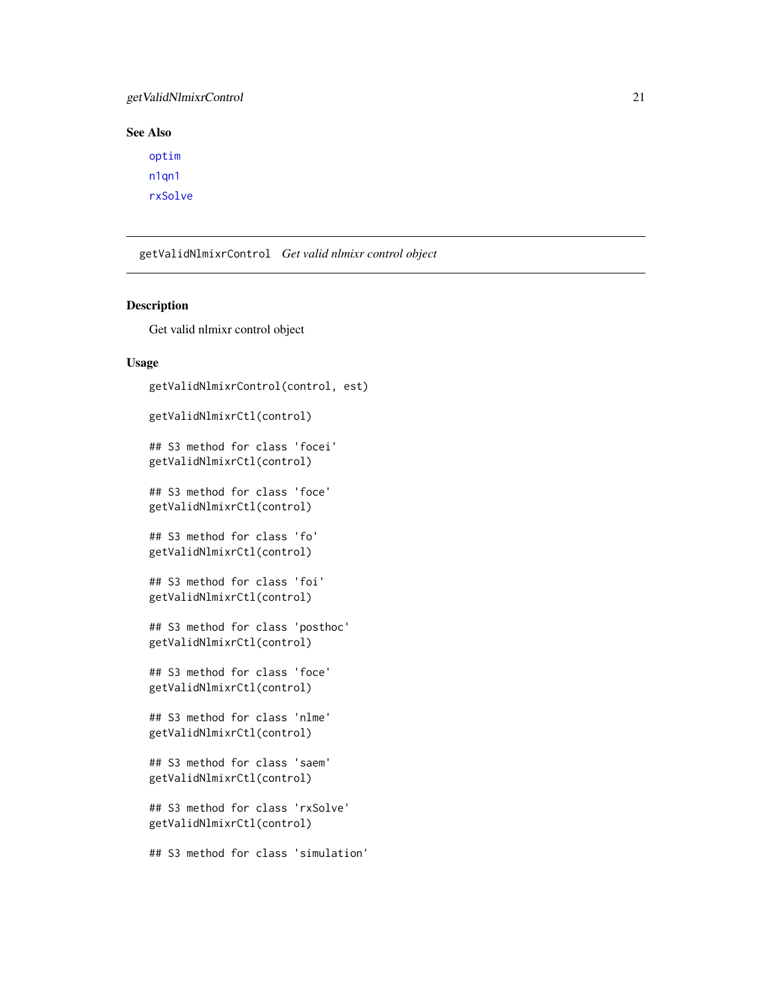# <span id="page-20-0"></span>getValidNlmixrControl 21

# See Also

[optim](#page-0-0) [n1qn1](#page-0-0) [rxSolve](#page-0-0)

getValidNlmixrControl *Get valid nlmixr control object*

# Description

Get valid nlmixr control object

#### Usage

```
getValidNlmixrControl(control, est)
getValidNlmixrCtl(control)
## S3 method for class 'focei'
getValidNlmixrCtl(control)
## S3 method for class 'foce'
getValidNlmixrCtl(control)
## S3 method for class 'fo'
getValidNlmixrCtl(control)
## S3 method for class 'foi'
getValidNlmixrCtl(control)
## S3 method for class 'posthoc'
getValidNlmixrCtl(control)
## S3 method for class 'foce'
getValidNlmixrCtl(control)
## S3 method for class 'nlme'
getValidNlmixrCtl(control)
## S3 method for class 'saem'
getValidNlmixrCtl(control)
## S3 method for class 'rxSolve'
getValidNlmixrCtl(control)
## S3 method for class 'simulation'
```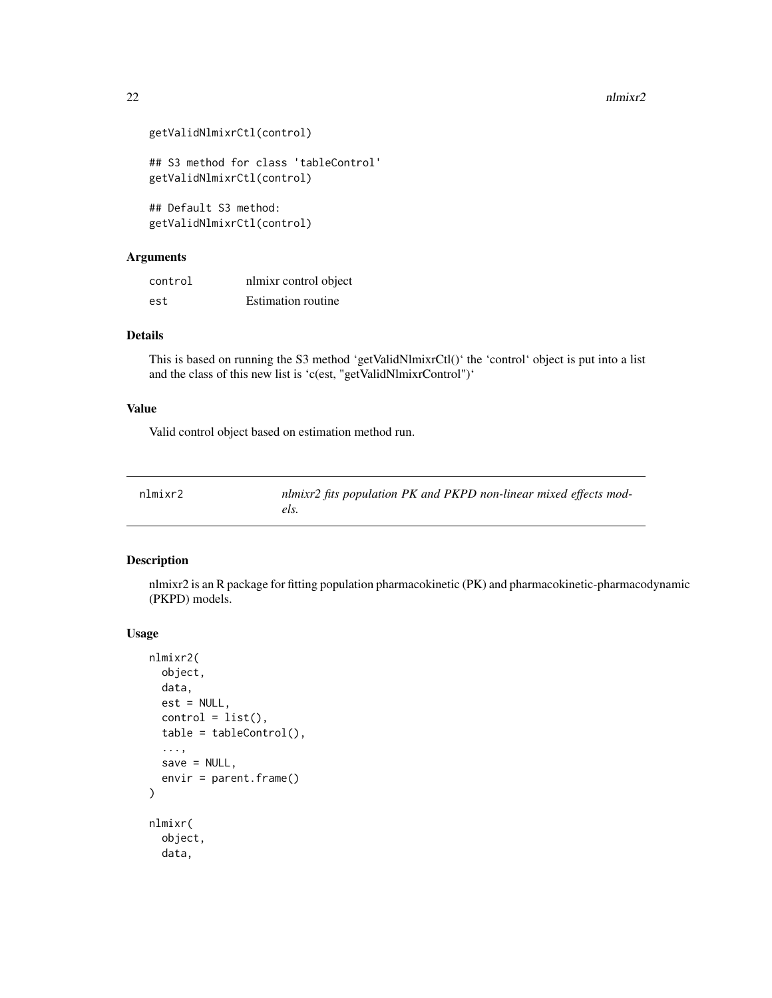```
getValidNlmixrCtl(control)
## S3 method for class 'tableControl'
getValidNlmixrCtl(control)
## Default S3 method:
getValidNlmixrCtl(control)
```
#### Arguments

| control | nlmixr control object     |
|---------|---------------------------|
| est     | <b>Estimation routine</b> |

#### Details

This is based on running the S3 method 'getValidNlmixrCtl()' the 'control' object is put into a list and the class of this new list is 'c(est, "getValidNlmixrControl")'

#### Value

Valid control object based on estimation method run.

| nlmixr2 | nlmixr2 fits population PK and PKPD non-linear mixed effects mod- |
|---------|-------------------------------------------------------------------|
|         |                                                                   |

# Description

nlmixr2 is an R package for fitting population pharmacokinetic (PK) and pharmacokinetic-pharmacodynamic (PKPD) models.

#### Usage

```
nlmixr2(
 object,
  data,
 est = NULL,control = list(),table = tableControl(),
  ...,
  save = NULL,
  envir = parent.frame()
)
nlmixr(
  object,
  data,
```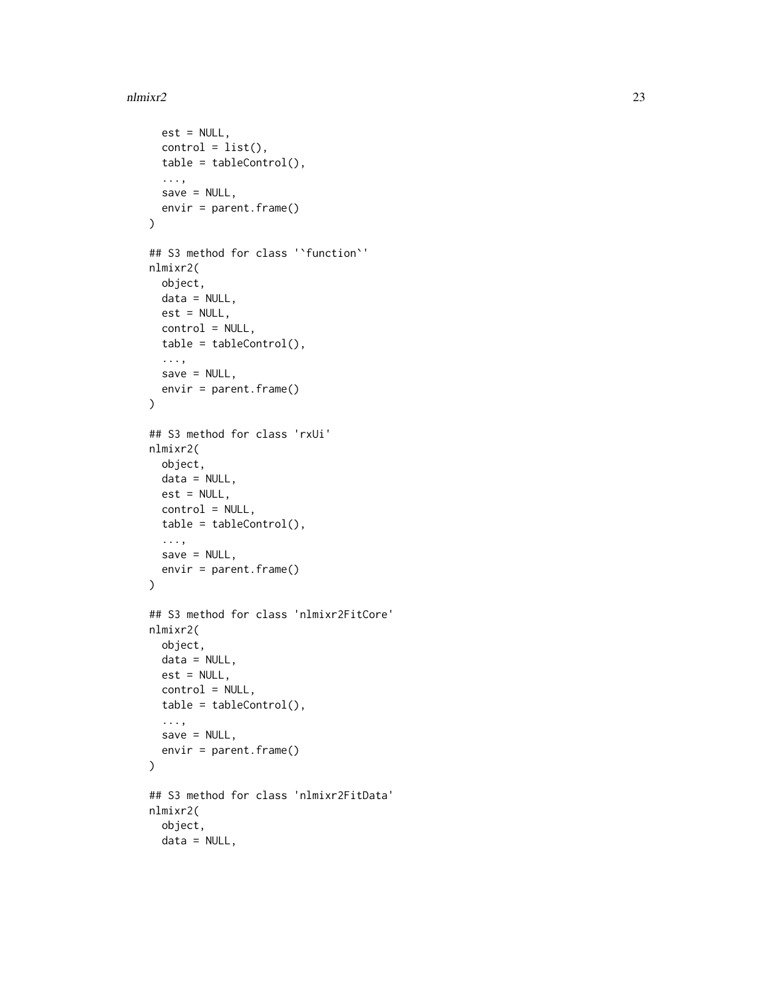```
est = NULL,control = list(),
  table = tableControl(),
  ...,
 save = NULL,envir = parent.frame()
\mathcal{L}## S3 method for class '`function`'
nlmixr2(
 object,
 data = NULL,est = NULL,control = NULL,
 table = tableControl(),
  ...,
 save = NULL,
 envir = parent.frame()
\lambda## S3 method for class 'rxUi'
nlmixr2(
 object,
 data = NULL,est = NULL,control = NULL,
  table = tableControl(),
  ...,
 save = NULL,
 envir = parent.frame()
\mathcal{L}## S3 method for class 'nlmixr2FitCore'
nlmixr2(
 object,
 data = NULL,
 est = NULL,control = NULL,
  table = tableControl(),
  ...,
 save = NULL,
 envir = parent.frame()
\lambda## S3 method for class 'nlmixr2FitData'
nlmixr2(
 object,
 data = NULL,
```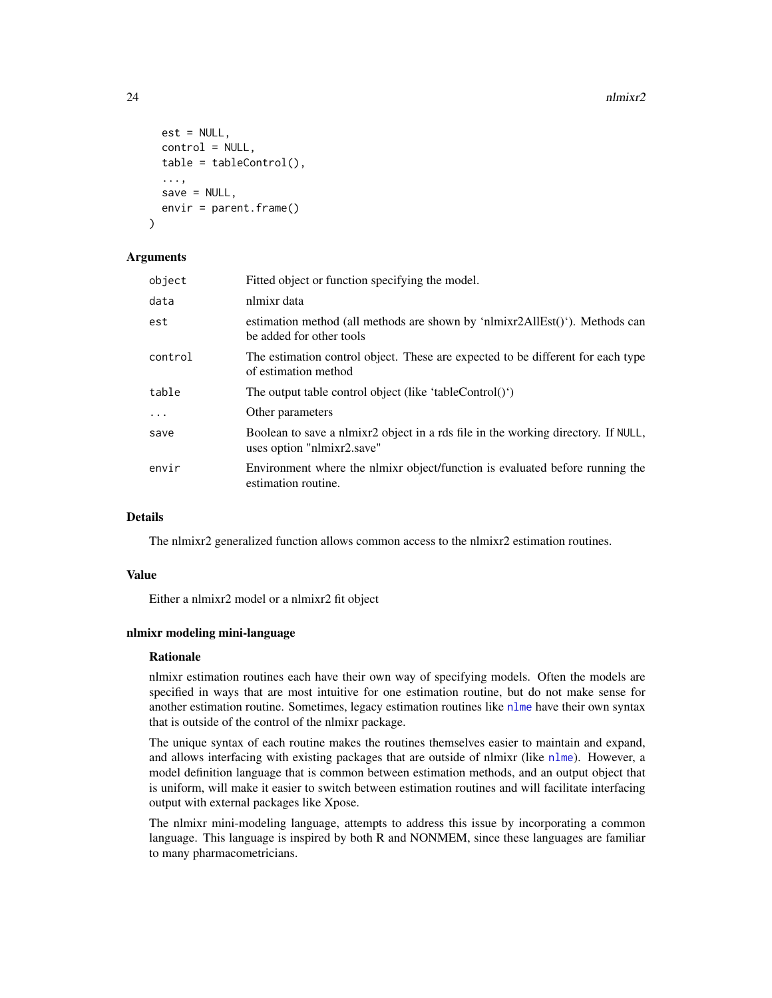```
est = NULL,control = NULL,
  table = tableControl(),
  ...,
  save = NULL,envir = parent.frame()
)
```
#### Arguments

| object  | Fitted object or function specifying the model.                                                                 |
|---------|-----------------------------------------------------------------------------------------------------------------|
| data    | nlmixr data                                                                                                     |
| est     | estimation method (all methods are shown by 'nlmixr2AllEst()'). Methods can<br>be added for other tools         |
| control | The estimation control object. These are expected to be different for each type<br>of estimation method         |
| table   | The output table control object (like 'tableControl()')                                                         |
| .       | Other parameters                                                                                                |
| save    | Boolean to save a nimixr2 object in a rds file in the working directory. If NULL,<br>uses option "nlmixr2.save" |
| envir   | Environment where the nlmixr object/function is evaluated before running the<br>estimation routine.             |

# Details

The nlmixr2 generalized function allows common access to the nlmixr2 estimation routines.

#### Value

Either a nlmixr2 model or a nlmixr2 fit object

# nlmixr modeling mini-language

#### Rationale

nlmixr estimation routines each have their own way of specifying models. Often the models are specified in ways that are most intuitive for one estimation routine, but do not make sense for another estimation routine. Sometimes, legacy estimation routines like [nlme](#page-0-0) have their own syntax that is outside of the control of the nlmixr package.

The unique syntax of each routine makes the routines themselves easier to maintain and expand, and allows interfacing with existing packages that are outside of nlmixr (like [nlme](#page-0-0)). However, a model definition language that is common between estimation methods, and an output object that is uniform, will make it easier to switch between estimation routines and will facilitate interfacing output with external packages like Xpose.

The nlmixr mini-modeling language, attempts to address this issue by incorporating a common language. This language is inspired by both R and NONMEM, since these languages are familiar to many pharmacometricians.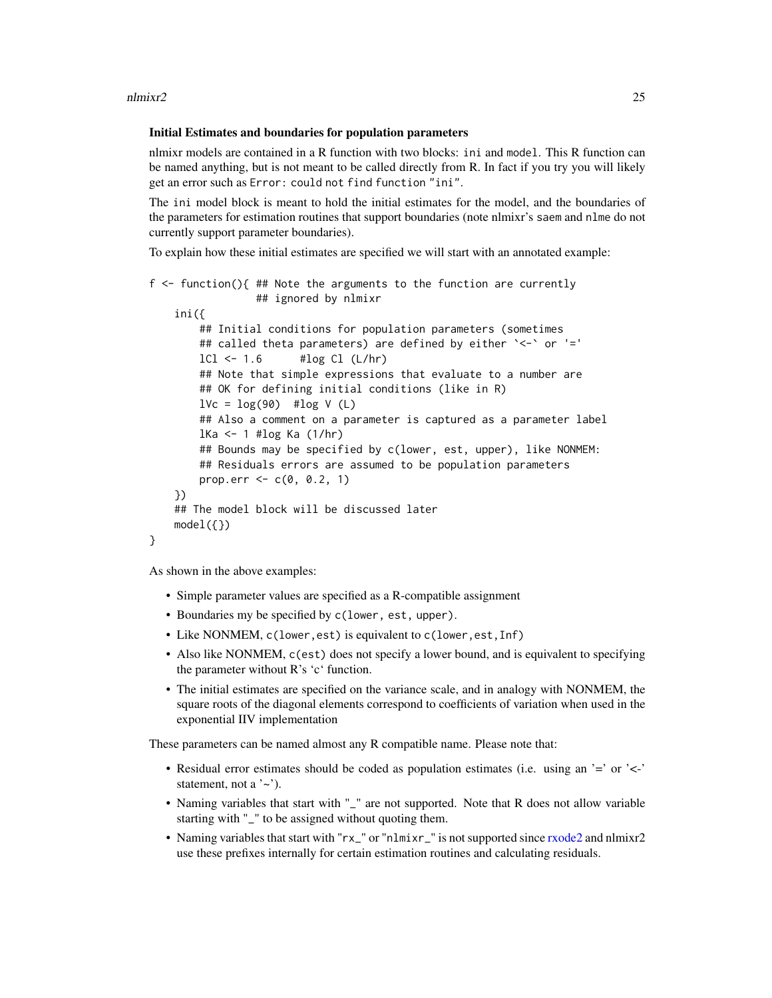#### Initial Estimates and boundaries for population parameters

nlmixr models are contained in a R function with two blocks: ini and model. This R function can be named anything, but is not meant to be called directly from R. In fact if you try you will likely get an error such as Error: could not find function "ini".

The ini model block is meant to hold the initial estimates for the model, and the boundaries of the parameters for estimation routines that support boundaries (note nlmixr's saem and nlme do not currently support parameter boundaries).

To explain how these initial estimates are specified we will start with an annotated example:

```
f <- function(){ ## Note the arguments to the function are currently
                ## ignored by nlmixr
   ini({
       ## Initial conditions for population parameters (sometimes
       ## called theta parameters) are defined by either `<-` or '='
       lCl \leftarrow 1.6 #log Cl (L/hr)## Note that simple expressions that evaluate to a number are
       ## OK for defining initial conditions (like in R)
       lVc = log(90) #log V(L)## Also a comment on a parameter is captured as a parameter label
       lKa <- 1 #log Ka (1/hr)
       ## Bounds may be specified by c(lower, est, upper), like NONMEM:
       ## Residuals errors are assumed to be population parameters
       prop.err <-c(0, 0.2, 1)})
   ## The model block will be discussed later
   model({})}
```
As shown in the above examples:

- Simple parameter values are specified as a R-compatible assignment
- Boundaries my be specified by c(lower, est, upper).
- Like NONMEM, c(lower,est) is equivalent to c(lower,est,Inf)
- Also like NONMEM, c(est) does not specify a lower bound, and is equivalent to specifying the parameter without R's 'c' function.
- The initial estimates are specified on the variance scale, and in analogy with NONMEM, the square roots of the diagonal elements correspond to coefficients of variation when used in the exponential IIV implementation

These parameters can be named almost any R compatible name. Please note that:

- Residual error estimates should be coded as population estimates (i.e. using an '=' or '<-' statement, not a  $\sim$ .
- Naming variables that start with "\_" are not supported. Note that R does not allow variable starting with "\_" to be assigned without quoting them.
- Naming variables that start with "rx\_" or "nlmixr\_" is not supported since [rxode2](#page-0-0) and nlmixr2 use these prefixes internally for certain estimation routines and calculating residuals.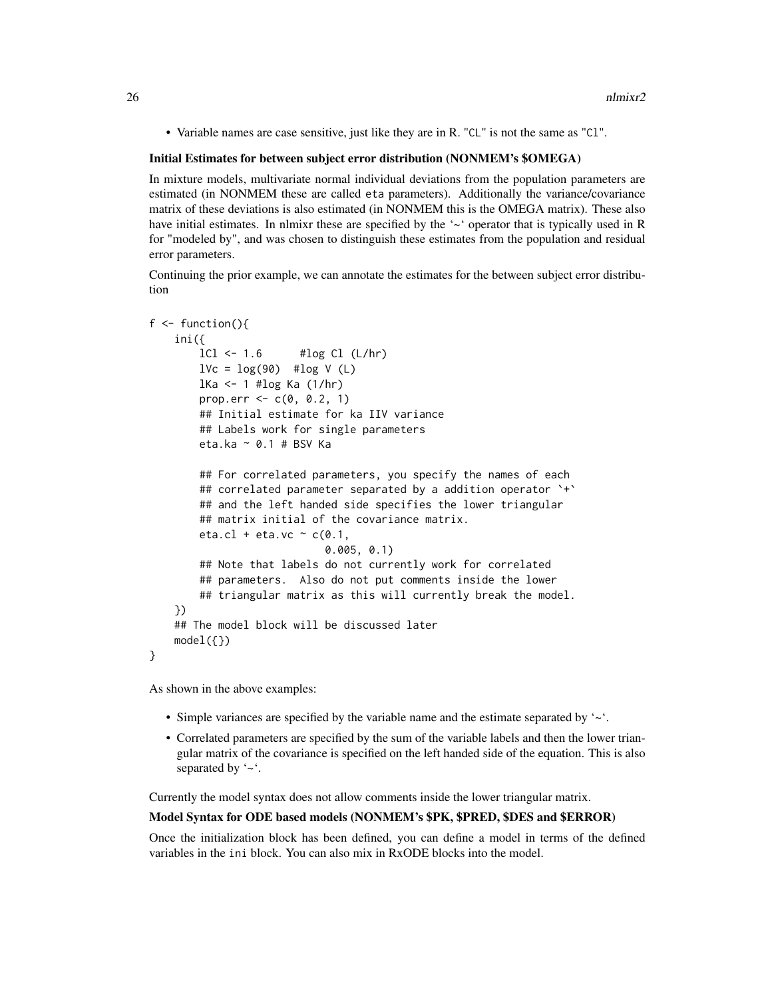• Variable names are case sensitive, just like they are in R. "CL" is not the same as "Cl".

#### Initial Estimates for between subject error distribution (NONMEM's \$OMEGA)

In mixture models, multivariate normal individual deviations from the population parameters are estimated (in NONMEM these are called eta parameters). Additionally the variance/covariance matrix of these deviations is also estimated (in NONMEM this is the OMEGA matrix). These also have initial estimates. In nlmixr these are specified by the '~' operator that is typically used in R for "modeled by", and was chosen to distinguish these estimates from the population and residual error parameters.

Continuing the prior example, we can annotate the estimates for the between subject error distribution

```
f \leftarrow function()ini({
       lCl \leftarrow 1.6 #log Cl (L/hr)lVc = log(90) #log V(L)lKa <- 1 #log Ka (1/hr)
       prop.err <-c(0, 0.2, 1)## Initial estimate for ka IIV variance
        ## Labels work for single parameters
       eta.ka ~ 0.1 # BSV Ka
       ## For correlated parameters, you specify the names of each
       ## correlated parameter separated by a addition operator `+`
       ## and the left handed side specifies the lower triangular
       ## matrix initial of the covariance matrix.
       eta.cl + eta.vc \sim c(0.1,
                            0.005, 0.1)
       ## Note that labels do not currently work for correlated
       ## parameters. Also do not put comments inside the lower
        ## triangular matrix as this will currently break the model.
    })
    ## The model block will be discussed later
   model({})}
```
As shown in the above examples:

- Simple variances are specified by the variable name and the estimate separated by '~'.
- Correlated parameters are specified by the sum of the variable labels and then the lower triangular matrix of the covariance is specified on the left handed side of the equation. This is also separated by '~'.

Currently the model syntax does not allow comments inside the lower triangular matrix.

#### Model Syntax for ODE based models (NONMEM's \$PK, \$PRED, \$DES and \$ERROR)

Once the initialization block has been defined, you can define a model in terms of the defined variables in the ini block. You can also mix in RxODE blocks into the model.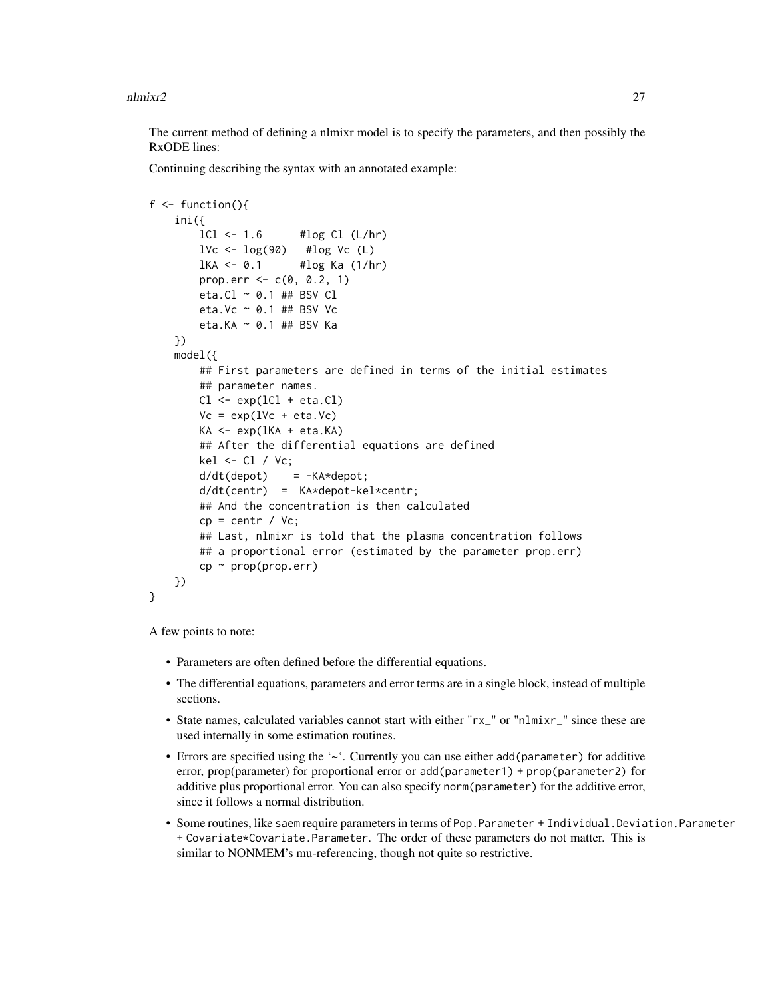The current method of defining a nlmixr model is to specify the parameters, and then possibly the RxODE lines:

Continuing describing the syntax with an annotated example:

```
f \leftarrow function()ini({
        lCl \leftarrow 1.6 #log Cl (L/hr)1Vc <- \log(90) #log Vc (L)
        1KA <- 0.1 #\log Ka (1/hr)
        prop.err \leq -c(0, 0.2, 1)eta.Cl \sim 0.1 ## BSV Cl
        eta.Vc ~ 0.1 ## BSV Vc
        eta.KA ~ 0.1 ## BSV Ka
    })
    model({
        ## First parameters are defined in terms of the initial estimates
        ## parameter names.
        Cl \leftarrow \exp(1Cl + eta.C1)Vc = exp(1Vc + eta.Vc)KA <- exp(lKA + eta.KA)
        ## After the differential equations are defined
        kel <- Cl / Vc;
        d/dt(depot) = -KA*depot;
        d/dt(centr) = KA*depot-kel*centr;
        ## And the concentration is then calculated
        cp = centr / Vc;## Last, nlmixr is told that the plasma concentration follows
        ## a proportional error (estimated by the parameter prop.err)
        cp \sim prop(prop.err)})
}
```
A few points to note:

- Parameters are often defined before the differential equations.
- The differential equations, parameters and error terms are in a single block, instead of multiple sections.
- State names, calculated variables cannot start with either "rx\_" or "nlmixr\_" since these are used internally in some estimation routines.
- Errors are specified using the '~'. Currently you can use either add(parameter) for additive error, prop(parameter) for proportional error or add(parameter1) + prop(parameter2) for additive plus proportional error. You can also specify norm(parameter) for the additive error, since it follows a normal distribution.
- Some routines, like saem require parameters in terms of Pop. Parameter + Individual. Deviation. Parameter + Covariate\*Covariate.Parameter. The order of these parameters do not matter. This is similar to NONMEM's mu-referencing, though not quite so restrictive.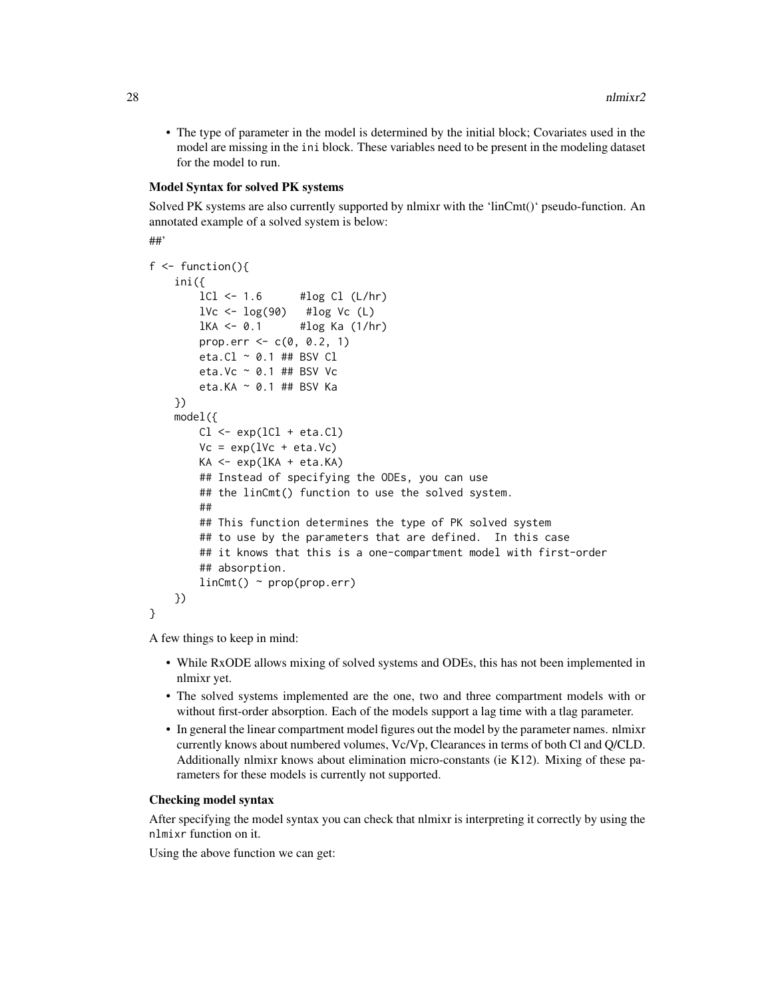• The type of parameter in the model is determined by the initial block; Covariates used in the model are missing in the ini block. These variables need to be present in the modeling dataset for the model to run.

#### Model Syntax for solved PK systems

Solved PK systems are also currently supported by nlmixr with the 'linCmt()' pseudo-function. An annotated example of a solved system is below:

```
##'
```

```
f \leftarrow function()ini({
       lCl \leftarrow 1.6 #log Cl (L/hr)1Vc <- \log(90) #\log Vc (L)
       1KA <- 0.1 #\log Ka (1/hr)
       prop.err <-c(0, 0.2, 1)eta.Cl ~ 0.1 ## BSV Cl
       eta.Vc ~ 0.1 ## BSV Vc
       eta.KA ~ 0.1 ## BSV Ka
    })
   model({
       Cl \leftarrow exp(1Cl + eta.C1)Vc = exp(1Vc + eta.Vc)KA \leq exp(lKA + eta.KA)
       ## Instead of specifying the ODEs, you can use
       ## the linCmt() function to use the solved system.
       ##
       ## This function determines the type of PK solved system
       ## to use by the parameters that are defined. In this case
       ## it knows that this is a one-compartment model with first-order
       ## absorption.
       linCmt() ~ prop(prop.err)
    })
}
```
A few things to keep in mind:

- While RxODE allows mixing of solved systems and ODEs, this has not been implemented in nlmixr yet.
- The solved systems implemented are the one, two and three compartment models with or without first-order absorption. Each of the models support a lag time with a tlag parameter.
- In general the linear compartment model figures out the model by the parameter names. nlmixr currently knows about numbered volumes, Vc/Vp, Clearances in terms of both Cl and Q/CLD. Additionally nlmixr knows about elimination micro-constants (ie K12). Mixing of these parameters for these models is currently not supported.

#### Checking model syntax

After specifying the model syntax you can check that nlmixr is interpreting it correctly by using the nlmixr function on it.

Using the above function we can get: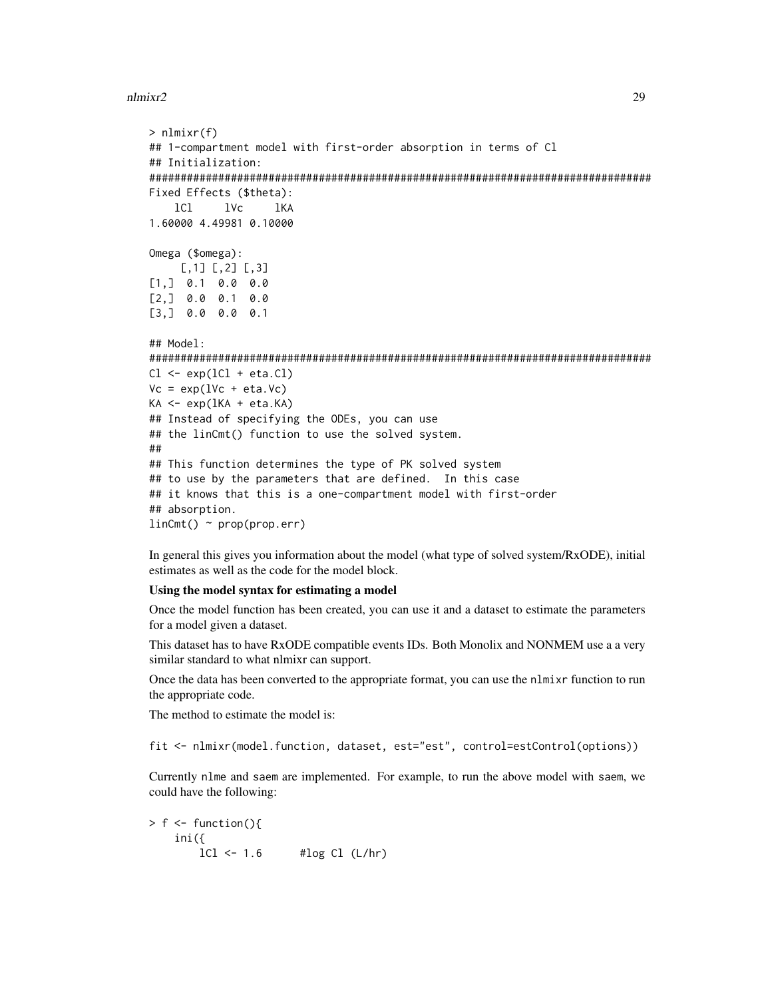```
> nlmixr(f)
## 1-compartment model with first-order absorption in terms of Cl
## Initialization:
################################################################################
Fixed Effects ($theta):
   lCl lVc lKA
1.60000 4.49981 0.10000
Omega ($omega):
     [,1] [,2] [,3]
[1,] 0.1 0.0 0.0
[2,] 0.0 0.1 0.0
[3,] 0.0 0.0 0.1
## Model:
################################################################################
Cl \leftarrow \exp(1Cl + eta.C1)Vc = exp(1Vc + eta.Vc)KA \leftarrow exp(IKA + eta.KA)## Instead of specifying the ODEs, you can use
## the linCmt() function to use the solved system.
##
## This function determines the type of PK solved system
## to use by the parameters that are defined. In this case
## it knows that this is a one-compartment model with first-order
## absorption.
linCmt() ~ r prop(prop.err)
```
In general this gives you information about the model (what type of solved system/RxODE), initial estimates as well as the code for the model block.

#### Using the model syntax for estimating a model

Once the model function has been created, you can use it and a dataset to estimate the parameters for a model given a dataset.

This dataset has to have RxODE compatible events IDs. Both Monolix and NONMEM use a a very similar standard to what nlmixr can support.

Once the data has been converted to the appropriate format, you can use the nlmixr function to run the appropriate code.

The method to estimate the model is:

fit <- nlmixr(model.function, dataset, est="est", control=estControl(options))

Currently nlme and saem are implemented. For example, to run the above model with saem, we could have the following:

 $> f \le$  function(){ ini({  $lCl \leftarrow 1.6$  # $log Cl (L/hr)$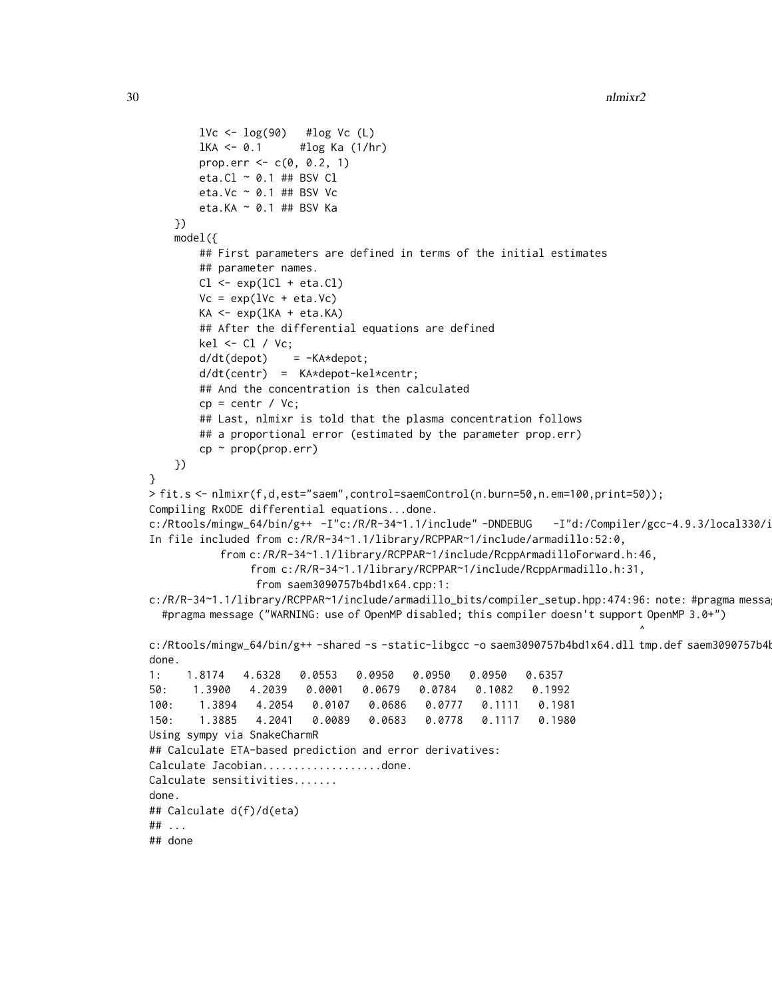```
1Vc \leftarrow \log(90) #\log Vc (L)
       1KA <- 0.1 #1og Ka (1/hr)
       prop.err \leq -c(0, 0.2, 1)eta.Cl ~ 0.1 ## BSV Cl
       eta.Vc ~ 0.1 ## BSV Vc
       eta.KA ~ 0.1 ## BSV Ka
    })
    model({
       ## First parameters are defined in terms of the initial estimates
       ## parameter names.
       Cl \leftarrow \exp(1Cl + eta.C1)Vc = exp(1Vc + eta.Vc)KA <- exp(lKA + eta.KA)
       ## After the differential equations are defined
       kel \le Cl / Vc;
       d/dt(depot) = -KA*depot;
       d/dt(centr) = KA*depot-kel*centr;
       ## And the concentration is then calculated
       cp = centr / Vc;
       ## Last, nlmixr is told that the plasma concentration follows
       ## a proportional error (estimated by the parameter prop.err)
       cp \sim prop(prop.err)})
}
> fit.s <- nlmixr(f,d,est="saem",control=saemControl(n.burn=50,n.em=100,print=50));
Compiling RxODE differential equations...done.
c:/Rtools/mingw_64/bin/g++ -I"c:/R/R-34~1.1/include"-DNDEBUG -I"d:/Compiler/gcc-4.9.3/local330/i
In file included from c:/R/R-34~1.1/library/RCPPAR~1/include/armadillo:52:0,
           from c:/R/R-34~1.1/library/RCPPAR~1/include/RcppArmadilloForward.h:46,
                from c:/R/R-34~1.1/library/RCPPAR~1/include/RcppArmadillo.h:31,
                 from saem3090757b4bd1x64.cpp:1:
c:/R/R-34~1.1/library/RCPPAR~1/include/armadillo_bits/compiler_setup.hpp:474:96: note: #pragma messa
  #pragma message ("WARNING: use of OpenMP disabled; this compiler doesn't support OpenMP 3.0+")
                                                                             \lambdac:/Rtools/mingw_64/bin/g++ -shared -s -static-libgcc -o saem3090757b4bd1x64.dll tmp.def saem3090757b4
done.
1: 1.8174 4.6328 0.0553 0.0950 0.0950 0.0950 0.6357
50: 1.3900 4.2039 0.0001 0.0679 0.0784 0.1082 0.1992
100: 1.3894 4.2054 0.0107 0.0686 0.0777 0.1111 0.1981
150: 1.3885 4.2041 0.0089 0.0683 0.0778 0.1117 0.1980
Using sympy via SnakeCharmR
## Calculate ETA-based prediction and error derivatives:
Calculate Jacobian...................done.
Calculate sensitivities.......
done.
## Calculate d(f)/d(eta)
## ...
## done
```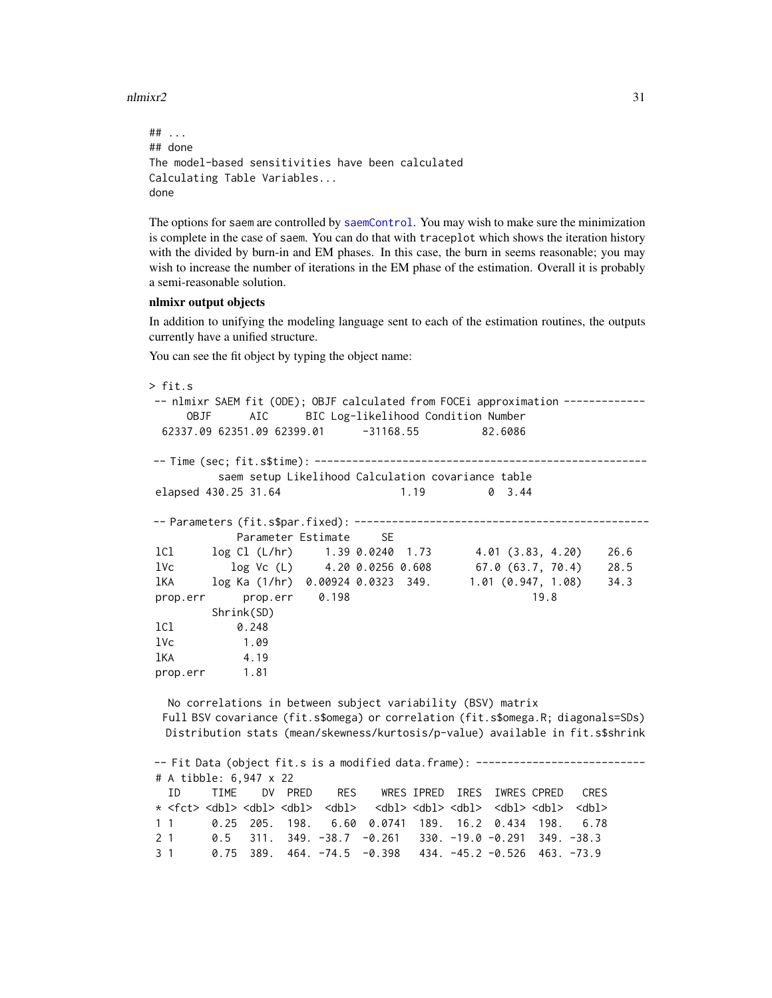```
## ...
## done
The model-based sensitivities have been calculated
Calculating Table Variables...
done
```
The options for saem are controlled by [saemControl](#page-60-1). You may wish to make sure the minimization is complete in the case of saem. You can do that with traceplot which shows the iteration history with the divided by burn-in and EM phases. In this case, the burn in seems reasonable; you may wish to increase the number of iterations in the EM phase of the estimation. Overall it is probably a semi-reasonable solution.

#### nlmixr output objects

In addition to unifying the modeling language sent to each of the estimation routines, the outputs currently have a unified structure.

You can see the fit object by typing the object name:

```
> fit.s
-- nlmixr SAEM fit (ODE); OBJF calculated from FOCEi approximation -------------
    OBJF AIC BIC Log-likelihood Condition Number
 62337.09 62351.09 62399.01 -31168.55 82.6086
-- Time (sec; fit.s$time): -----------------------------------------------------
        saem setup Likelihood Calculation covariance table
elapsed 430.25 31.64 1.19 0 3.44
-- Parameters (fit.s$par.fixed): -----------------------------------------------
           Parameter Estimate SE
lCl log Cl (L/hr) 1.39 0.0240 1.73 4.01 (3.83, 4.20) 26.6
lVc log Vc (L) 4.20 0.0256 0.608 67.0 (63.7, 70.4) 28.5
lKA log Ka (1/hr) 0.00924 0.0323 349. 1.01 (0.947, 1.08) 34.3
prop.err prop.err 0.198 19.8
        Shrink(SD)
lCl 0.248
lVc 1.09
lKA 4.19
prop.err 1.81
  No correlations in between subject variability (BSV) matrix
```
Full BSV covariance (fit.s\$omega) or correlation (fit.s\$omega.R; diagonals=SDs) Distribution stats (mean/skewness/kurtosis/p-value) available in fit.s\$shrink

```
-- Fit Data (object fit.s is a modified data.frame): ---------------------------
# A tibble: 6,947 x 22
 ID TIME DV PRED RES WRES IPRED IRES IWRES CPRED CRES
* <fct> <dbl> <dbl> <dbl> <dbl> <dbl> <dbl> <dbl> <dbl> <dbl> <dbl>
1 1 0.25 205. 198. 6.60 0.0741 189. 16.2 0.434 198. 6.78
2 1 0.5 311. 349. -38.7 -0.261 330. -19.0 -0.291 349. -38.3
3 1 0.75 389. 464. -74.5 -0.398 434. -45.2 -0.526 463. -73.9
```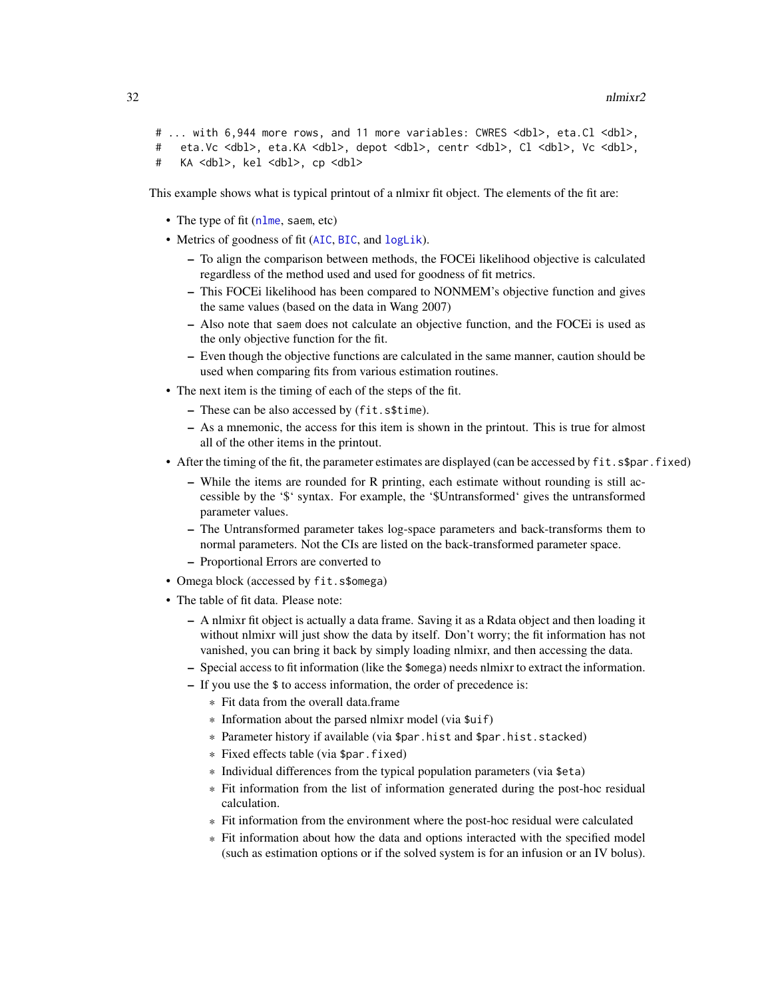```
# ... with 6,944 more rows, and 11 more variables: CWRES <dbl>, eta.Cl <dbl>,
# eta.Vc <dbl>, eta.KA <dbl>, depot <dbl>, centr <dbl>, Cl <dbl>, Vc <dbl>,
# KA <dbl>, kel <dbl>, cp <dbl>
```
This example shows what is typical printout of a nlmixr fit object. The elements of the fit are:

- The type of fit ([nlme](#page-0-0), saem, etc)
- Metrics of goodness of fit ([AIC](#page-0-0), [BIC](#page-0-0), and [logLik](#page-0-0)).
	- To align the comparison between methods, the FOCEi likelihood objective is calculated regardless of the method used and used for goodness of fit metrics.
	- This FOCEi likelihood has been compared to NONMEM's objective function and gives the same values (based on the data in Wang 2007)
	- Also note that saem does not calculate an objective function, and the FOCEi is used as the only objective function for the fit.
	- Even though the objective functions are calculated in the same manner, caution should be used when comparing fits from various estimation routines.
- The next item is the timing of each of the steps of the fit.
	- These can be also accessed by (fit.s\$time).
	- As a mnemonic, the access for this item is shown in the printout. This is true for almost all of the other items in the printout.
- After the timing of the fit, the parameter estimates are displayed (can be accessed by fit.s\$par.fixed)
	- While the items are rounded for R printing, each estimate without rounding is still accessible by the '\$' syntax. For example, the '\$Untransformed' gives the untransformed parameter values.
	- The Untransformed parameter takes log-space parameters and back-transforms them to normal parameters. Not the CIs are listed on the back-transformed parameter space. – Proportional Errors are converted to
- Omega block (accessed by fit.s\$omega)
- The table of fit data. Please note:
	- A nlmixr fit object is actually a data frame. Saving it as a Rdata object and then loading it without nlmixr will just show the data by itself. Don't worry; the fit information has not vanished, you can bring it back by simply loading nlmixr, and then accessing the data.
	- Special access to fit information (like the \$omega) needs nlmixr to extract the information.
	- If you use the \$ to access information, the order of precedence is:
		- \* Fit data from the overall data.frame
		- \* Information about the parsed nlmixr model (via \$uif)
		- \* Parameter history if available (via \$par.hist and \$par.hist.stacked)
		- \* Fixed effects table (via \$par.fixed)
		- \* Individual differences from the typical population parameters (via \$eta)
		- \* Fit information from the list of information generated during the post-hoc residual calculation.
		- \* Fit information from the environment where the post-hoc residual were calculated
		- \* Fit information about how the data and options interacted with the specified model (such as estimation options or if the solved system is for an infusion or an IV bolus).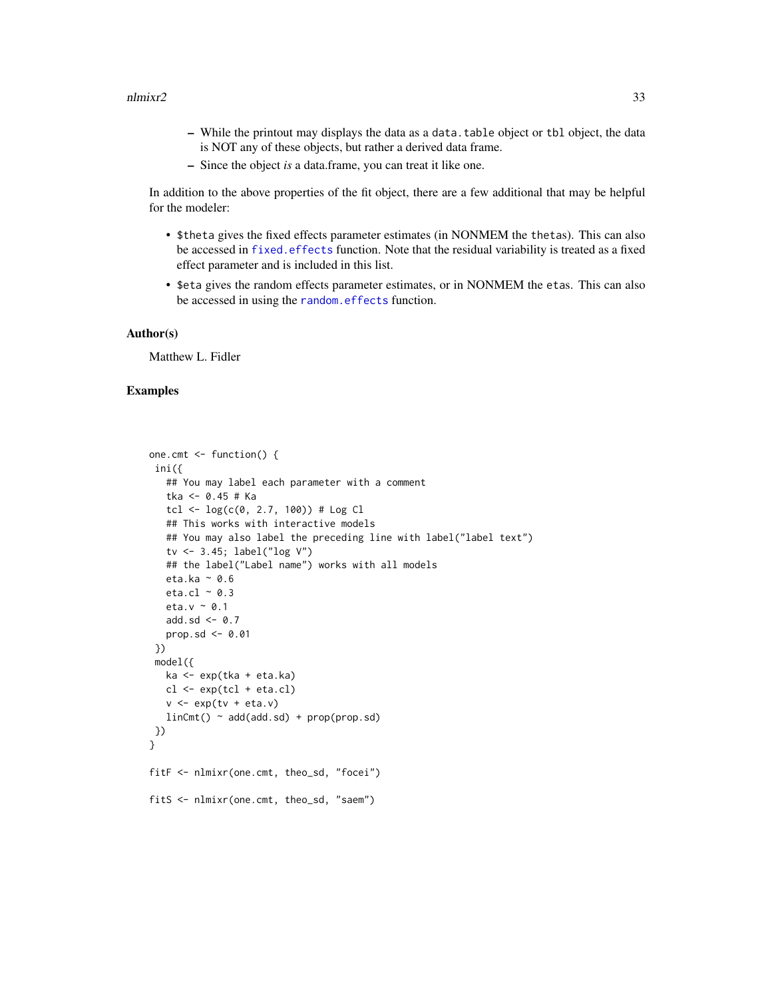- While the printout may displays the data as a data.table object or tbl object, the data is NOT any of these objects, but rather a derived data frame.
- Since the object *is* a data.frame, you can treat it like one.

In addition to the above properties of the fit object, there are a few additional that may be helpful for the modeler:

- \$theta gives the fixed effects parameter estimates (in NONMEM the thetas). This can also be accessed in [fixed.effects](#page-0-0) function. Note that the residual variability is treated as a fixed effect parameter and is included in this list.
- \$eta gives the random effects parameter estimates, or in NONMEM the etas. This can also be accessed in using the [random.effects](#page-0-0) function.

#### Author(s)

Matthew L. Fidler

#### Examples

```
one.cmt <- function() {
 ini({
   ## You may label each parameter with a comment
   tka <- 0.45 # Ka
   tcl \leftarrow log(c(0, 2.7, 100)) # Log Cl
   ## This works with interactive models
   ## You may also label the preceding line with label("label text")
   tv <- 3.45; label("log V")
   ## the label("Label name") works with all models
   eta.ka ~ 0.6
   eta.cl \sim 0.3
   eta.v ~ 0.1
   add.sd \leq -0.7prop.sd \leq -0.01})
 model({
   ka <- exp(tka + eta.ka)
   cl \leftarrow exp(tcl + eta. cl)v \leftarrow \exp(tv + eta.v)linCmt() ~ ~ add(add.sd) ~ + prop(prop.sd)})
}
fitF <- nlmixr(one.cmt, theo_sd, "focei")
fitS <- nlmixr(one.cmt, theo_sd, "saem")
```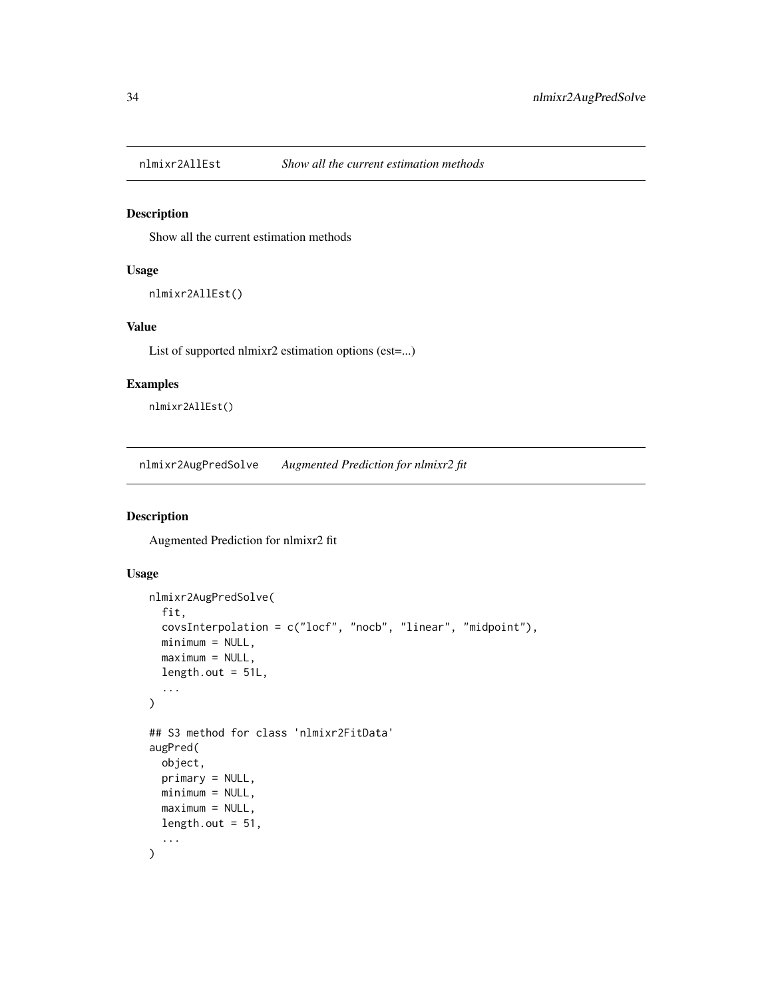<span id="page-33-0"></span>

#### Description

Show all the current estimation methods

# Usage

```
nlmixr2AllEst()
```
# Value

List of supported nlmixr2 estimation options (est=...)

#### Examples

nlmixr2AllEst()

nlmixr2AugPredSolve *Augmented Prediction for nlmixr2 fit*

# Description

Augmented Prediction for nlmixr2 fit

#### Usage

```
nlmixr2AugPredSolve(
  fit,
  covsInterpolation = c("locf", "nocb", "linear", "midpoint"),
 minimum = NULL,maximum = NULL,length.out = 51L,
  ...
)
## S3 method for class 'nlmixr2FitData'
augPred(
 object,
 primary = NULL,
 minimum = NULL,
 maximum = NULL,length.out = 51,
  ...
\mathcal{L}
```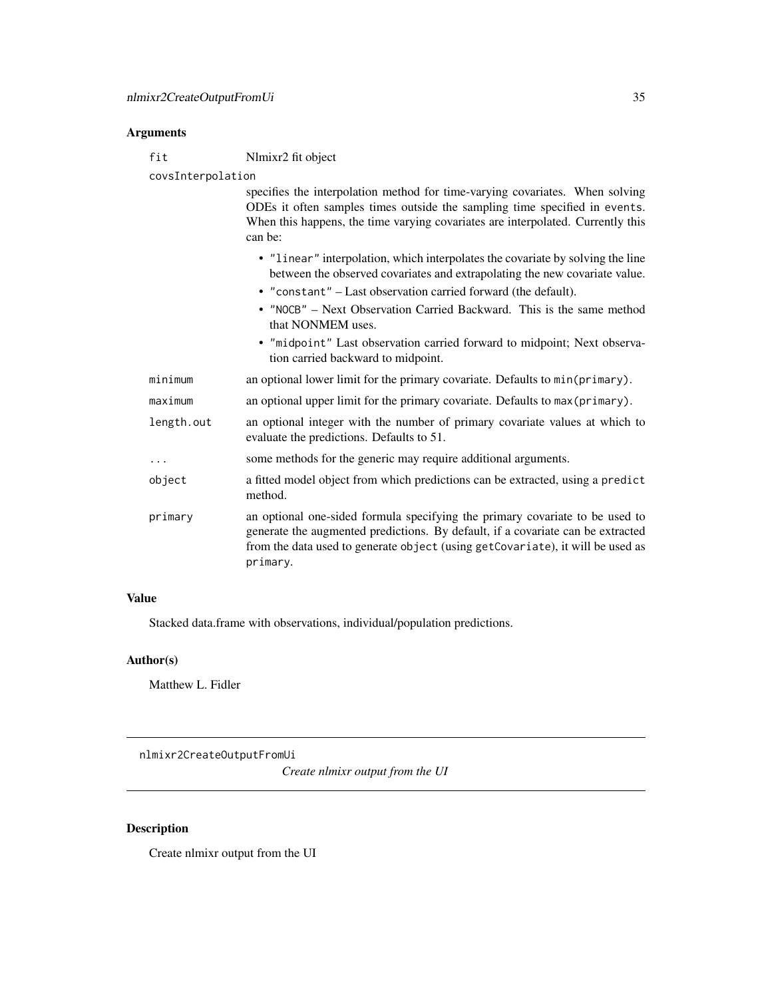#### <span id="page-34-0"></span>**Arguments**

fit Nlmixr2 fit object

covsInterpolation

specifies the interpolation method for time-varying covariates. When solving ODEs it often samples times outside the sampling time specified in events. When this happens, the time varying covariates are interpolated. Currently this can be:

• "linear" interpolation, which interpolates the covariate by solving the line between the observed covariates and extrapolating the new covariate value. • "constant" – Last observation carried forward (the default). • "NOCB" – Next Observation Carried Backward. This is the same method that NONMEM uses. • "midpoint" Last observation carried forward to midpoint; Next observation carried backward to midpoint.

| minimum    | an optional lower limit for the primary covariate. Defaults to min(primary).                                                                                                                                                                                  |
|------------|---------------------------------------------------------------------------------------------------------------------------------------------------------------------------------------------------------------------------------------------------------------|
| maximum    | an optional upper limit for the primary covariate. Defaults to max (primary).                                                                                                                                                                                 |
| length.out | an optional integer with the number of primary covariate values at which to<br>evaluate the predictions. Defaults to 51.                                                                                                                                      |
| $\ddots$ . | some methods for the generic may require additional arguments.                                                                                                                                                                                                |
| object     | a fitted model object from which predictions can be extracted, using a predict<br>method.                                                                                                                                                                     |
| primary    | an optional one-sided formula specifying the primary covariate to be used to<br>generate the augmented predictions. By default, if a covariate can be extracted<br>from the data used to generate object (using getCovariate), it will be used as<br>primary. |

#### Value

Stacked data.frame with observations, individual/population predictions.

# Author(s)

Matthew L. Fidler

nlmixr2CreateOutputFromUi

*Create nlmixr output from the UI*

# Description

Create nlmixr output from the UI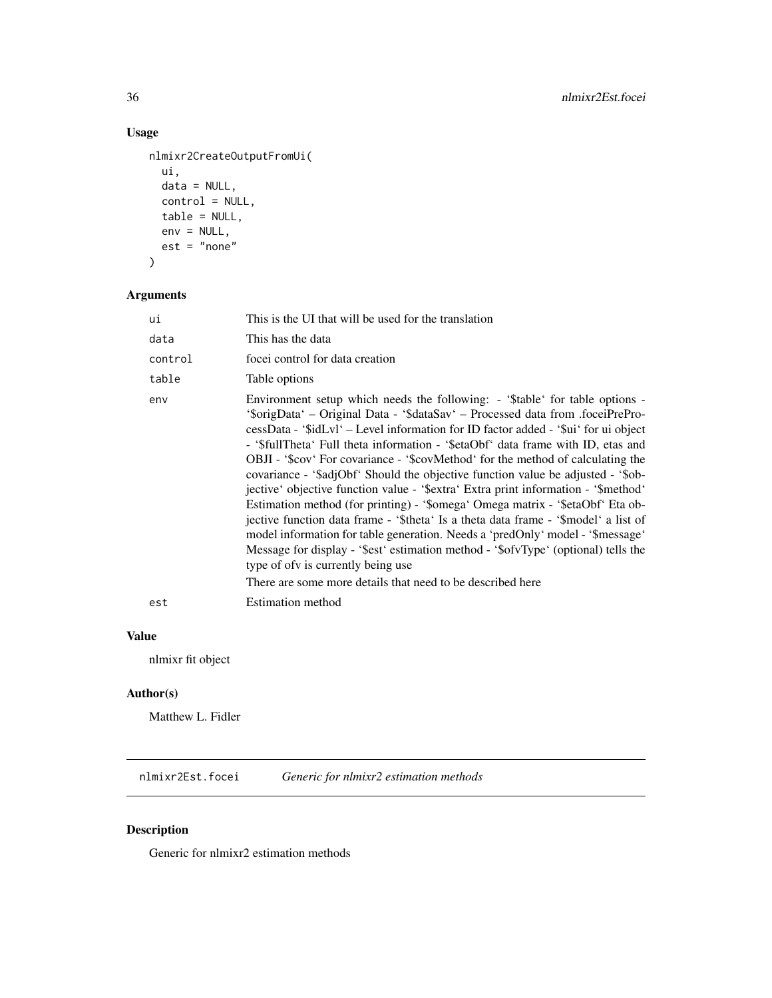# Usage

```
nlmixr2CreateOutputFromUi(
 ui,
 data = NULL,
 control = NULL,
 table = NULL,
 env = NULL,est = "none")
```
# Arguments

| ui      | This is the UI that will be used for the translation                                                                                                                                                                                                                                                                                                                                                                                                                                                                                                                                                                                                                                                                                                                                                                                                                                                                                                                                                                                                        |
|---------|-------------------------------------------------------------------------------------------------------------------------------------------------------------------------------------------------------------------------------------------------------------------------------------------------------------------------------------------------------------------------------------------------------------------------------------------------------------------------------------------------------------------------------------------------------------------------------------------------------------------------------------------------------------------------------------------------------------------------------------------------------------------------------------------------------------------------------------------------------------------------------------------------------------------------------------------------------------------------------------------------------------------------------------------------------------|
| data    | This has the data                                                                                                                                                                                                                                                                                                                                                                                                                                                                                                                                                                                                                                                                                                                                                                                                                                                                                                                                                                                                                                           |
| control | focei control for data creation                                                                                                                                                                                                                                                                                                                                                                                                                                                                                                                                                                                                                                                                                                                                                                                                                                                                                                                                                                                                                             |
| table   | Table options                                                                                                                                                                                                                                                                                                                                                                                                                                                                                                                                                                                                                                                                                                                                                                                                                                                                                                                                                                                                                                               |
| env     | Environment setup which needs the following: - '\$table' for table options -<br>'sorigData' – Original Data - '\$dataSav' – Processed data from .foceiPrePro-<br>cessData - '\$idLvl' – Level information for ID factor added - '\$ui' for ui object<br>- '\$fullTheta' Full theta information - '\$etaObf' data frame with ID, etas and<br>OBJI - '\$cov' For covariance - '\$covMethod' for the method of calculating the<br>covariance - '\$adjObf' Should the objective function value be adjusted - '\$ob-<br>jective' objective function value - '\$extra' Extra print information - '\$method'<br>Estimation method (for printing) - '\$omega' Omega matrix - '\$etaObf' Eta ob-<br>jective function data frame - '\$theta' Is a theta data frame - '\$model' a list of<br>model information for table generation. Needs a 'predOnly' model - '\$message'<br>Message for display - '\$est' estimation method - '\$ofvType' (optional) tells the<br>type of of v is currently being use<br>There are some more details that need to be described here |
| est     | <b>Estimation method</b>                                                                                                                                                                                                                                                                                                                                                                                                                                                                                                                                                                                                                                                                                                                                                                                                                                                                                                                                                                                                                                    |
|         |                                                                                                                                                                                                                                                                                                                                                                                                                                                                                                                                                                                                                                                                                                                                                                                                                                                                                                                                                                                                                                                             |

### Value

nlmixr fit object

# Author(s)

Matthew L. Fidler

nlmixr2Est.focei *Generic for nlmixr2 estimation methods*

# Description

Generic for nlmixr2 estimation methods

<span id="page-35-0"></span>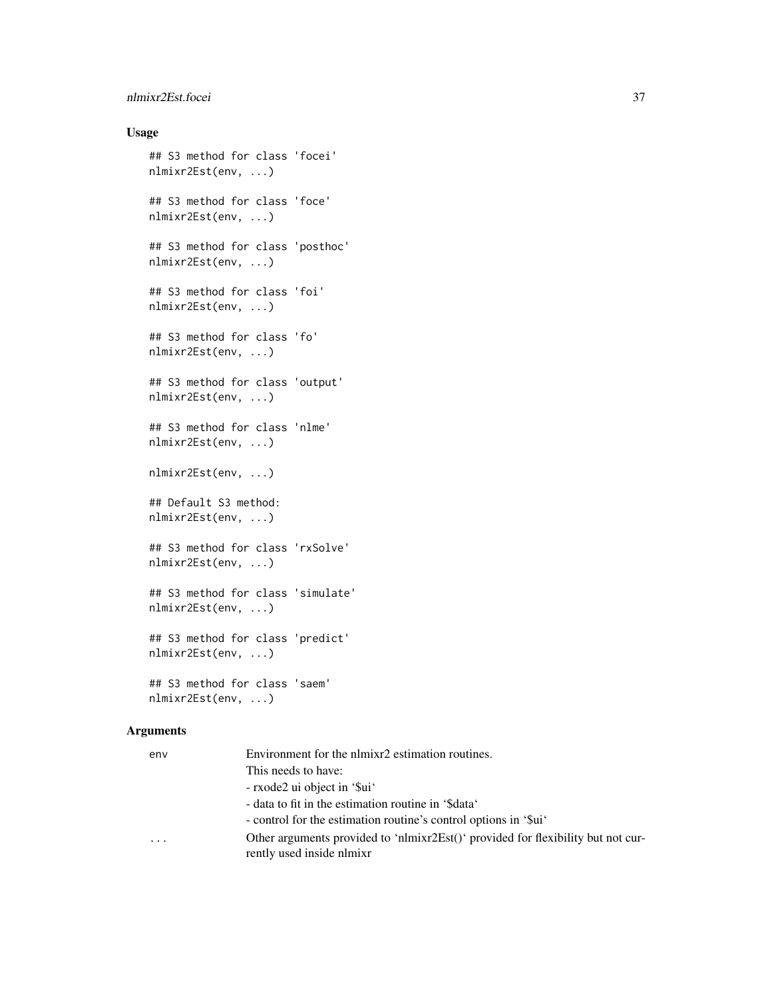#### nlmixr2Est.focei 37

#### Usage

```
## S3 method for class 'focei'
nlmixr2Est(env, ...)
## S3 method for class 'foce'
nlmixr2Est(env, ...)
## S3 method for class 'posthoc'
nlmixr2Est(env, ...)
## S3 method for class 'foi'
nlmixr2Est(env, ...)
## S3 method for class 'fo'
nlmixr2Est(env, ...)
## S3 method for class 'output'
nlmixr2Est(env, ...)
## S3 method for class 'nlme'
nlmixr2Est(env, ...)
nlmixr2Est(env, ...)
## Default S3 method:
nlmixr2Est(env, ...)
## S3 method for class 'rxSolve'
nlmixr2Est(env, ...)
## S3 method for class 'simulate'
nlmixr2Est(env, ...)
## S3 method for class 'predict'
nlmixr2Est(env, ...)
## S3 method for class 'saem'
nlmixr2Est(env, ...)
```

| env                     | Environment for the nlmixr2 estimation routines.                                 |  |
|-------------------------|----------------------------------------------------------------------------------|--|
|                         | This needs to have:                                                              |  |
|                         | - rxode2 ui object in '\$ui'                                                     |  |
|                         | - data to fit in the estimation routine in '\$data'                              |  |
|                         | - control for the estimation routine's control options in '\$ui'                 |  |
| $\cdot$ $\cdot$ $\cdot$ | Other arguments provided to 'nlmixr2Est()' provided for flexibility but not cur- |  |
|                         | rently used inside nlmixr                                                        |  |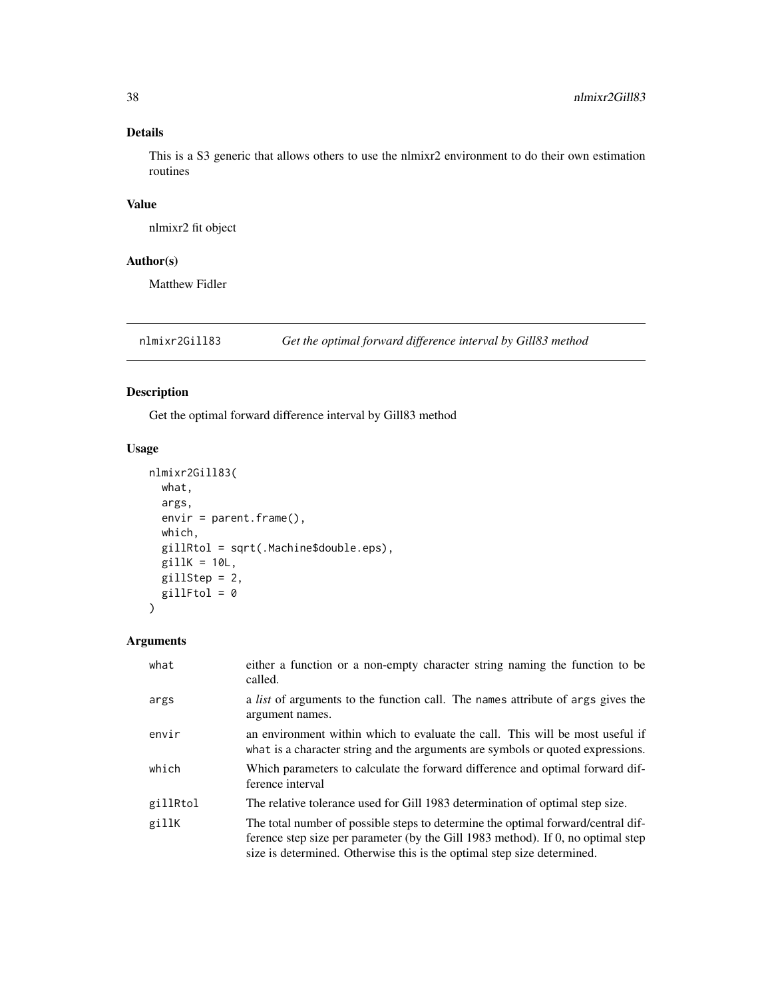#### <span id="page-37-1"></span>Details

This is a S3 generic that allows others to use the nlmixr2 environment to do their own estimation routines

#### Value

nlmixr2 fit object

#### Author(s)

Matthew Fidler

<span id="page-37-0"></span>nlmixr2Gill83 *Get the optimal forward difference interval by Gill83 method*

#### Description

Get the optimal forward difference interval by Gill83 method

#### Usage

```
nlmixr2Gill83(
 what,
  args,
  envir = parent.frame(),
 which,
 gillRtol = sqrt(.Machine$double.eps),
 gillK = 10L,gillStep = 2,
 gillFtol = 0
)
```

| what     | either a function or a non-empty character string naming the function to be<br>called.                                                                                                                                                          |
|----------|-------------------------------------------------------------------------------------------------------------------------------------------------------------------------------------------------------------------------------------------------|
| args     | a <i>list</i> of arguments to the function call. The names attribute of args gives the<br>argument names.                                                                                                                                       |
| envir    | an environment within which to evaluate the call. This will be most useful if<br>what is a character string and the arguments are symbols or quoted expressions.                                                                                |
| which    | Which parameters to calculate the forward difference and optimal forward dif-<br>ference interval                                                                                                                                               |
| gillRtol | The relative tolerance used for Gill 1983 determination of optimal step size.                                                                                                                                                                   |
| gillK    | The total number of possible steps to determine the optimal forward/central dif-<br>ference step size per parameter (by the Gill 1983 method). If 0, no optimal step<br>size is determined. Otherwise this is the optimal step size determined. |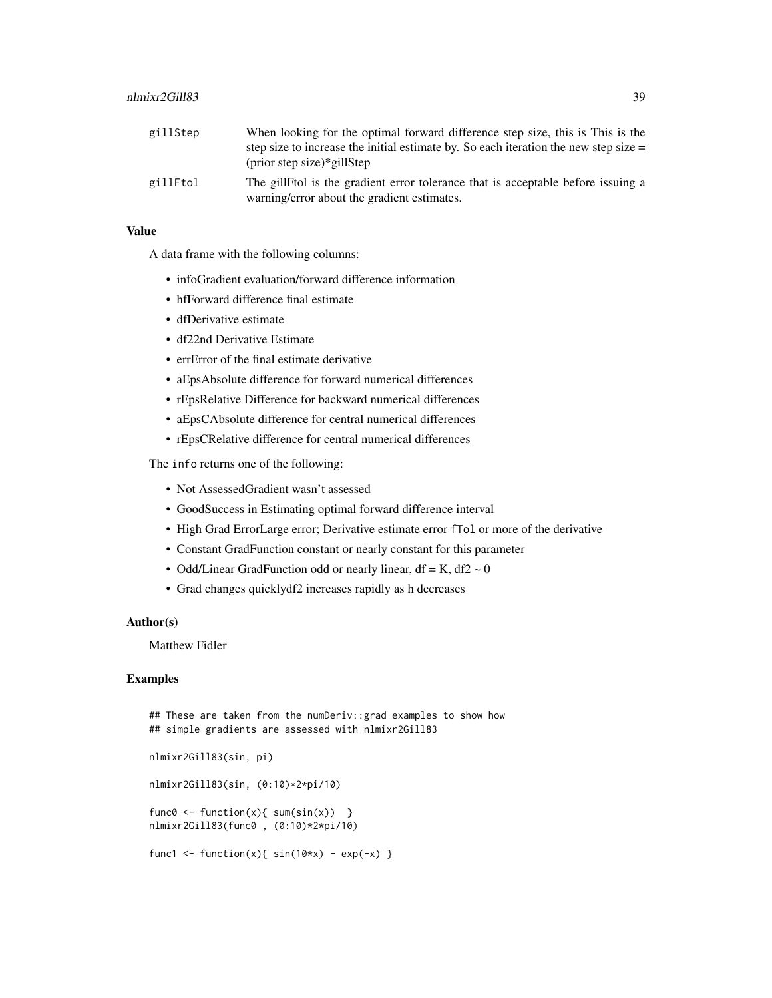| gillStep | When looking for the optimal forward difference step size, this is This is the         |
|----------|----------------------------------------------------------------------------------------|
|          | step size to increase the initial estimate by. So each iteration the new step size $=$ |
|          | (prior step size)*gillStep                                                             |
| gillFtol | The gillFtol is the gradient error tolerance that is acceptable before issuing a       |
|          | warning/error about the gradient estimates.                                            |

#### Value

A data frame with the following columns:

- infoGradient evaluation/forward difference information
- hfForward difference final estimate
- dfDerivative estimate
- df22nd Derivative Estimate
- errError of the final estimate derivative
- aEpsAbsolute difference for forward numerical differences
- rEpsRelative Difference for backward numerical differences
- aEpsCAbsolute difference for central numerical differences
- rEpsCRelative difference for central numerical differences

The info returns one of the following:

- Not AssessedGradient wasn't assessed
- GoodSuccess in Estimating optimal forward difference interval
- High Grad ErrorLarge error; Derivative estimate error fTol or more of the derivative
- Constant GradFunction constant or nearly constant for this parameter
- Odd/Linear GradFunction odd or nearly linear, df = K, df2  $\sim$  0
- Grad changes quicklydf2 increases rapidly as h decreases

#### Author(s)

Matthew Fidler

#### Examples

## These are taken from the numDeriv::grad examples to show how ## simple gradients are assessed with nlmixr2Gill83

```
nlmixr2Gill83(sin, pi)
nlmixr2Gill83(sin, (0:10)*2*pi/10)
func0 <- function(x){ sum(sin(x)) }
nlmixr2Gill83(func0 , (0:10)*2*pi/10)
func1 <- function(x){ sin(10*x) - exp(-x) }
```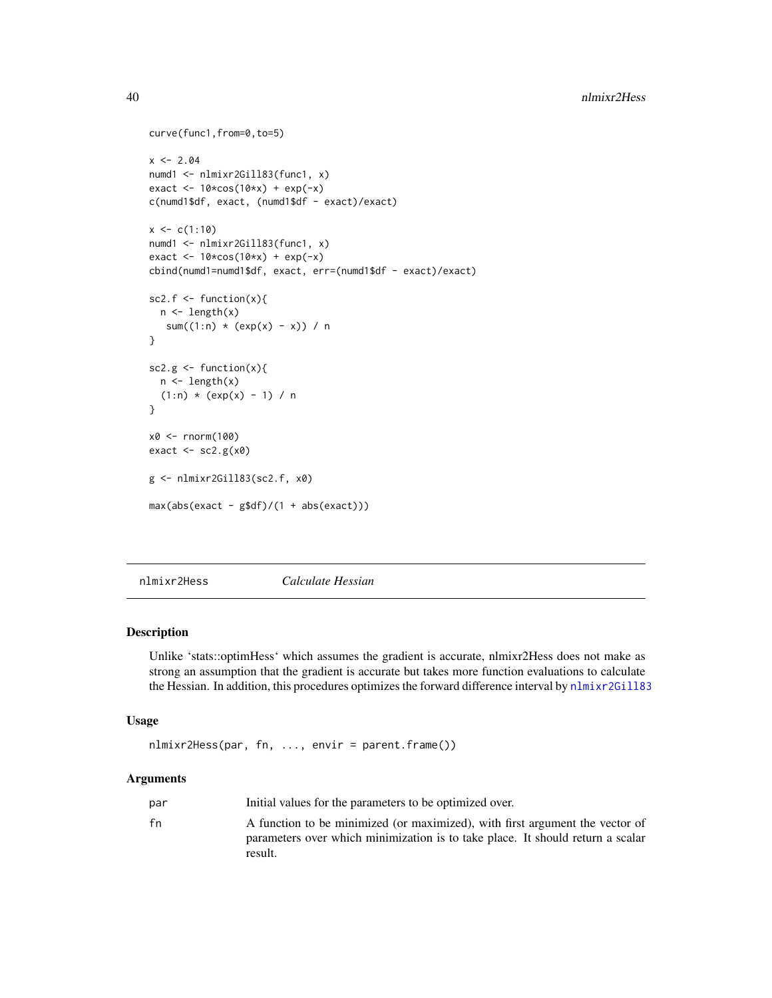```
curve(func1,from=0,to=5)
x < -2.04numd1 <- nlmixr2Gill83(func1, x)
exact <- 10*cos(10*x) + exp(-x)
c(numd1$df, exact, (numd1$df - exact)/exact)
x < -c(1:10)numd1 <- nlmixr2Gill83(func1, x)
exact \leq 10*cos(10*x) + exp(-x)
cbind(numd1=numd1$df, exact, err=(numd1$df - exact)/exact)
sc2.f \le function(x){
  n \leftarrow length(x)sum((1:n) * (exp(x) - x)) / n
}
sc2.g < - function(x){
 n <- length(x)
  (1:n) * (exp(x) - 1) / n}
x0 <- rnorm(100)
exact <- sc2.g(x0)
g <- nlmixr2Gill83(sc2.f, x0)
max(abs(exact - g$df)/(1 + abs(exact)))
```
nlmixr2Hess *Calculate Hessian*

#### Description

Unlike 'stats::optimHess' which assumes the gradient is accurate, nlmixr2Hess does not make as strong an assumption that the gradient is accurate but takes more function evaluations to calculate the Hessian. In addition, this procedures optimizes the forward difference interval by [nlmixr2Gill83](#page-37-0)

#### Usage

```
nlmixr2Hess(par, fn, ..., envir = parent.frame())
```

| par | Initial values for the parameters to be optimized over.                                                                                                                   |  |
|-----|---------------------------------------------------------------------------------------------------------------------------------------------------------------------------|--|
| fn  | A function to be minimized (or maximized), with first argument the vector of<br>parameters over which minimization is to take place. It should return a scalar<br>result. |  |

<span id="page-39-0"></span>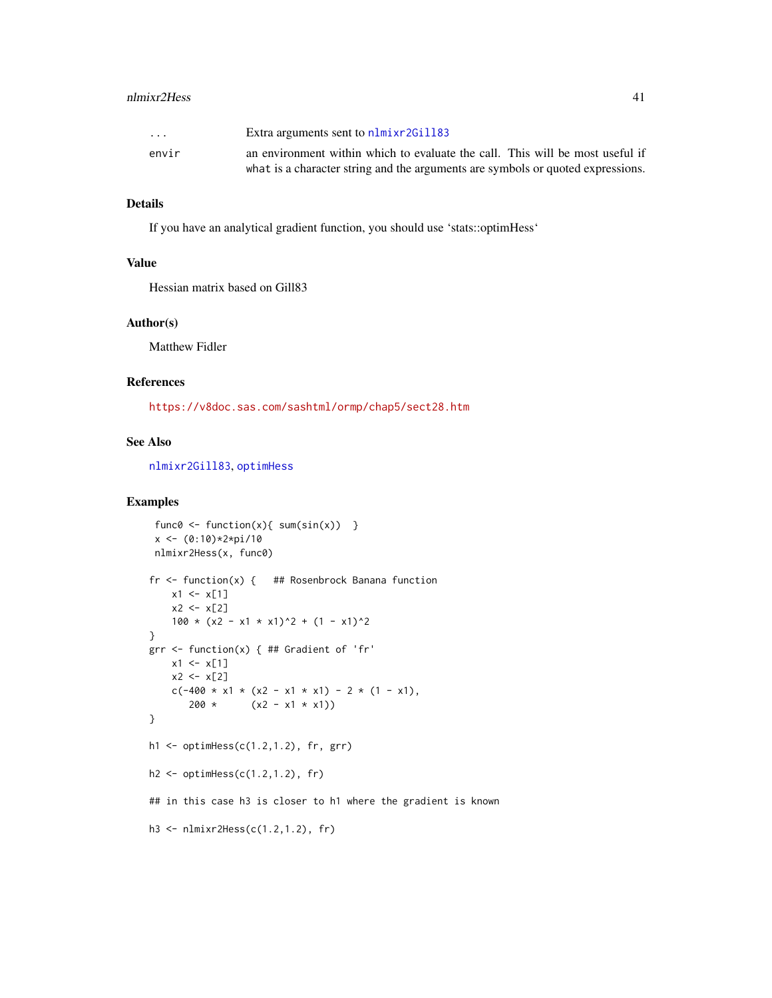#### <span id="page-40-0"></span>nlmixr2Hess 41

| $\cdot$ $\cdot$ $\cdot$ | Extra arguments sent to nlmixr2Gill83                                           |
|-------------------------|---------------------------------------------------------------------------------|
| envir                   | an environment within which to evaluate the call. This will be most useful if   |
|                         | what is a character string and the arguments are symbols or quoted expressions. |

#### Details

If you have an analytical gradient function, you should use 'stats::optimHess'

#### Value

Hessian matrix based on Gill83

#### Author(s)

Matthew Fidler

#### References

<https://v8doc.sas.com/sashtml/ormp/chap5/sect28.htm>

#### See Also

[nlmixr2Gill83](#page-37-0), [optimHess](#page-0-0)

#### Examples

```
func0 \le function(x){ sum(sin(x)) }
 x \leftarrow (0:10) * 2 * pi / 10nlmixr2Hess(x, func0)
fr <- function(x) { ## Rosenbrock Banana function
    x1 \leftarrow x[1]x2 < - x[2]100 \times (x2 - x1 \times x1)^2 + (1 - x1)^2}
grr <- function(x) { ## Gradient of 'fr'
    x1 \le x[1]x2 < - x[2]c(-400 \times x1 \times (x2 - x1 \times x1) - 2 \times (1 - x1),200 * (x2 - x1 * x1))}
h1 <- optimHess(c(1.2,1.2), fr, grr)
h2 \leq optimHess(c(1.2,1.2), fr)
## in this case h3 is closer to h1 where the gradient is known
h3 <- nlmixr2Hess(c(1.2,1.2), fr)
```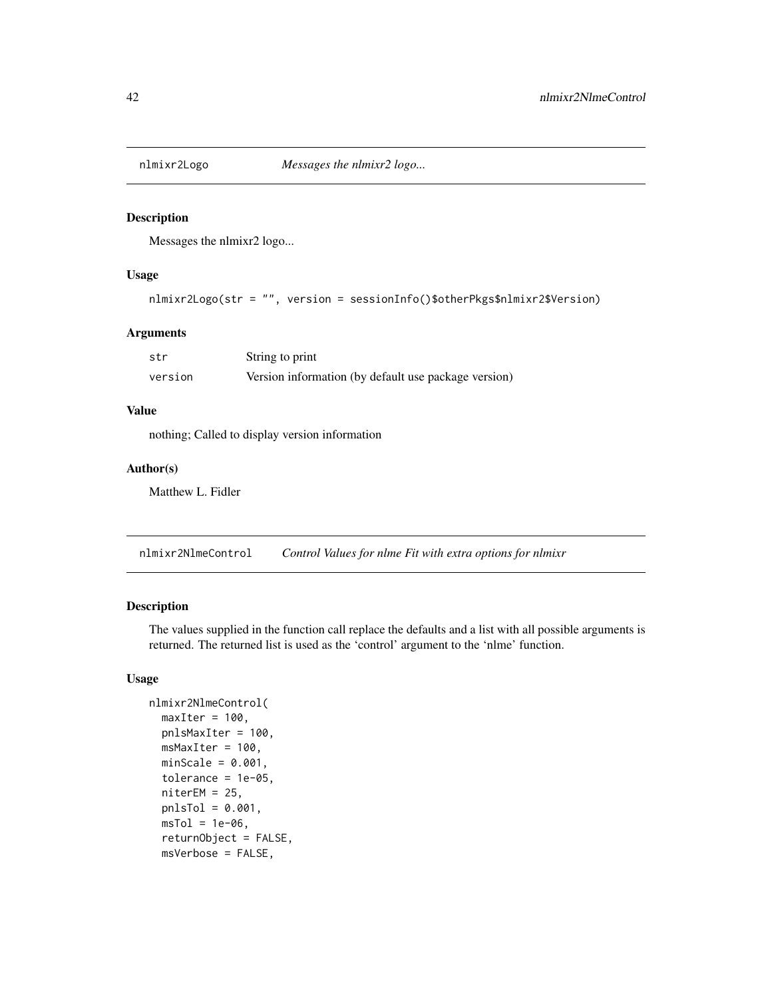<span id="page-41-0"></span>

Messages the nlmixr2 logo...

#### Usage

```
nlmixr2Logo(str = "", version = sessionInfo()$otherPkgs$nlmixr2$Version)
```
#### Arguments

| str     | String to print                                      |
|---------|------------------------------------------------------|
| version | Version information (by default use package version) |

#### Value

nothing; Called to display version information

#### Author(s)

Matthew L. Fidler

nlmixr2NlmeControl *Control Values for nlme Fit with extra options for nlmixr*

#### Description

The values supplied in the function call replace the defaults and a list with all possible arguments is returned. The returned list is used as the 'control' argument to the 'nlme' function.

#### Usage

```
nlmixr2NlmeControl(
 maxIter = 100,pnlsMaxIter = 100,
 msMaxIter = 100,
 minScale = 0.001,tolerance = 1e-05.
 niterEM = 25,
 pnlsTol = 0.001,
 msTol = 1e-06,
  returnObject = FALSE,
 msVerbose = FALSE,
```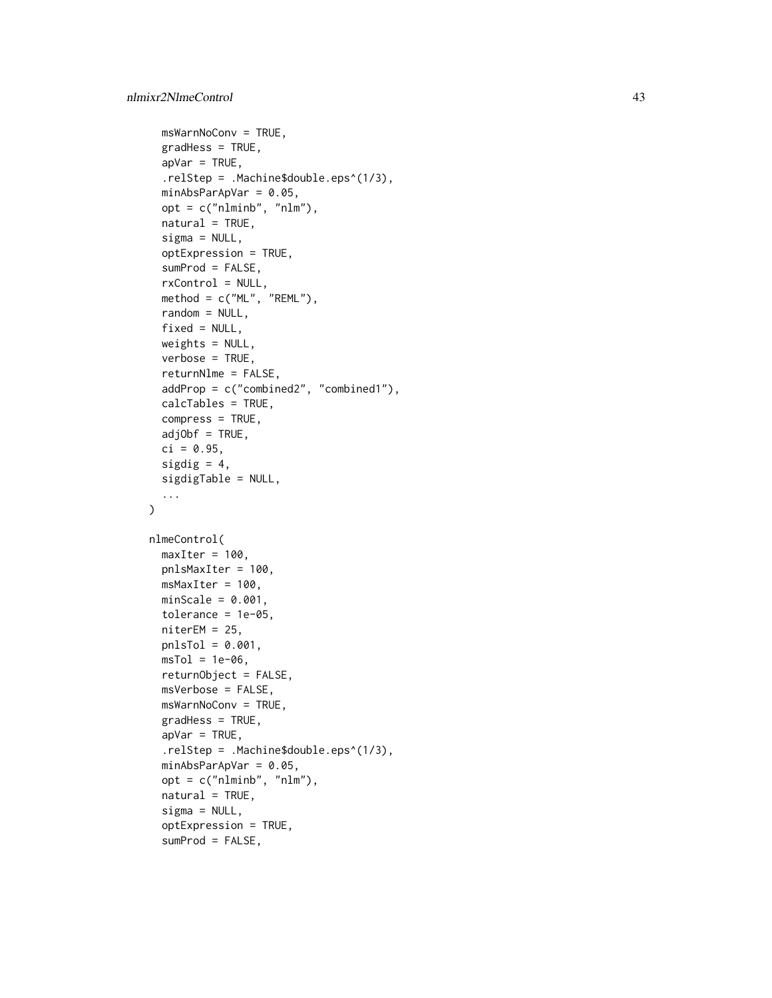```
msWarnNoConv = TRUE,
  gradHess = TRUE,
  apVar = TRUE,.relStep = .Machine$double.eps^(1/3),
 minAbsParApVar = 0.05,
  opt = c("nlminb", "nlm"),
  natural = TRUE,signa = NULL,optExpression = TRUE,
  sumProd = FALSE,
  rxControl = NULL,
 method = c("ML", "REML"),random = NULL,
  fixed = NULL,weights = NULL,verbose = TRUE,
  returnNlme = FALSE,
  addProp = c("combined2", "combined1"),
 calcTables = TRUE,
  compress = TRUE,
  adjObf = TRUE,ci = 0.95,
  sigdig = 4,
 sigdigTable = NULL,
  ...
\lambdanlmeControl(
 maxIter = 100,pnlsMaxIter = 100,
 msMaxIter = 100,minScale = 0.001,tolerance = 1e-05,
 niterEM = 25,
 pnlsTol = 0.001,
 msTol = 1e-06,
 returnObject = FALSE,
 msVerbose = FALSE,
 msWarnNoConv = TRUE,
  gradHess = TRUE,
  apVar = TRUE,.relStep = .Machine$double.eps^(1/3),
 minAbsParApVar = 0.05,
  opt = c("nlminb", "nlm"),natural = TRUE,signa = NULL,optExpression = TRUE,
  sumProd = FALSE,
```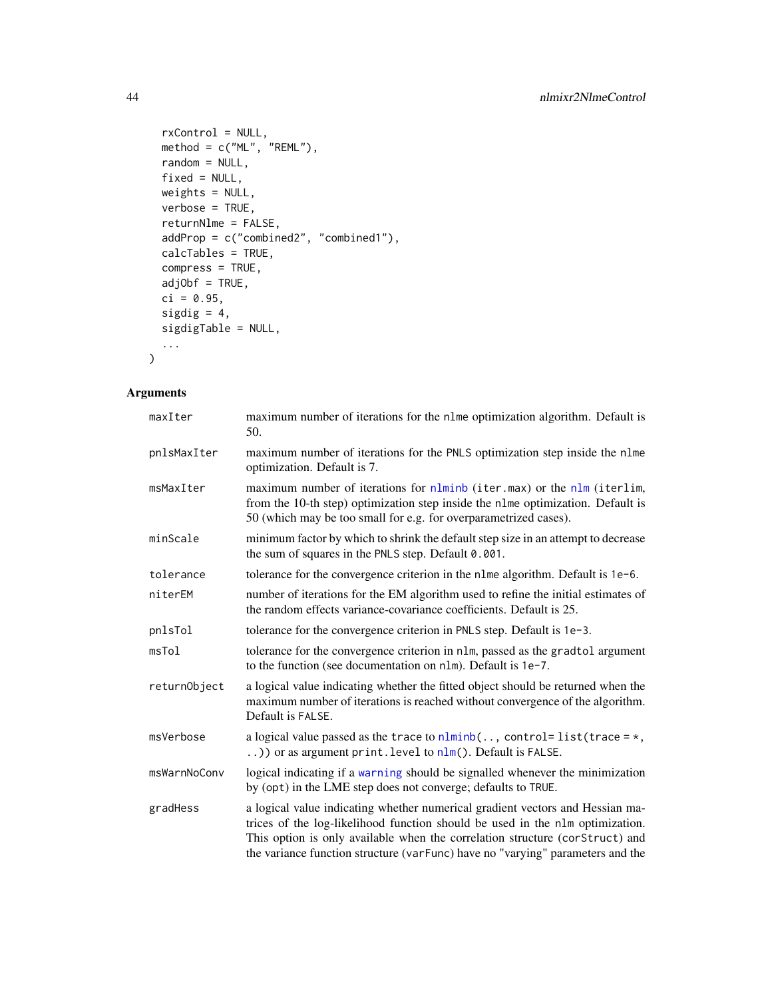```
rxControl = NULL,
 method = c("ML", "REML"),random = NULL,
 fixed = NULL,weights = NULL,
 verbose = TRUE,
 returnNlme = FALSE,
 addProp = c("combined2", "combined1"),
 calcTables = TRUE,
 compress = TRUE,
 adjObf = TRUE,ci = 0.95,sigdig = 4,
 sigdigTable = NULL,
  ...
)
```

| maxIter      | maximum number of iterations for the n1me optimization algorithm. Default is<br>50.                                                                                                                                                                                                                                              |  |
|--------------|----------------------------------------------------------------------------------------------------------------------------------------------------------------------------------------------------------------------------------------------------------------------------------------------------------------------------------|--|
| pnlsMaxIter  | maximum number of iterations for the PNLS optimization step inside the nlme<br>optimization. Default is 7.                                                                                                                                                                                                                       |  |
| msMaxIter    | maximum number of iterations for nlminb (iter.max) or the nlm (iterlim,<br>from the 10-th step) optimization step inside the nlme optimization. Default is<br>50 (which may be too small for e.g. for overparametrized cases).                                                                                                   |  |
| minScale     | minimum factor by which to shrink the default step size in an attempt to decrease<br>the sum of squares in the PNLS step. Default 0.001.                                                                                                                                                                                         |  |
| tolerance    | tolerance for the convergence criterion in the nlme algorithm. Default is 1e-6.                                                                                                                                                                                                                                                  |  |
| niterEM      | number of iterations for the EM algorithm used to refine the initial estimates of<br>the random effects variance-covariance coefficients. Default is 25.                                                                                                                                                                         |  |
| pnlsTol      | tolerance for the convergence criterion in PNLS step. Default is 1e-3.                                                                                                                                                                                                                                                           |  |
| msTol        | tolerance for the convergence criterion in nlm, passed as the gradtol argument<br>to the function (see documentation on nlm). Default is 1e-7.                                                                                                                                                                                   |  |
| returnObject | a logical value indicating whether the fitted object should be returned when the<br>maximum number of iterations is reached without convergence of the algorithm.<br>Default is FALSE.                                                                                                                                           |  |
| msVerbose    | a logical value passed as the trace to $nlminh$ , control= list(trace = $\star$ ,<br>) or as argument print. level to $nlm()$ . Default is FALSE.                                                                                                                                                                                |  |
| msWarnNoConv | logical indicating if a warning should be signalled whenever the minimization<br>by (opt) in the LME step does not converge; defaults to TRUE.                                                                                                                                                                                   |  |
| gradHess     | a logical value indicating whether numerical gradient vectors and Hessian ma-<br>trices of the log-likelihood function should be used in the nlm optimization.<br>This option is only available when the correlation structure (corStruct) and<br>the variance function structure (varFunc) have no "varying" parameters and the |  |

<span id="page-43-0"></span>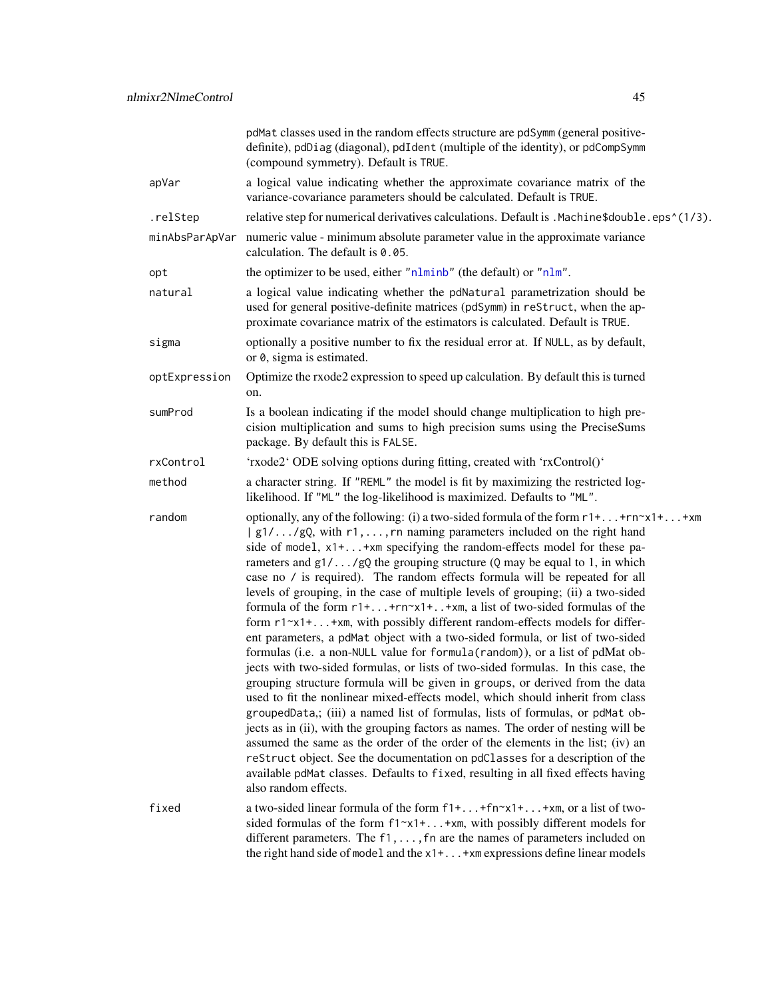<span id="page-44-0"></span>

|               | pdMat classes used in the random effects structure are pdSymm (general positive-<br>definite), pdDiag (diagonal), pdIdent (multiple of the identity), or pdCompSymm<br>(compound symmetry). Default is TRUE.                                                                                                                                                                                                                                                                                                                                                                                                                                                                                                                                                                                                                                                                                                                                                                                                                                                                                                                                                                                                                                                                                                                                                                                                                                                                                                                                             |  |
|---------------|----------------------------------------------------------------------------------------------------------------------------------------------------------------------------------------------------------------------------------------------------------------------------------------------------------------------------------------------------------------------------------------------------------------------------------------------------------------------------------------------------------------------------------------------------------------------------------------------------------------------------------------------------------------------------------------------------------------------------------------------------------------------------------------------------------------------------------------------------------------------------------------------------------------------------------------------------------------------------------------------------------------------------------------------------------------------------------------------------------------------------------------------------------------------------------------------------------------------------------------------------------------------------------------------------------------------------------------------------------------------------------------------------------------------------------------------------------------------------------------------------------------------------------------------------------|--|
| apVar         | a logical value indicating whether the approximate covariance matrix of the<br>variance-covariance parameters should be calculated. Default is TRUE.                                                                                                                                                                                                                                                                                                                                                                                                                                                                                                                                                                                                                                                                                                                                                                                                                                                                                                                                                                                                                                                                                                                                                                                                                                                                                                                                                                                                     |  |
| .relStep      | relative step for numerical derivatives calculations. Default is . Machine \$double.eps^(1/3).                                                                                                                                                                                                                                                                                                                                                                                                                                                                                                                                                                                                                                                                                                                                                                                                                                                                                                                                                                                                                                                                                                                                                                                                                                                                                                                                                                                                                                                           |  |
|               | minAbsParApVar numeric value - minimum absolute parameter value in the approximate variance<br>calculation. The default is 0.05.                                                                                                                                                                                                                                                                                                                                                                                                                                                                                                                                                                                                                                                                                                                                                                                                                                                                                                                                                                                                                                                                                                                                                                                                                                                                                                                                                                                                                         |  |
| opt           | the optimizer to be used, either "nlminb" (the default) or "nlm".                                                                                                                                                                                                                                                                                                                                                                                                                                                                                                                                                                                                                                                                                                                                                                                                                                                                                                                                                                                                                                                                                                                                                                                                                                                                                                                                                                                                                                                                                        |  |
| natural       | a logical value indicating whether the pdNatural parametrization should be<br>used for general positive-definite matrices (pdSymm) in reStruct, when the ap-<br>proximate covariance matrix of the estimators is calculated. Default is TRUE.                                                                                                                                                                                                                                                                                                                                                                                                                                                                                                                                                                                                                                                                                                                                                                                                                                                                                                                                                                                                                                                                                                                                                                                                                                                                                                            |  |
| sigma         | optionally a positive number to fix the residual error at. If NULL, as by default,<br>or 0, sigma is estimated.                                                                                                                                                                                                                                                                                                                                                                                                                                                                                                                                                                                                                                                                                                                                                                                                                                                                                                                                                                                                                                                                                                                                                                                                                                                                                                                                                                                                                                          |  |
| optExpression | Optimize the rxode2 expression to speed up calculation. By default this is turned<br>on.                                                                                                                                                                                                                                                                                                                                                                                                                                                                                                                                                                                                                                                                                                                                                                                                                                                                                                                                                                                                                                                                                                                                                                                                                                                                                                                                                                                                                                                                 |  |
| sumProd       | Is a boolean indicating if the model should change multiplication to high pre-<br>cision multiplication and sums to high precision sums using the PreciseSums<br>package. By default this is FALSE.                                                                                                                                                                                                                                                                                                                                                                                                                                                                                                                                                                                                                                                                                                                                                                                                                                                                                                                                                                                                                                                                                                                                                                                                                                                                                                                                                      |  |
| rxControl     | 'rxode2' ODE solving options during fitting, created with 'rxControl()'                                                                                                                                                                                                                                                                                                                                                                                                                                                                                                                                                                                                                                                                                                                                                                                                                                                                                                                                                                                                                                                                                                                                                                                                                                                                                                                                                                                                                                                                                  |  |
| method        | a character string. If "REML" the model is fit by maximizing the restricted log-<br>likelihood. If "ML" the log-likelihood is maximized. Defaults to "ML".                                                                                                                                                                                                                                                                                                                                                                                                                                                                                                                                                                                                                                                                                                                                                                                                                                                                                                                                                                                                                                                                                                                                                                                                                                                                                                                                                                                               |  |
| random        | optionally, any of the following: (i) a two-sided formula of the form $r1++rn \times 1++rm$<br>  g1//gQ, with r1, , rn naming parameters included on the right hand<br>side of model, x1++xm specifying the random-effects model for these pa-<br>rameters and $g1/\dots/gQ$ the grouping structure (Q may be equal to 1, in which<br>case no / is required). The random effects formula will be repeated for all<br>levels of grouping, in the case of multiple levels of grouping; (ii) a two-sided<br>formula of the form $r1++rn \times 1+.$ $+xm$ , a list of two-sided formulas of the<br>form r1~x1++xm, with possibly different random-effects models for differ-<br>ent parameters, a pdMat object with a two-sided formula, or list of two-sided<br>formulas (i.e. a non-NULL value for formula (random)), or a list of pdMat ob-<br>jects with two-sided formulas, or lists of two-sided formulas. In this case, the<br>grouping structure formula will be given in groups, or derived from the data<br>used to fit the nonlinear mixed-effects model, which should inherit from class<br>groupedData,; (iii) a named list of formulas, lists of formulas, or pdMat ob-<br>jects as in (ii), with the grouping factors as names. The order of nesting will be<br>assumed the same as the order of the order of the elements in the list; (iv) an<br>reStruct object. See the documentation on pdClasses for a description of the<br>available pdMat classes. Defaults to fixed, resulting in all fixed effects having<br>also random effects. |  |
| fixed         | a two-sided linear formula of the form $f1++f n \sim x1++x m$ , or a list of two-<br>sided formulas of the form f1~x1++xm, with possibly different models for<br>different parameters. The $f1, \ldots, fn$ are the names of parameters included on<br>the right hand side of model and the x1+ +xm expressions define linear models                                                                                                                                                                                                                                                                                                                                                                                                                                                                                                                                                                                                                                                                                                                                                                                                                                                                                                                                                                                                                                                                                                                                                                                                                     |  |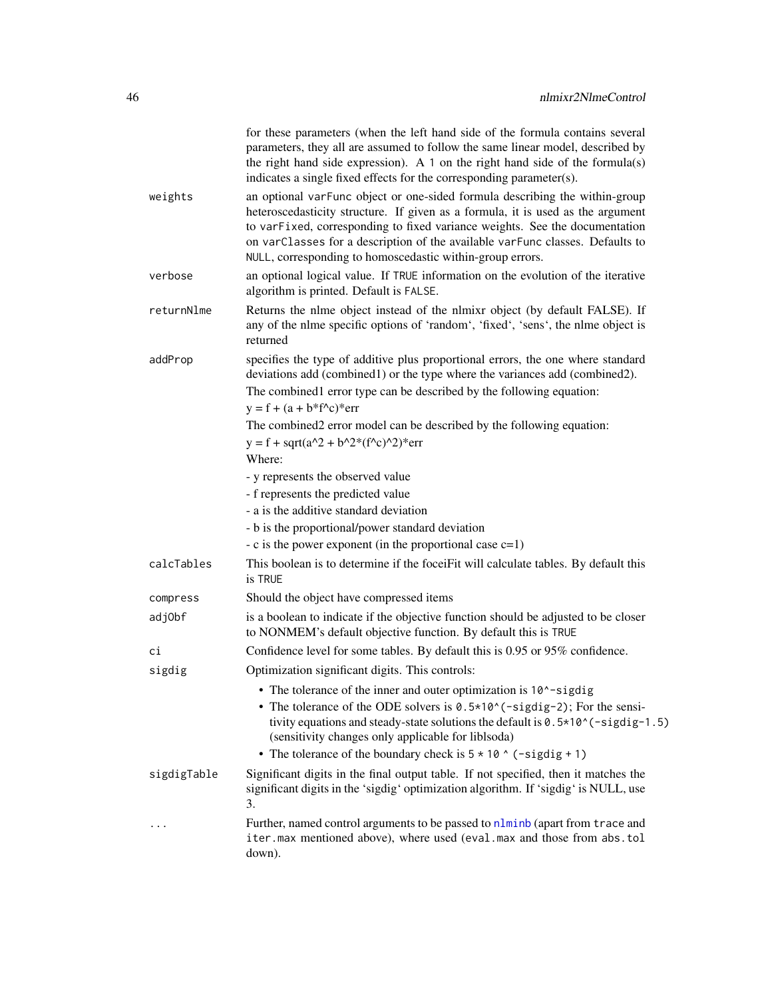<span id="page-45-0"></span>

|             | for these parameters (when the left hand side of the formula contains several<br>parameters, they all are assumed to follow the same linear model, described by<br>the right hand side expression). A 1 on the right hand side of the formula(s)<br>indicates a single fixed effects for the corresponding parameter(s).                                                                    |
|-------------|---------------------------------------------------------------------------------------------------------------------------------------------------------------------------------------------------------------------------------------------------------------------------------------------------------------------------------------------------------------------------------------------|
| weights     | an optional varFunc object or one-sided formula describing the within-group<br>heteroscedasticity structure. If given as a formula, it is used as the argument<br>to varFixed, corresponding to fixed variance weights. See the documentation<br>on varClasses for a description of the available varFunc classes. Defaults to<br>NULL, corresponding to homoscedastic within-group errors. |
| verbose     | an optional logical value. If TRUE information on the evolution of the iterative<br>algorithm is printed. Default is FALSE.                                                                                                                                                                                                                                                                 |
| returnNlme  | Returns the nlme object instead of the nlmixr object (by default FALSE). If<br>any of the nlme specific options of 'random', 'fixed', 'sens', the nlme object is<br>returned                                                                                                                                                                                                                |
| addProp     | specifies the type of additive plus proportional errors, the one where standard<br>deviations add (combined1) or the type where the variances add (combined2).<br>The combined lerror type can be described by the following equation:<br>$y = f + (a + b * f^c)^*$ err                                                                                                                     |
|             | The combined2 error model can be described by the following equation:<br>$y = f + sqrt(a^2 + b^2*(f^2c)^2)$ * err<br>Where:                                                                                                                                                                                                                                                                 |
|             | - y represents the observed value                                                                                                                                                                                                                                                                                                                                                           |
|             | - f represents the predicted value                                                                                                                                                                                                                                                                                                                                                          |
|             | - a is the additive standard deviation                                                                                                                                                                                                                                                                                                                                                      |
|             | - b is the proportional/power standard deviation                                                                                                                                                                                                                                                                                                                                            |
|             | - c is the power exponent (in the proportional case $c=1$ )                                                                                                                                                                                                                                                                                                                                 |
| calcTables  | This boolean is to determine if the foceiFit will calculate tables. By default this<br>is TRUE                                                                                                                                                                                                                                                                                              |
| compress    | Should the object have compressed items                                                                                                                                                                                                                                                                                                                                                     |
| adj0bf      | is a boolean to indicate if the objective function should be adjusted to be closer<br>to NONMEM's default objective function. By default this is TRUE                                                                                                                                                                                                                                       |
| сi          | Confidence level for some tables. By default this is 0.95 or 95% confidence.                                                                                                                                                                                                                                                                                                                |
| sigdig      | Optimization significant digits. This controls:                                                                                                                                                                                                                                                                                                                                             |
|             | • The tolerance of the inner and outer optimization is 10^-sigdig<br>• The tolerance of the ODE solvers is $0.5*10^(-sigdig-2)$ ; For the sensi-<br>tivity equations and steady-state solutions the default is 0.5*10^(-sigdig-1.5)<br>(sensitivity changes only applicable for liblsoda)<br>• The tolerance of the boundary check is $5 \times 10$ $\circ$ (-sigdig + 1)                   |
| sigdigTable | Significant digits in the final output table. If not specified, then it matches the<br>significant digits in the 'sigdig' optimization algorithm. If 'sigdig' is NULL, use<br>3.                                                                                                                                                                                                            |
|             | Further, named control arguments to be passed to nlminb (apart from trace and<br>iter.max mentioned above), where used (eval.max and those from abs.tol<br>down).                                                                                                                                                                                                                           |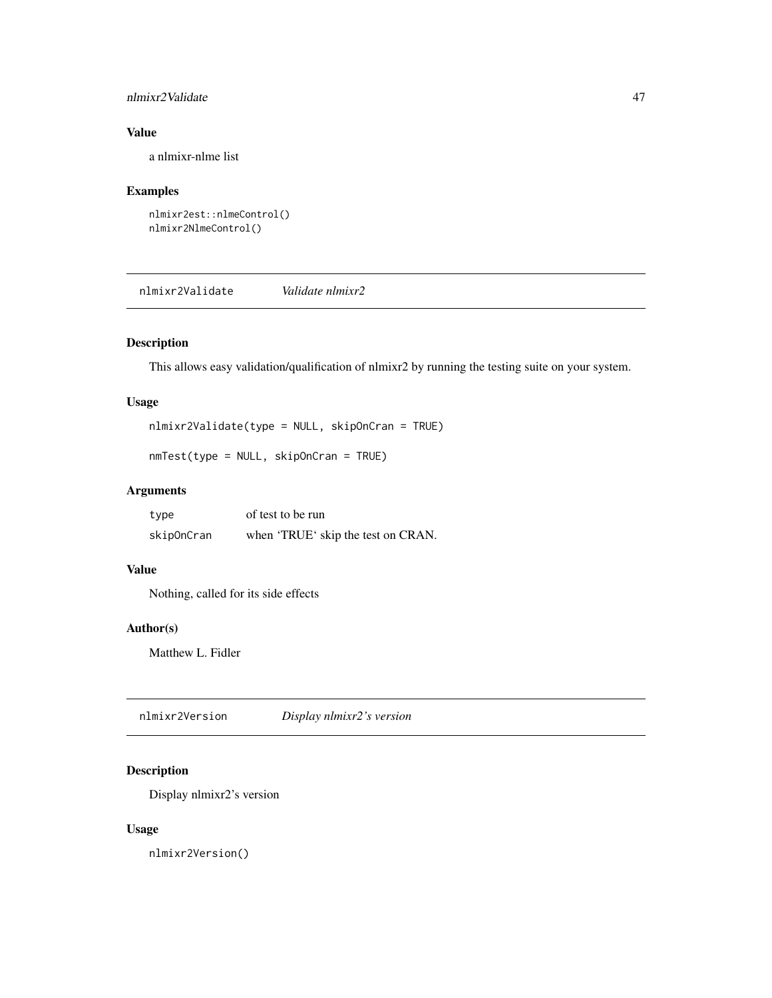#### <span id="page-46-0"></span>nlmixr2Validate 47

#### Value

a nlmixr-nlme list

#### Examples

```
nlmixr2est::nlmeControl()
nlmixr2NlmeControl()
```
nlmixr2Validate *Validate nlmixr2*

#### Description

This allows easy validation/qualification of nlmixr2 by running the testing suite on your system.

#### Usage

```
nlmixr2Validate(type = NULL, skipOnCran = TRUE)
```

```
nmTest(type = NULL, skipOnCran = TRUE)
```
#### Arguments

| type       | of test to be run                  |
|------------|------------------------------------|
| skipOnCran | when 'TRUE' skip the test on CRAN. |

#### Value

Nothing, called for its side effects

#### Author(s)

Matthew L. Fidler

nlmixr2Version *Display nlmixr2's version*

#### Description

Display nlmixr2's version

#### Usage

nlmixr2Version()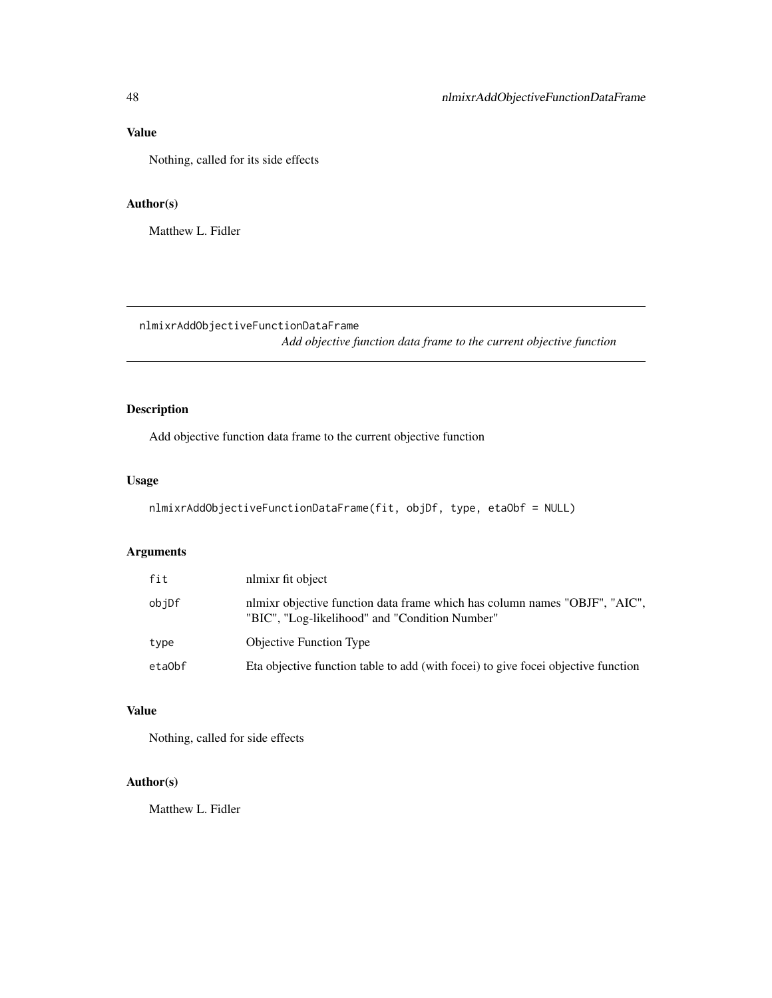#### Value

Nothing, called for its side effects

#### Author(s)

Matthew L. Fidler

nlmixrAddObjectiveFunctionDataFrame

*Add objective function data frame to the current objective function*

### Description

Add objective function data frame to the current objective function

#### Usage

```
nlmixrAddObjectiveFunctionDataFrame(fit, objDf, type, etaObf = NULL)
```
### Arguments

| fit    | nlmixr fit object                                                                                                            |
|--------|------------------------------------------------------------------------------------------------------------------------------|
| objDf  | nlmixr objective function data frame which has column names "OBJF", "AIC",<br>"BIC", "Log-likelihood" and "Condition Number" |
| type   | <b>Objective Function Type</b>                                                                                               |
| etaObf | Eta objective function table to add (with foce) to give foce objective function                                              |

#### Value

Nothing, called for side effects

#### Author(s)

Matthew L. Fidler

<span id="page-47-0"></span>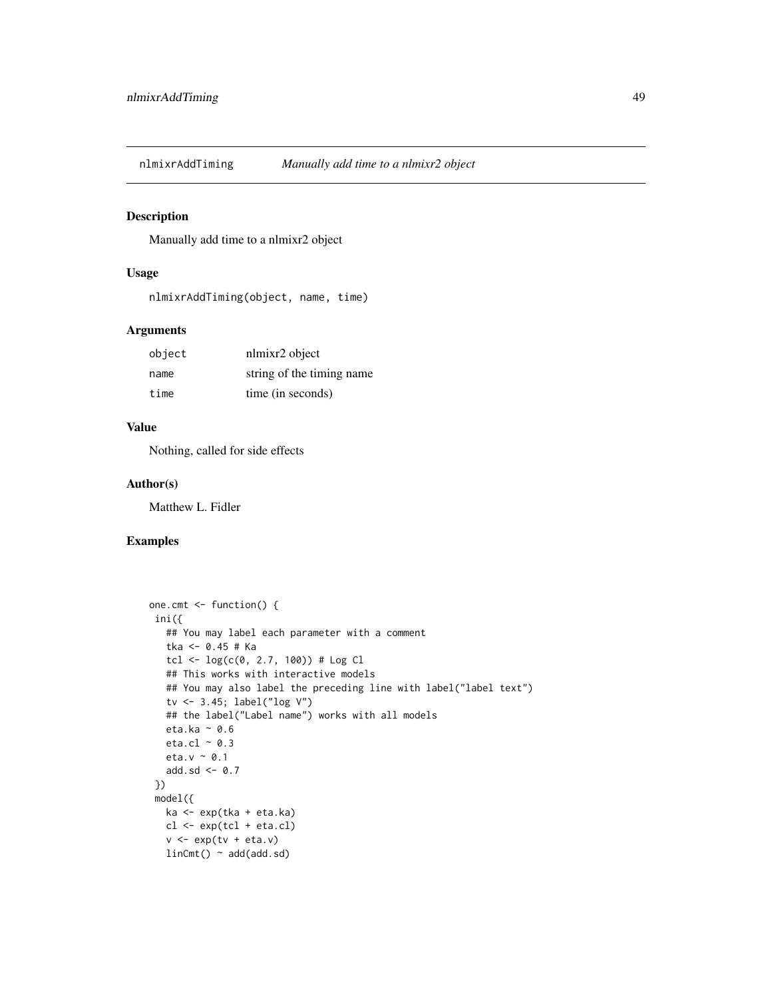<span id="page-48-0"></span>

Manually add time to a nlmixr2 object

#### Usage

nlmixrAddTiming(object, name, time)

#### Arguments

| object | nlmixr2 object            |
|--------|---------------------------|
| name   | string of the timing name |
| time   | time (in seconds)         |

#### Value

Nothing, called for side effects

#### Author(s)

Matthew L. Fidler

#### Examples

```
one.cmt <- function() {
ini({
   ## You may label each parameter with a comment
   tka <- 0.45 # Ka
  tcl <- log(c(0, 2.7, 100)) # Log Cl
   ## This works with interactive models
   ## You may also label the preceding line with label("label text")
   tv <- 3.45; label("log V")
   ## the label("Label name") works with all models
  eta.ka ~ 0.6
  eta.cl \sim 0.3
  eta.v \sim 0.1
  add.sd \leftarrow 0.7
})
model({
  ka <- exp(tka + eta.ka)
  cl \leftarrow exp(tcl + eta. cl)v <- exp(tv + eta.v)
  linCmt() ~ ~ add(add.sd)
```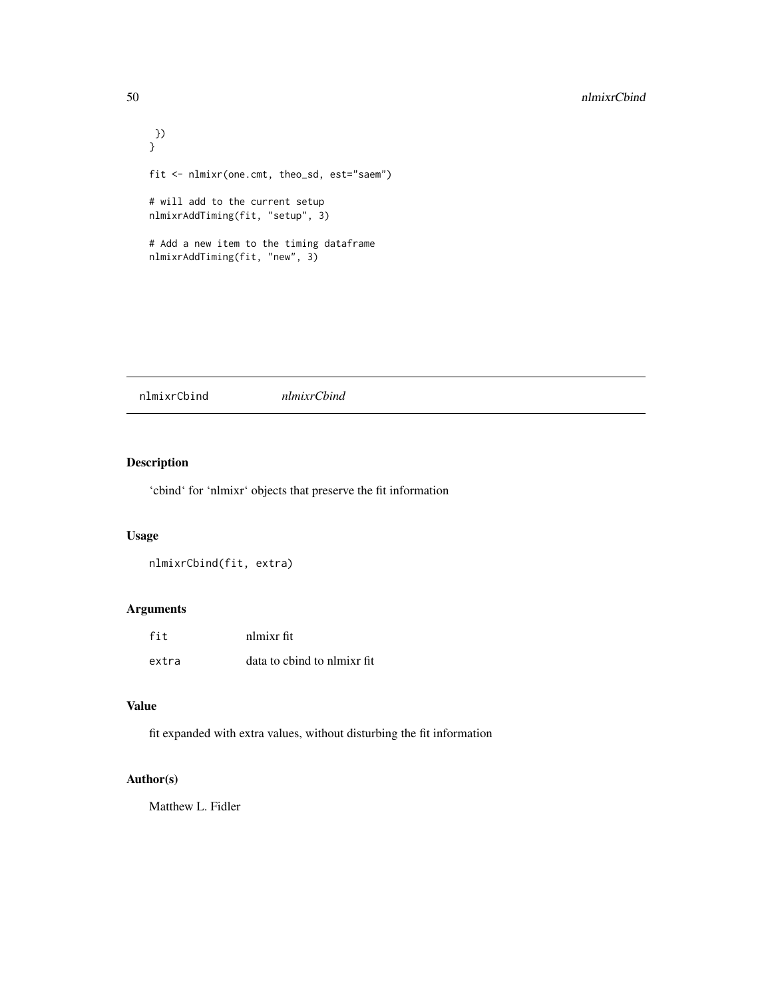```
})
}
fit <- nlmixr(one.cmt, theo_sd, est="saem")
# will add to the current setup
nlmixrAddTiming(fit, "setup", 3)
# Add a new item to the timing dataframe
nlmixrAddTiming(fit, "new", 3)
```
nlmixrCbind *nlmixrCbind*

#### Description

'cbind' for 'nlmixr' objects that preserve the fit information

#### Usage

```
nlmixrCbind(fit, extra)
```
#### Arguments

| fit   | nlmixr fit                   |
|-------|------------------------------|
| extra | data to chind to nlmixr fit. |

#### Value

fit expanded with extra values, without disturbing the fit information

#### Author(s)

Matthew L. Fidler

<span id="page-49-0"></span>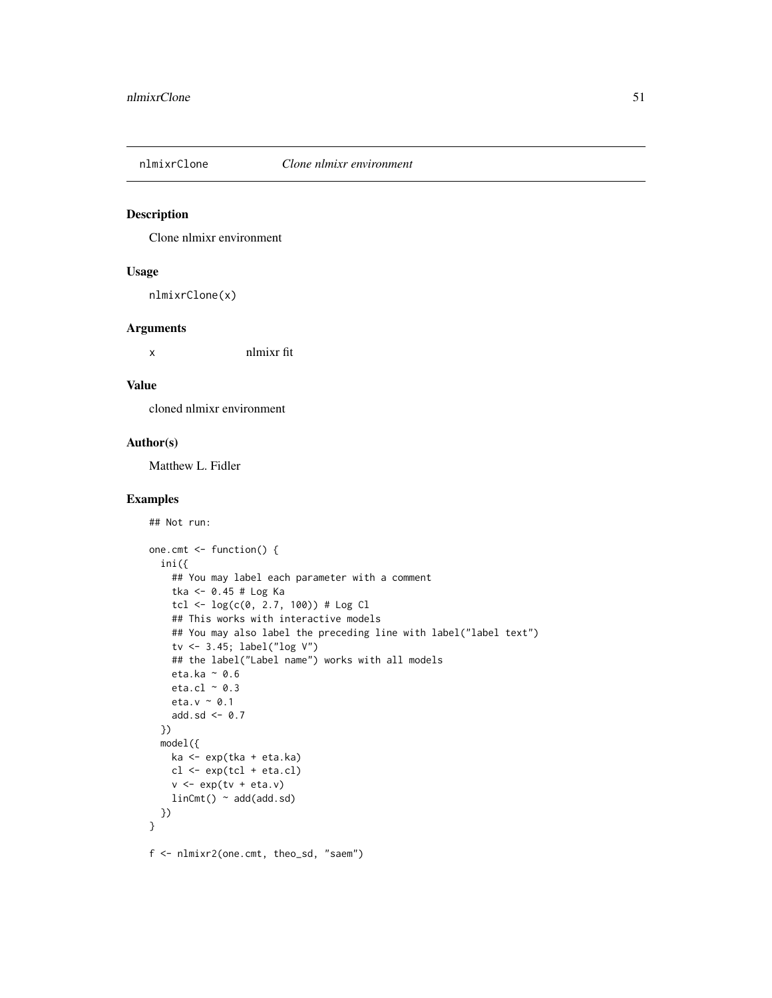<span id="page-50-0"></span>

Clone nlmixr environment

#### Usage

nlmixrClone(x)

#### Arguments

x nlmixr fit

#### Value

cloned nlmixr environment

#### Author(s)

Matthew L. Fidler

#### Examples

```
## Not run:
one.cmt <- function() {
  ini({
    ## You may label each parameter with a comment
    tka <- 0.45 # Log Ka
    tcl \leftarrow log(c(0, 2.7, 100)) # Log Cl
    ## This works with interactive models
    ## You may also label the preceding line with label("label text")
    tv <- 3.45; label("log V")
    ## the label("Label name") works with all models
    eta.ka ~ 0.6
    eta.cl \sim 0.3
    eta.v ~ 0.1
    add.sd <- 0.7
  })
  model({
    ka <- exp(tka + eta.ka)
    cl \leftarrow exp(tcl + eta. cl)v \leq -\exp(tv + \epsilon t a.v)linCmt() ~ add(add.sd)
 })
}
f <- nlmixr2(one.cmt, theo_sd, "saem")
```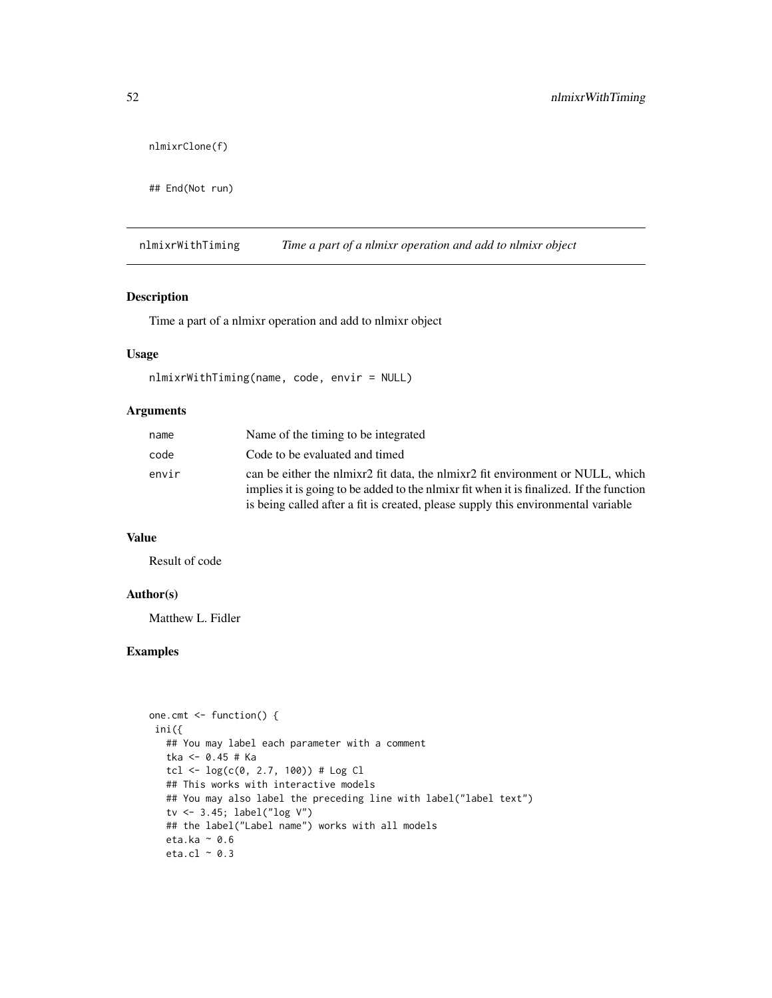```
nlmixrClone(f)
```
## End(Not run)

nlmixrWithTiming *Time a part of a nlmixr operation and add to nlmixr object*

#### Description

Time a part of a nlmixr operation and add to nlmixr object

#### Usage

```
nlmixrWithTiming(name, code, envir = NULL)
```
#### Arguments

| name  | Name of the timing to be integrated                                                                                                                                     |
|-------|-------------------------------------------------------------------------------------------------------------------------------------------------------------------------|
| code  | Code to be evaluated and timed                                                                                                                                          |
| envir | can be either the network fit data, the network of the either or NULL, which<br>implies it is going to be added to the nimixr fit when it is finalized. If the function |
|       | is being called after a fit is created, please supply this environmental variable                                                                                       |

#### Value

Result of code

#### Author(s)

Matthew L. Fidler

#### Examples

```
one.cmt <- function() {
ini({
  ## You may label each parameter with a comment
  tka <- 0.45 # Ka
  tcl <- log(c(\theta, 2.7, 100)) # Log Cl
  ## This works with interactive models
  ## You may also label the preceding line with label("label text")
  tv <- 3.45; label("log V")
  ## the label("Label name") works with all models
  eta.ka ~ 0.6
  eta.cl \sim 0.3
```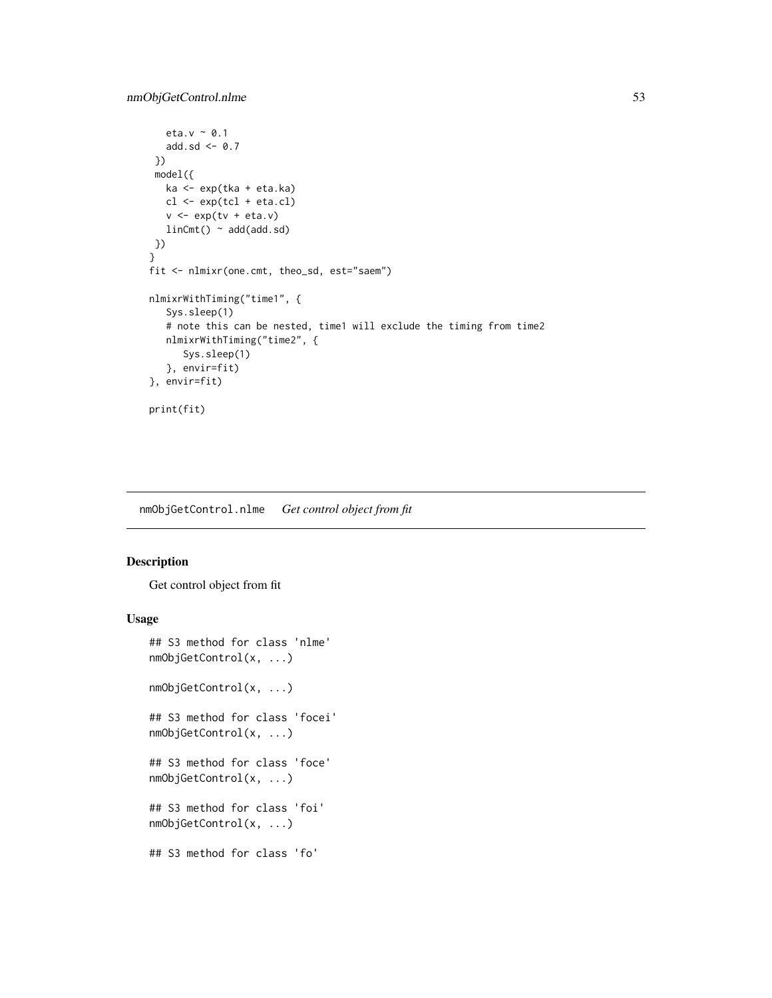```
eta.v ~ 0.1
   add.sd \leq -0.7})
 model({
   ka <- exp(tka + eta.ka)
   cl \leftarrow exp(tcl + eta. cl)v \leq -\exp(tv + \epsilon t a.v)linCmt() ~ ~ add(add.sd)})
}
fit <- nlmixr(one.cmt, theo_sd, est="saem")
nlmixrWithTiming("time1", {
   Sys.sleep(1)
   # note this can be nested, time1 will exclude the timing from time2
   nlmixrWithTiming("time2", {
      Sys.sleep(1)
   }, envir=fit)
}, envir=fit)
print(fit)
```
nmObjGetControl.nlme *Get control object from fit*

#### Description

Get control object from fit

#### Usage

```
## S3 method for class 'nlme'
nmObjGetControl(x, ...)
nmObjGetControl(x, ...)
## S3 method for class 'focei'
nmObjGetControl(x, ...)
## S3 method for class 'foce'
nmObjGetControl(x, ...)
## S3 method for class 'foi'
nmObjGetControl(x, ...)
## S3 method for class 'fo'
```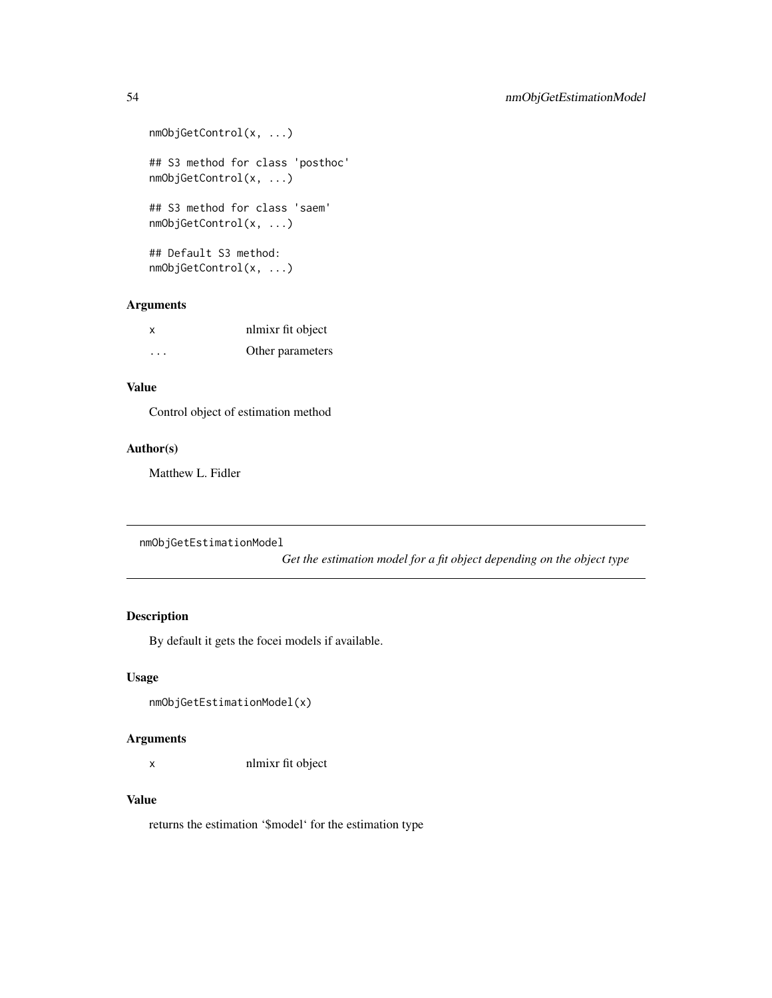```
nmObjGetControl(x, ...)
## S3 method for class 'posthoc'
nmObjGetControl(x, ...)
## S3 method for class 'saem'
nmObjGetControl(x, ...)
## Default S3 method:
nmObjGetControl(x, ...)
```
#### Arguments

| x       | nlmixr fit object |
|---------|-------------------|
| $\cdot$ | Other parameters  |

#### Value

Control object of estimation method

#### Author(s)

Matthew L. Fidler

```
nmObjGetEstimationModel
```
*Get the estimation model for a fit object depending on the object type*

#### Description

By default it gets the focei models if available.

#### Usage

```
nmObjGetEstimationModel(x)
```
#### Arguments

x nlmixr fit object

#### Value

returns the estimation '\$model' for the estimation type

<span id="page-53-0"></span>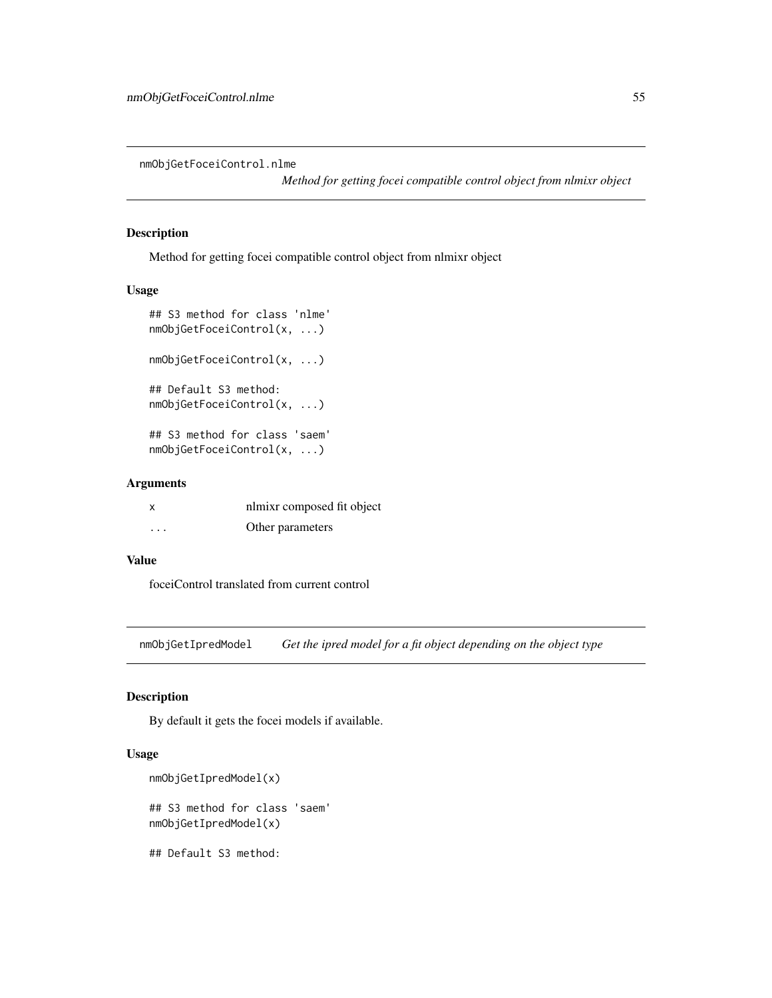<span id="page-54-0"></span>nmObjGetFoceiControl.nlme

*Method for getting focei compatible control object from nlmixr object*

#### Description

Method for getting focei compatible control object from nlmixr object

#### Usage

```
## S3 method for class 'nlme'
nmObjGetFoceiControl(x, ...)
nmObjGetFoceiControl(x, ...)
## Default S3 method:
nmObjGetFoceiControl(x, ...)
## S3 method for class 'saem'
nmObjGetFoceiControl(x, ...)
```
#### Arguments

| x | nlmixr composed fit object |
|---|----------------------------|
| . | Other parameters           |

#### Value

foceiControl translated from current control

nmObjGetIpredModel *Get the ipred model for a fit object depending on the object type*

#### Description

By default it gets the focei models if available.

#### Usage

```
nmObjGetIpredModel(x)
## S3 method for class 'saem'
nmObjGetIpredModel(x)
```
## Default S3 method: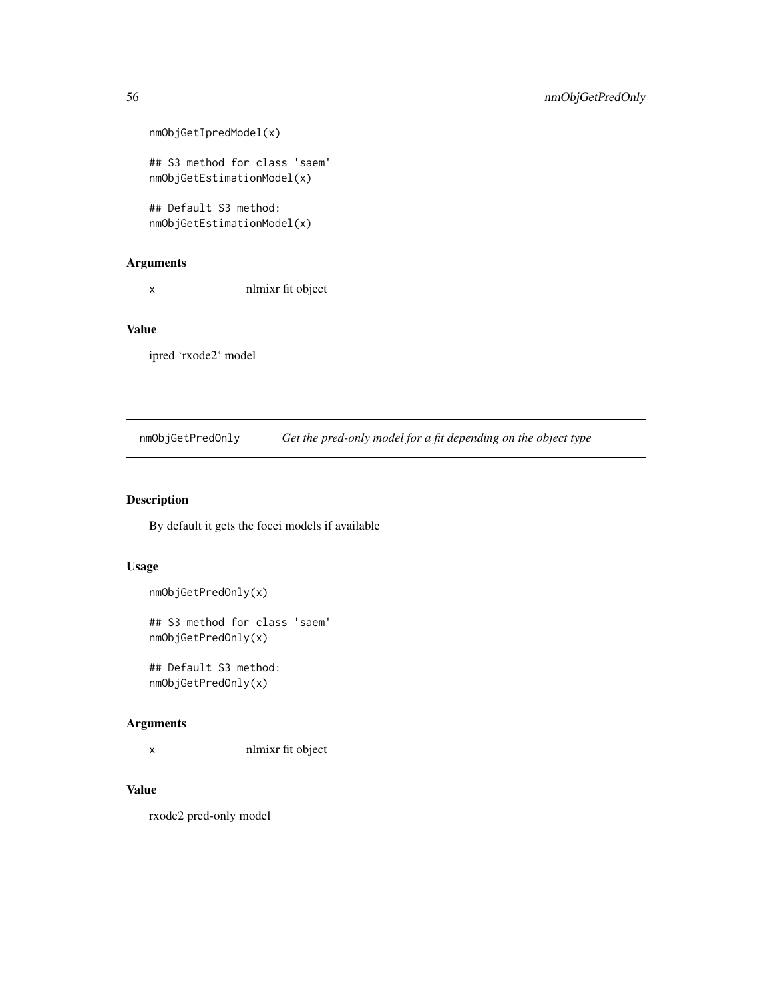```
nmObjGetIpredModel(x)
## S3 method for class 'saem'
nmObjGetEstimationModel(x)
## Default S3 method:
nmObjGetEstimationModel(x)
```
#### Arguments

x nlmixr fit object

#### Value

ipred 'rxode2' model

nmObjGetPredOnly *Get the pred-only model for a fit depending on the object type*

#### Description

By default it gets the focei models if available

#### Usage

```
nmObjGetPredOnly(x)
```
## S3 method for class 'saem' nmObjGetPredOnly(x)

## Default S3 method: nmObjGetPredOnly(x)

#### Arguments

x nlmixr fit object

### Value

rxode2 pred-only model

<span id="page-55-0"></span>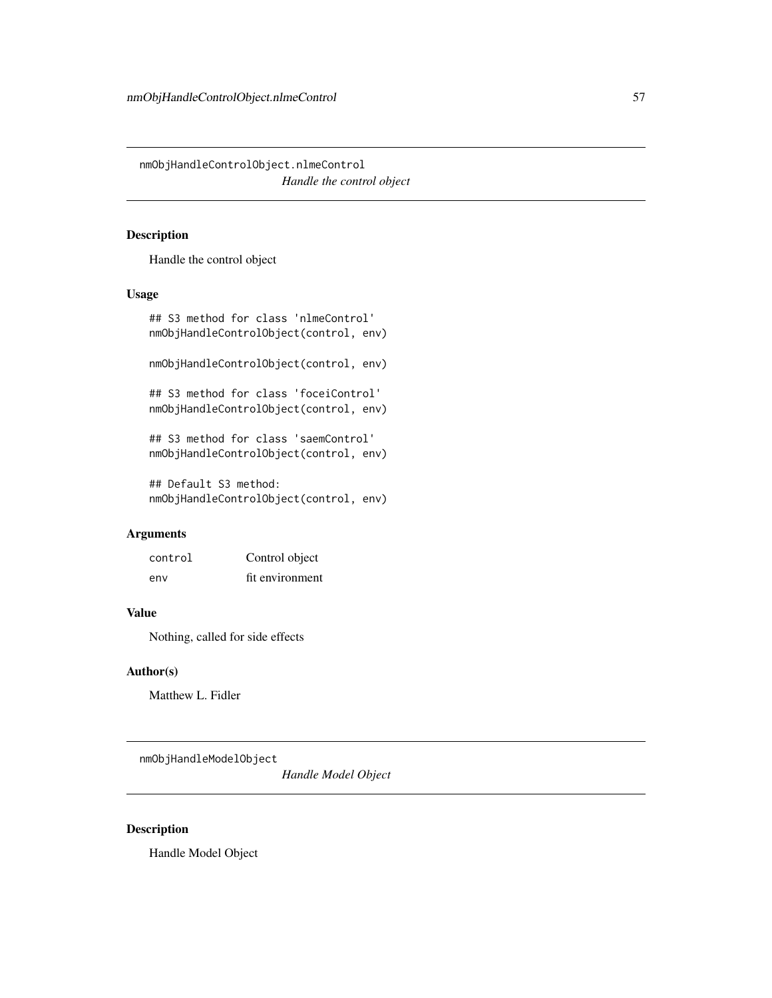<span id="page-56-0"></span>nmObjHandleControlObject.nlmeControl *Handle the control object*

#### Description

Handle the control object

#### Usage

```
## S3 method for class 'nlmeControl'
nmObjHandleControlObject(control, env)
nmObjHandleControlObject(control, env)
## S3 method for class 'foceiControl'
nmObjHandleControlObject(control, env)
## S3 method for class 'saemControl'
nmObjHandleControlObject(control, env)
## Default S3 method:
```

```
nmObjHandleControlObject(control, env)
```
#### Arguments

| control | Control object  |
|---------|-----------------|
| env     | fit environment |

#### Value

Nothing, called for side effects

#### Author(s)

Matthew L. Fidler

nmObjHandleModelObject

*Handle Model Object*

#### Description

Handle Model Object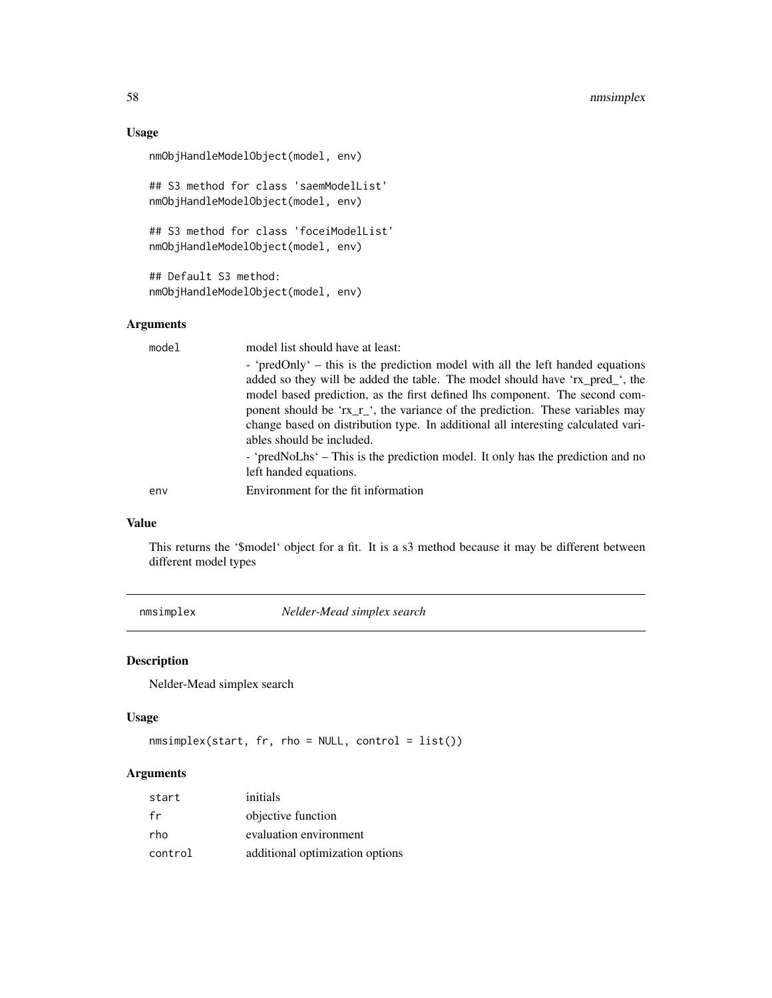#### Usage

```
nmObjHandleModelObject(model, env)
```
## S3 method for class 'saemModelList' nmObjHandleModelObject(model, env)

```
## S3 method for class 'foceiModelList'
nmObjHandleModelObject(model, env)
```
## Default S3 method: nmObjHandleModelObject(model, env)

#### Arguments

| ables should be included.<br>left handed equations.<br>Environment for the fit information<br>env | mode1 | model list should have at least:                                                                                                                                                                                                                                                                                                                                                                                    |
|---------------------------------------------------------------------------------------------------|-------|---------------------------------------------------------------------------------------------------------------------------------------------------------------------------------------------------------------------------------------------------------------------------------------------------------------------------------------------------------------------------------------------------------------------|
|                                                                                                   |       | - 'predOnly' – this is the prediction model with all the left handed equations<br>added so they will be added the table. The model should have 'rx_pred_', the<br>model based prediction, as the first defined lhs component. The second com-<br>ponent should be 'rx_r_', the variance of the prediction. These variables may<br>change based on distribution type. In additional all interesting calculated vari- |
|                                                                                                   |       | - 'predNoLhs' – This is the prediction model. It only has the prediction and no                                                                                                                                                                                                                                                                                                                                     |
|                                                                                                   |       |                                                                                                                                                                                                                                                                                                                                                                                                                     |

#### Value

This returns the '\$model' object for a fit. It is a s3 method because it may be different between different model types

nmsimplex *Nelder-Mead simplex search*

#### Description

Nelder-Mead simplex search

#### Usage

```
nmsimplex(start, fr, rho = NULL, control = list())
```

| start   | initials                        |
|---------|---------------------------------|
| fr      | objective function              |
| rho     | evaluation environment          |
| control | additional optimization options |

<span id="page-57-0"></span>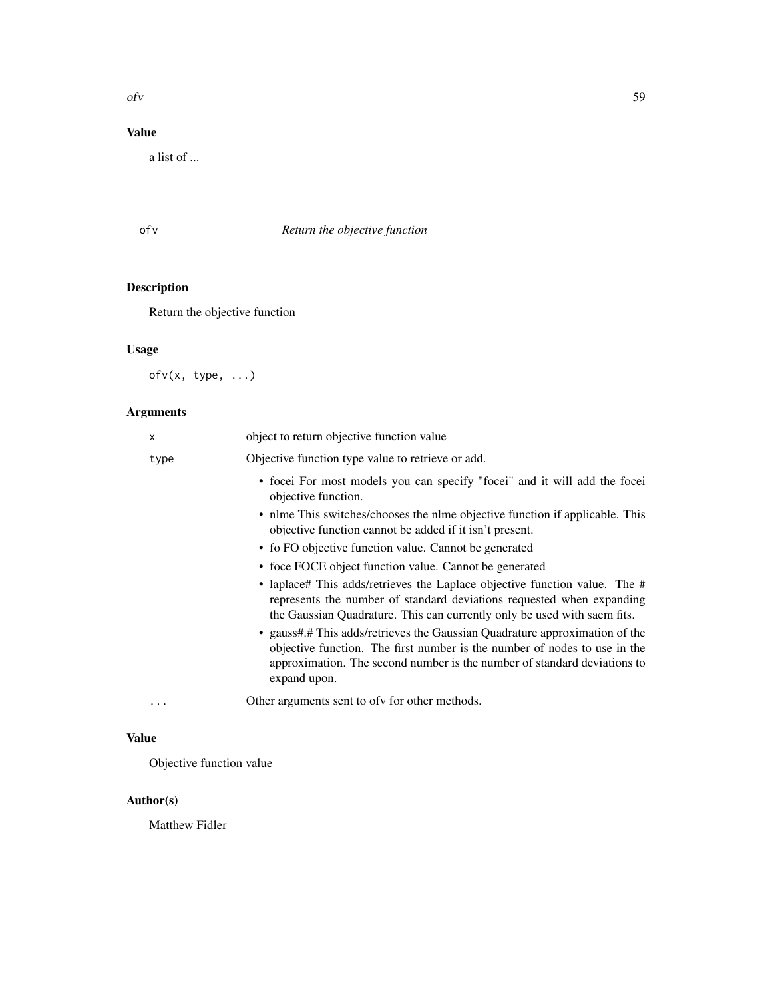#### <span id="page-58-0"></span>Value

a list of ...

# ofv *Return the objective function*

# Description

Return the objective function

# Usage

ofv(x, type, ...)

# Arguments

| X        | object to return objective function value                                                                                                                                                                                                            |
|----------|------------------------------------------------------------------------------------------------------------------------------------------------------------------------------------------------------------------------------------------------------|
| type     | Objective function type value to retrieve or add.                                                                                                                                                                                                    |
|          | • focei For most models you can specify "focei" and it will add the focei<br>objective function.                                                                                                                                                     |
|          | • nlme This switches/chooses the nlme objective function if applicable. This<br>objective function cannot be added if it isn't present.                                                                                                              |
|          | • fo FO objective function value. Cannot be generated                                                                                                                                                                                                |
|          | • foce FOCE object function value. Cannot be generated                                                                                                                                                                                               |
|          | • laplace# This adds/retrieves the Laplace objective function value. The #<br>represents the number of standard deviations requested when expanding<br>the Gaussian Quadrature. This can currently only be used with saem fits.                      |
|          | • gauss#.# This adds/retrieves the Gaussian Quadrature approximation of the<br>objective function. The first number is the number of nodes to use in the<br>approximation. The second number is the number of standard deviations to<br>expand upon. |
| $\cdots$ | Other arguments sent to ofv for other methods.                                                                                                                                                                                                       |

#### Value

Objective function value

### Author(s)

Matthew Fidler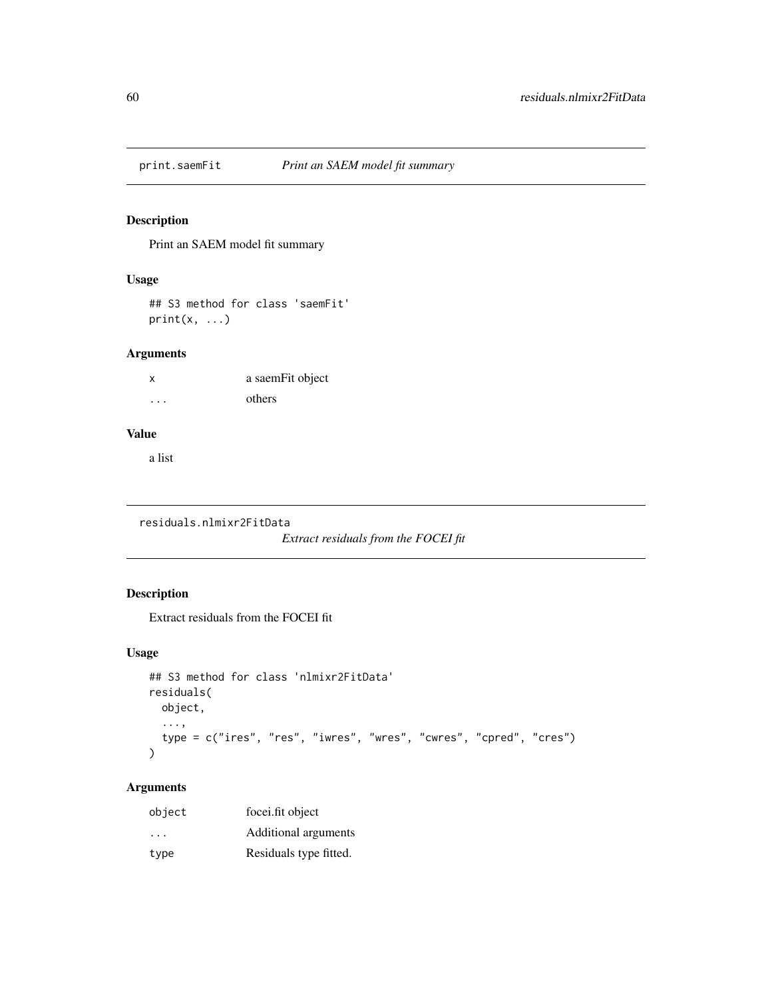<span id="page-59-0"></span>

Print an SAEM model fit summary

#### Usage

## S3 method for class 'saemFit'  $print(x, \ldots)$ 

#### Arguments

| X        | a saemFit object |
|----------|------------------|
| $\cdots$ | others           |

#### Value

a list

residuals.nlmixr2FitData

*Extract residuals from the FOCEI fit*

# Description

Extract residuals from the FOCEI fit

#### Usage

```
## S3 method for class 'nlmixr2FitData'
residuals(
 object,
 ...,
 type = c("ires", "res", "iwres", "wres", "cwres", "cpred", "cres")
)
```

| object                  | focei.fit object       |
|-------------------------|------------------------|
| $\cdot$ $\cdot$ $\cdot$ | Additional arguments   |
| type                    | Residuals type fitted. |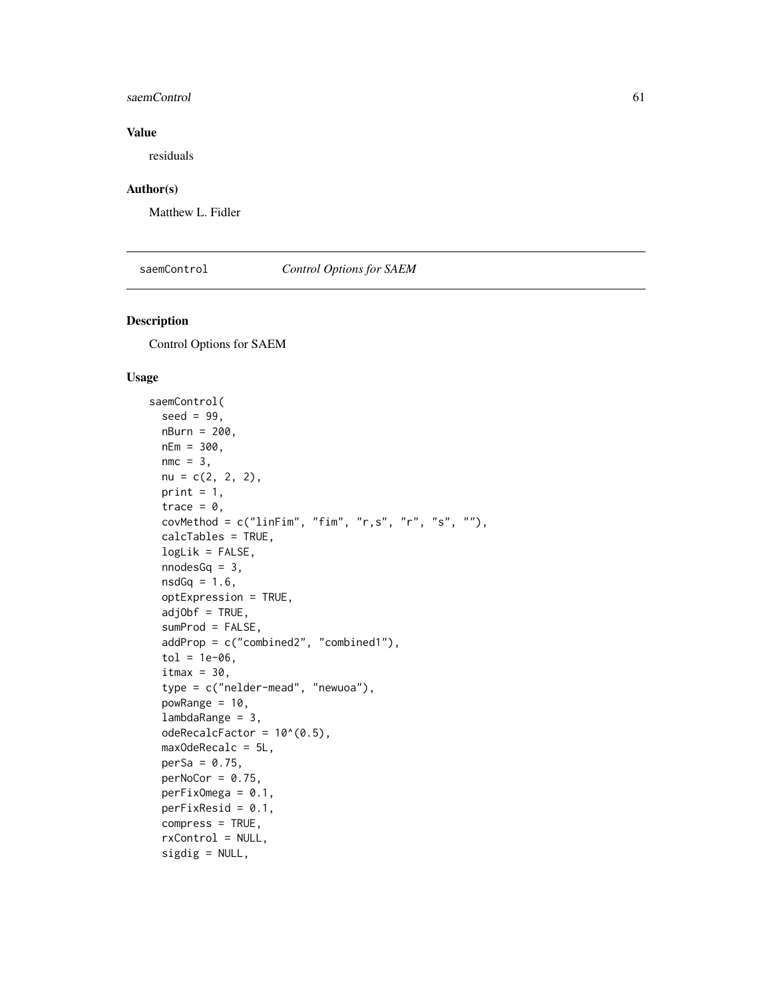#### <span id="page-60-0"></span>saemControl 61

#### Value

residuals

#### Author(s)

Matthew L. Fidler

# saemControl *Control Options for SAEM*

#### Description

Control Options for SAEM

#### Usage

```
saemControl(
 seed = 99,
 nBurn = 200,
 nEm = 300,
 nmc = 3,
 nu = c(2, 2, 2),print = 1,
  trace = \theta,
 covMethod = c("linFim", "fim", "r,s", "r", "s", ""),
 calcTables = TRUE,
 logLik = FALSE,nnodesGq = 3,
 nsdGq = 1.6,
  optExpression = TRUE,
  adjObf = TRUE,sumProd = FALSE,
  addProp = c("combined2", "combined1"),
  tol = 1e-06,itmax = 30,
  type = c("nelder-mead", "newuoa"),
  powRange = 10,
  lambdaRange = 3,odeRecalcFactor = 10^{\circ}(0.5),
 maxOdeRecalc = 5L,
 perSa = 0.75,
 perNoCor = 0.75,
 perFixOmega = 0.1,
 perFixResid = 0.1,
 compress = TRUE,
  rxControl = NULL,
  sigdig = NULL,
```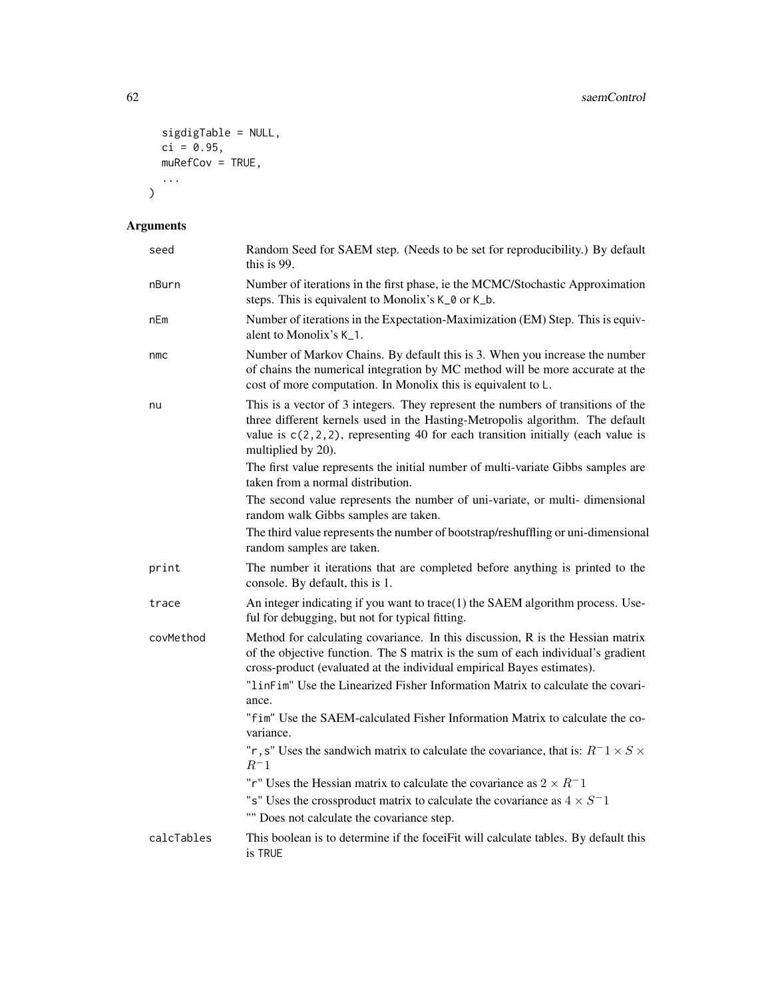```
sigdigTable = NULL,
  ci = 0.95,muRefCov = TRUE,
  ...
)
```

| seed       | Random Seed for SAEM step. (Needs to be set for reproducibility.) By default<br>this is 99.                                                                                                                                                                                   |
|------------|-------------------------------------------------------------------------------------------------------------------------------------------------------------------------------------------------------------------------------------------------------------------------------|
| nBurn      | Number of iterations in the first phase, ie the MCMC/Stochastic Approximation<br>steps. This is equivalent to Monolix's K_0 or K_b.                                                                                                                                           |
| nEm        | Number of iterations in the Expectation-Maximization (EM) Step. This is equiv-<br>alent to Monolix's K <sub>1</sub> .                                                                                                                                                         |
| nmc        | Number of Markov Chains. By default this is 3. When you increase the number<br>of chains the numerical integration by MC method will be more accurate at the<br>cost of more computation. In Monolix this is equivalent to L.                                                 |
| nu         | This is a vector of 3 integers. They represent the numbers of transitions of the<br>three different kernels used in the Hasting-Metropolis algorithm. The default<br>value is $c(2,2,2)$ , representing 40 for each transition initially (each value is<br>multiplied by 20). |
|            | The first value represents the initial number of multi-variate Gibbs samples are<br>taken from a normal distribution.                                                                                                                                                         |
|            | The second value represents the number of uni-variate, or multi-dimensional<br>random walk Gibbs samples are taken.                                                                                                                                                           |
|            | The third value represents the number of bootstrap/reshuffling or uni-dimensional<br>random samples are taken.                                                                                                                                                                |
| print      | The number it iterations that are completed before anything is printed to the<br>console. By default, this is 1.                                                                                                                                                              |
| trace      | An integer indicating if you want to trace(1) the SAEM algorithm process. Use-<br>ful for debugging, but not for typical fitting.                                                                                                                                             |
| covMethod  | Method for calculating covariance. In this discussion, R is the Hessian matrix<br>of the objective function. The S matrix is the sum of each individual's gradient<br>cross-product (evaluated at the individual empirical Bayes estimates).                                  |
|            | "linFim" Use the Linearized Fisher Information Matrix to calculate the covari-<br>ance.                                                                                                                                                                                       |
|            | "fim" Use the SAEM-calculated Fisher Information Matrix to calculate the co-<br>variance.                                                                                                                                                                                     |
|            | "r, s" Uses the sandwich matrix to calculate the covariance, that is: $R^{-1} \times S \times$<br>$R^-1$                                                                                                                                                                      |
|            | "r" Uses the Hessian matrix to calculate the covariance as $2 \times R^{-1}$                                                                                                                                                                                                  |
|            | "s" Uses the crossproduct matrix to calculate the covariance as $4 \times S^{-1}$                                                                                                                                                                                             |
|            | "" Does not calculate the covariance step.                                                                                                                                                                                                                                    |
| calcTables | This boolean is to determine if the focei Fit will calculate tables. By default this<br>is TRUE                                                                                                                                                                               |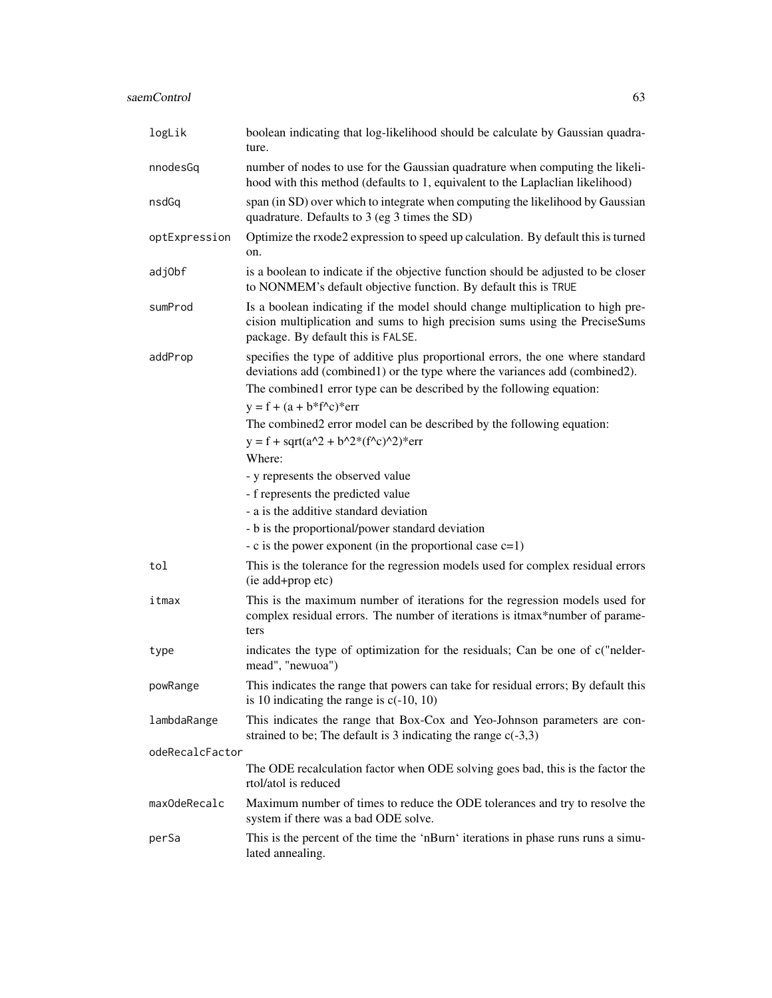| logLik          | boolean indicating that log-likelihood should be calculate by Gaussian quadra-<br>ture.                                                                                                                                                                                 |
|-----------------|-------------------------------------------------------------------------------------------------------------------------------------------------------------------------------------------------------------------------------------------------------------------------|
| nnodesGq        | number of nodes to use for the Gaussian quadrature when computing the likeli-<br>hood with this method (defaults to 1, equivalent to the Laplaclian likelihood)                                                                                                         |
| nsdGq           | span (in SD) over which to integrate when computing the likelihood by Gaussian<br>quadrature. Defaults to 3 (eg 3 times the SD)                                                                                                                                         |
| optExpression   | Optimize the rxode2 expression to speed up calculation. By default this is turned<br>on.                                                                                                                                                                                |
| adj0bf          | is a boolean to indicate if the objective function should be adjusted to be closer<br>to NONMEM's default objective function. By default this is TRUE                                                                                                                   |
| sumProd         | Is a boolean indicating if the model should change multiplication to high pre-<br>cision multiplication and sums to high precision sums using the PreciseSums<br>package. By default this is FALSE.                                                                     |
| addProp         | specifies the type of additive plus proportional errors, the one where standard<br>deviations add (combined1) or the type where the variances add (combined2).<br>The combined1 error type can be described by the following equation:<br>$y = f + (a + b * f^c)^*$ err |
|                 | The combined2 error model can be described by the following equation:                                                                                                                                                                                                   |
|                 | $y = f + sqrt(a^2 + b^2*(f^2c)^2)*err$<br>Where:                                                                                                                                                                                                                        |
|                 | - y represents the observed value                                                                                                                                                                                                                                       |
|                 | - f represents the predicted value                                                                                                                                                                                                                                      |
|                 | - a is the additive standard deviation                                                                                                                                                                                                                                  |
|                 | - b is the proportional/power standard deviation                                                                                                                                                                                                                        |
|                 | - c is the power exponent (in the proportional case $c=1$ )                                                                                                                                                                                                             |
| tol             | This is the tolerance for the regression models used for complex residual errors<br>(ie add+prop etc)                                                                                                                                                                   |
| itmax           | This is the maximum number of iterations for the regression models used for<br>complex residual errors. The number of iterations is itmax*number of parame-<br>ters                                                                                                     |
| type            | indicates the type of optimization for the residuals; Can be one of c("nelder-<br>mead", "newuoa")                                                                                                                                                                      |
| powRange        | This indicates the range that powers can take for residual errors; By default this<br>is 10 indicating the range is $c(-10, 10)$                                                                                                                                        |
| lambdaRange     | This indicates the range that Box-Cox and Yeo-Johnson parameters are con-<br>strained to be; The default is 3 indicating the range $c(-3,3)$                                                                                                                            |
| odeRecalcFactor |                                                                                                                                                                                                                                                                         |
|                 | The ODE recalculation factor when ODE solving goes bad, this is the factor the<br>rtol/atol is reduced                                                                                                                                                                  |
| maxOdeRecalc    | Maximum number of times to reduce the ODE tolerances and try to resolve the<br>system if there was a bad ODE solve.                                                                                                                                                     |
| perSa           | This is the percent of the time the 'nBurn' iterations in phase runs runs a simu-<br>lated annealing.                                                                                                                                                                   |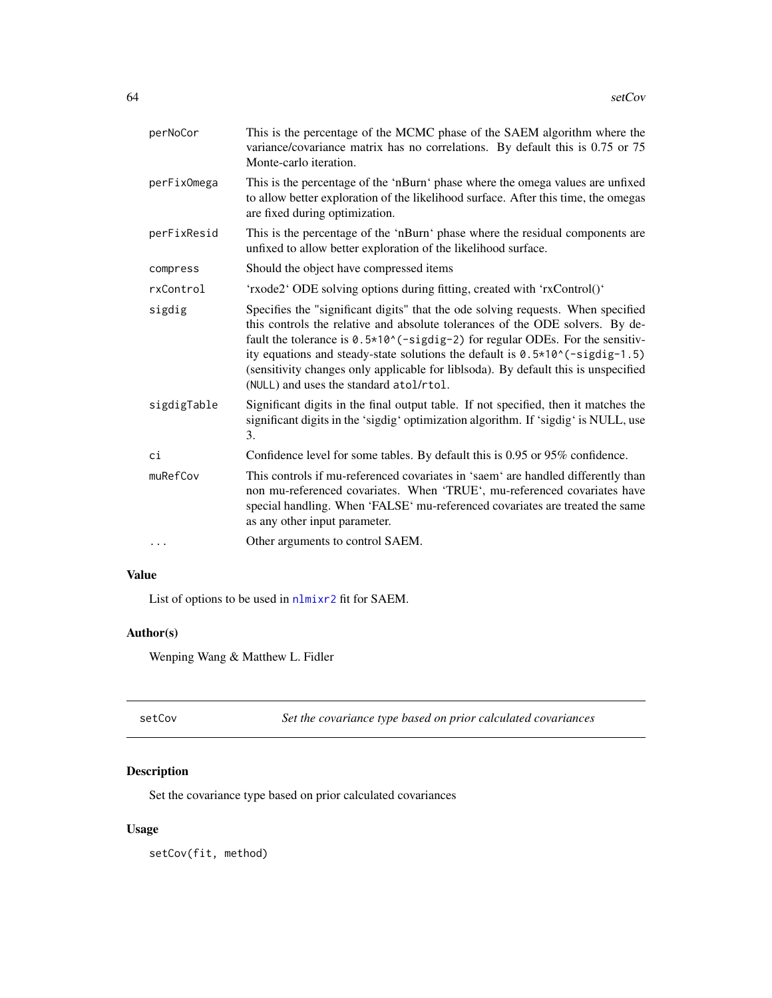<span id="page-63-0"></span>

| This is the percentage of the MCMC phase of the SAEM algorithm where the<br>variance/covariance matrix has no correlations. By default this is 0.75 or 75<br>Monte-carlo iteration.                                                                                                                                                                                                                                                                                |
|--------------------------------------------------------------------------------------------------------------------------------------------------------------------------------------------------------------------------------------------------------------------------------------------------------------------------------------------------------------------------------------------------------------------------------------------------------------------|
| This is the percentage of the 'nBurn' phase where the omega values are unfixed<br>to allow better exploration of the likelihood surface. After this time, the omegas<br>are fixed during optimization.                                                                                                                                                                                                                                                             |
| This is the percentage of the 'nBurn' phase where the residual components are<br>unfixed to allow better exploration of the likelihood surface.                                                                                                                                                                                                                                                                                                                    |
| Should the object have compressed items                                                                                                                                                                                                                                                                                                                                                                                                                            |
| 'rxode2' ODE solving options during fitting, created with 'rxControl()'                                                                                                                                                                                                                                                                                                                                                                                            |
| Specifies the "significant digits" that the ode solving requests. When specified<br>this controls the relative and absolute tolerances of the ODE solvers. By de-<br>fault the tolerance is 0.5*10^(-sigdig-2) for regular ODEs. For the sensitiv-<br>ity equations and steady-state solutions the default is $0.5*10*(-signal5)$<br>(sensitivity changes only applicable for liblsoda). By default this is unspecified<br>(NULL) and uses the standard atol/rtol. |
| Significant digits in the final output table. If not specified, then it matches the<br>significant digits in the 'sigdig' optimization algorithm. If 'sigdig' is NULL, use<br>3.                                                                                                                                                                                                                                                                                   |
| Confidence level for some tables. By default this is 0.95 or 95% confidence.                                                                                                                                                                                                                                                                                                                                                                                       |
| This controls if mu-referenced covariates in 'saem' are handled differently than<br>non mu-referenced covariates. When 'TRUE', mu-referenced covariates have<br>special handling. When 'FALSE' mu-referenced covariates are treated the same<br>as any other input parameter.                                                                                                                                                                                      |
| Other arguments to control SAEM.                                                                                                                                                                                                                                                                                                                                                                                                                                   |
|                                                                                                                                                                                                                                                                                                                                                                                                                                                                    |

#### Value

List of options to be used in [nlmixr2](#page-21-0) fit for SAEM.

# Author(s)

Wenping Wang & Matthew L. Fidler

setCov *Set the covariance type based on prior calculated covariances*

#### Description

Set the covariance type based on prior calculated covariances

#### Usage

setCov(fit, method)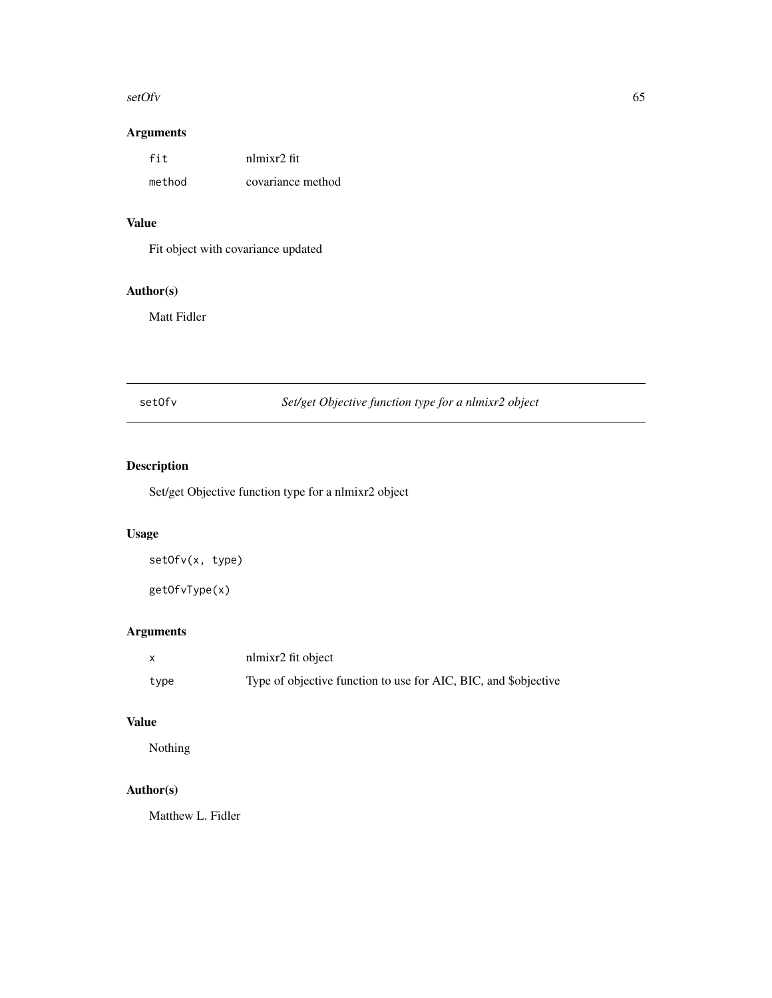#### <span id="page-64-0"></span>setOfv 65

#### Arguments

| fit    | nlmixr2 fit       |
|--------|-------------------|
| method | covariance method |

# Value

Fit object with covariance updated

### Author(s)

Matt Fidler

setOfv *Set/get Objective function type for a nlmixr2 object*

# Description

Set/get Objective function type for a nlmixr2 object

# Usage

setOfv(x, type)

getOfvType(x)

### Arguments

|      | nlmixr2 fit object                                              |
|------|-----------------------------------------------------------------|
| type | Type of objective function to use for AIC, BIC, and \$objective |

#### Value

Nothing

### Author(s)

Matthew L. Fidler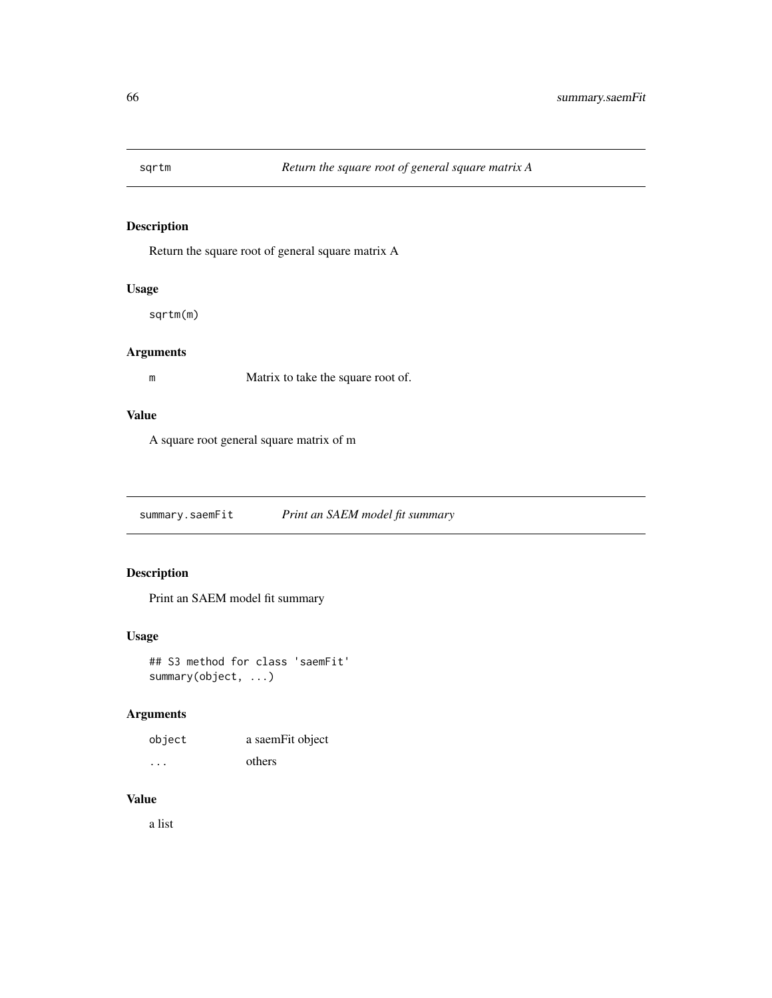<span id="page-65-0"></span>

Return the square root of general square matrix A

#### Usage

sqrtm(m)

#### Arguments

m Matrix to take the square root of.

#### Value

A square root general square matrix of m

summary.saemFit *Print an SAEM model fit summary*

#### Description

Print an SAEM model fit summary

#### Usage

## S3 method for class 'saemFit' summary(object, ...)

#### Arguments

| object   | a saemFit object |
|----------|------------------|
| $\cdots$ | others           |

#### Value

a list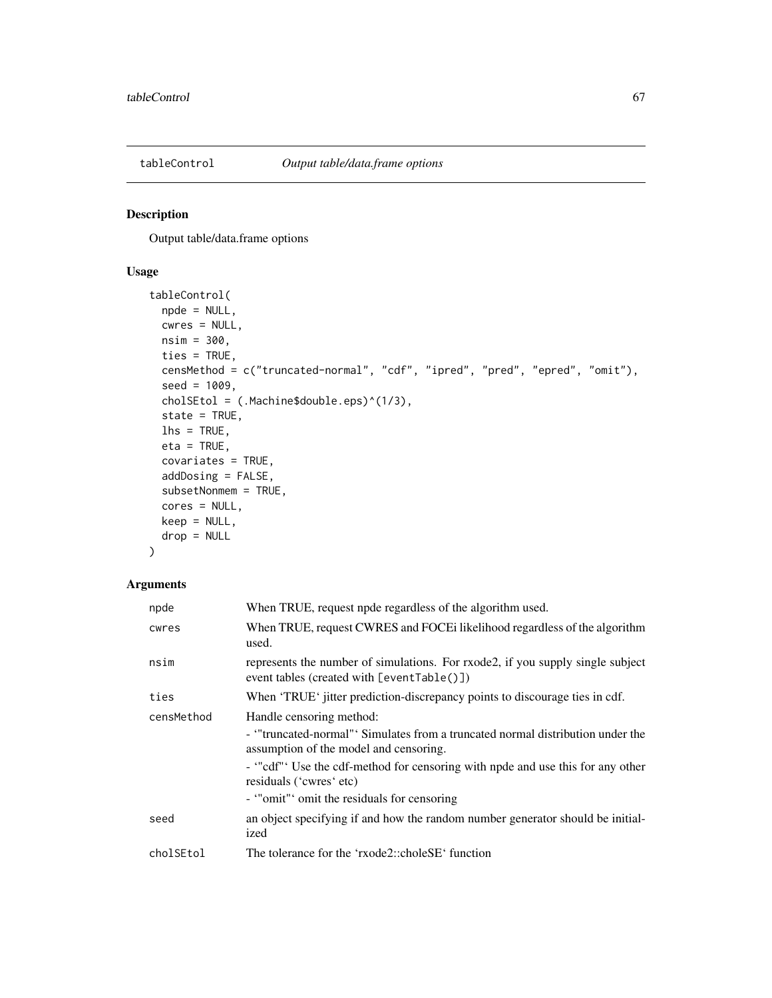<span id="page-66-0"></span>

Output table/data.frame options

#### Usage

```
tableControl(
 npde = NULL,
 cwres = NULL,
 nsim = 300,
 ties = TRUE,
 censMethod = c("truncated-normal", "cdf", "ipred", "pred", "epred", "omit"),
  seed = 1009,cholSEtol = (.Machine$double.eps)^(1/3),
 state = TRUE,
 \ln s = \text{TRUE},
 eta = TRUE,
 covariates = TRUE,
 addDosing = FALSE,
  subsetNonmem = TRUE,
 cores = NULL,
 keep = NULL,
 drop = NULL
)
```

| npde       | When TRUE, request npde regardless of the algorithm used.                                                                    |
|------------|------------------------------------------------------------------------------------------------------------------------------|
| cwres      | When TRUE, request CWRES and FOCE iikelihood regardless of the algorithm<br>used.                                            |
| nsim       | represents the number of simulations. For rxode2, if you supply single subject<br>event tables (created with [eventTable()]) |
| ties       | When 'TRUE' jitter prediction-discrepancy points to discourage ties in cdf.                                                  |
| censMethod | Handle censoring method:                                                                                                     |
|            | - "truncated-normal" Simulates from a truncated normal distribution under the<br>assumption of the model and censoring.      |
|            | - "cdf" Use the cdf-method for censoring with npde and use this for any other<br>residuals ('cwres' etc)                     |
|            | - "omit" omit the residuals for censoring                                                                                    |
| seed       | an object specifying if and how the random number generator should be initial-<br>ized                                       |
| cholSEtol  | The tolerance for the 'rxode2::choleSE' function                                                                             |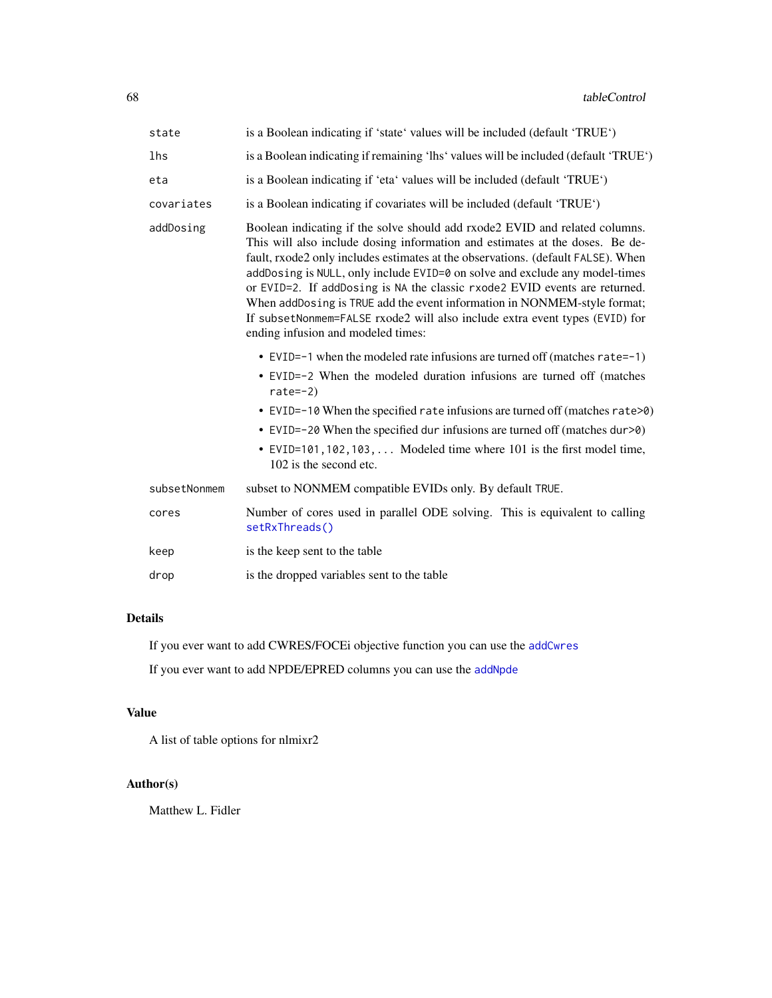<span id="page-67-0"></span>

| state        | is a Boolean indicating if 'state' values will be included (default 'TRUE')                                                                                                                                                                                                                                                                                                                                                                                                                                                                                                                                   |
|--------------|---------------------------------------------------------------------------------------------------------------------------------------------------------------------------------------------------------------------------------------------------------------------------------------------------------------------------------------------------------------------------------------------------------------------------------------------------------------------------------------------------------------------------------------------------------------------------------------------------------------|
| lhs          | is a Boolean indicating if remaining 'lhs' values will be included (default 'TRUE')                                                                                                                                                                                                                                                                                                                                                                                                                                                                                                                           |
| eta          | is a Boolean indicating if 'eta' values will be included (default 'TRUE')                                                                                                                                                                                                                                                                                                                                                                                                                                                                                                                                     |
| covariates   | is a Boolean indicating if covariates will be included (default 'TRUE')                                                                                                                                                                                                                                                                                                                                                                                                                                                                                                                                       |
| addDosing    | Boolean indicating if the solve should add rxode2 EVID and related columns.<br>This will also include dosing information and estimates at the doses. Be de-<br>fault, rxode2 only includes estimates at the observations. (default FALSE). When<br>addDosing is NULL, only include EVID=0 on solve and exclude any model-times<br>or EVID=2. If addDosing is NA the classic rxode2 EVID events are returned.<br>When addDosing is TRUE add the event information in NONMEM-style format;<br>If subsetNonmem=FALSE rxode2 will also include extra event types (EVID) for<br>ending infusion and modeled times: |
|              | • EVID= $-1$ when the modeled rate infusions are turned off (matches rate= $-1$ )<br>• EVID=-2 When the modeled duration infusions are turned off (matches<br>rate= $-2$ )<br>• EVID=-10 When the specified rate infusions are turned off (matches rate>0)<br>• EVID=-20 When the specified dur infusions are turned off (matches dur>0)<br>• EVID=101, 102, 103,  Modeled time where 101 is the first model time,<br>102 is the second etc.                                                                                                                                                                  |
| subsetNonmem | subset to NONMEM compatible EVIDs only. By default TRUE.                                                                                                                                                                                                                                                                                                                                                                                                                                                                                                                                                      |
| cores        | Number of cores used in parallel ODE solving. This is equivalent to calling<br>setRxThreads()                                                                                                                                                                                                                                                                                                                                                                                                                                                                                                                 |
| keep         | is the keep sent to the table                                                                                                                                                                                                                                                                                                                                                                                                                                                                                                                                                                                 |
| drop         | is the dropped variables sent to the table                                                                                                                                                                                                                                                                                                                                                                                                                                                                                                                                                                    |

### Details

If you ever want to add CWRES/FOCEi objective function you can use the [addCwres](#page-2-0)

If you ever want to add NPDE/EPRED columns you can use the [addNpde](#page-4-0)

### Value

A list of table options for nlmixr2

#### Author(s)

Matthew L. Fidler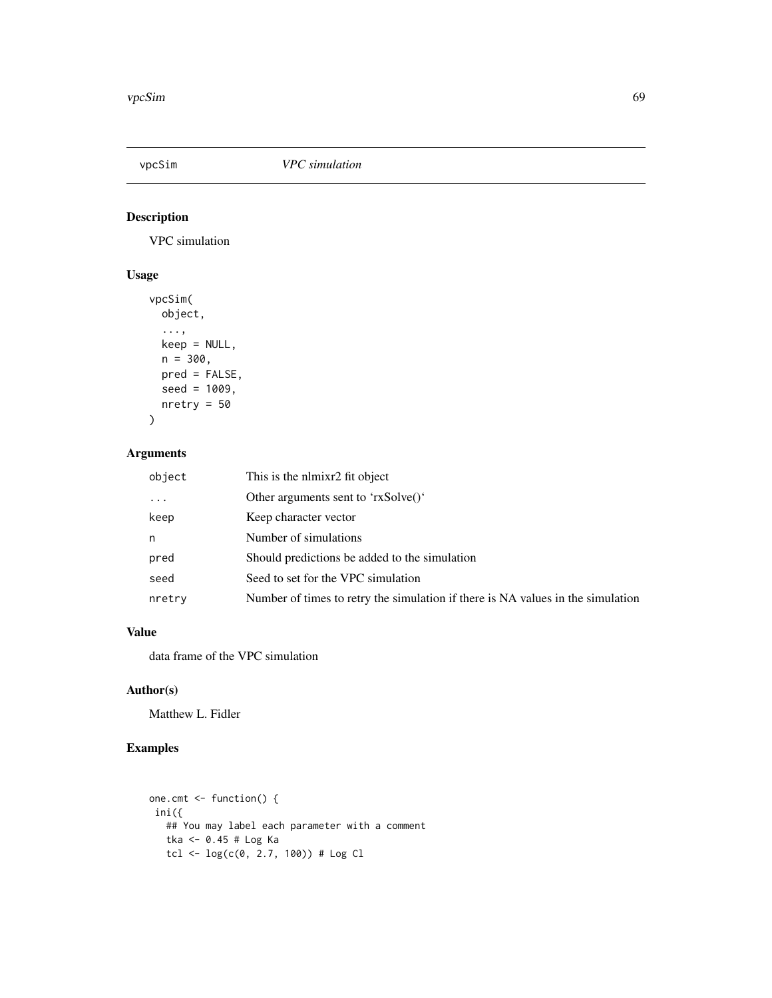<span id="page-68-0"></span>

VPC simulation

#### Usage

```
vpcSim(
 object,
  ...,
 keep = NULL,
 n = 300,pred = FALSE,
 seed = 1009,nretry = 50
)
```
#### Arguments

| object   | This is the nlmixr2 fit object                                                  |
|----------|---------------------------------------------------------------------------------|
| $\ddots$ | Other arguments sent to 'rxSolve()'                                             |
| keep     | Keep character vector                                                           |
| n        | Number of simulations                                                           |
| pred     | Should predictions be added to the simulation                                   |
| seed     | Seed to set for the VPC simulation                                              |
| nretry   | Number of times to retry the simulation if there is NA values in the simulation |

#### Value

data frame of the VPC simulation

#### Author(s)

Matthew L. Fidler

# Examples

```
one.cmt <- function() {
 ini({
   ## You may label each parameter with a comment
   tka <- 0.45 # Log Ka
   tcl <- log(c(\emptyset, 2.7, 100)) # Log Cl
```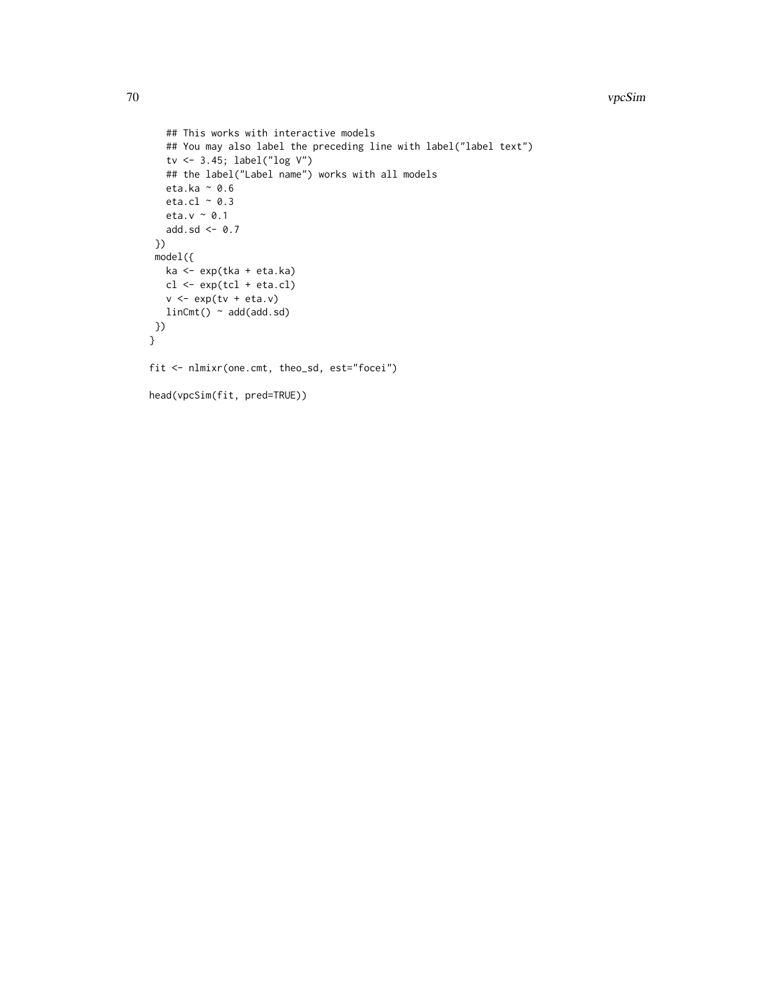```
## This works with interactive models
  ## You may also label the preceding line with label("label text")
  tv <- 3.45; label("log V")
  ## the label("Label name") works with all models
  eta.ka ~ 0.6
  eta.cl \sim 0.3
  eta.v ~ 0.1
  add.sd <- 0.7
 })
 model({
  ka <- exp(tka + eta.ka)
  cl <- exp(tcl + eta.cl)
  v \leq -\exp(tv + \epsilon t a.v)linCmt() ~ ~ add(add.sd)})
}
fit <- nlmixr(one.cmt, theo_sd, est="focei")
head(vpcSim(fit, pred=TRUE))
```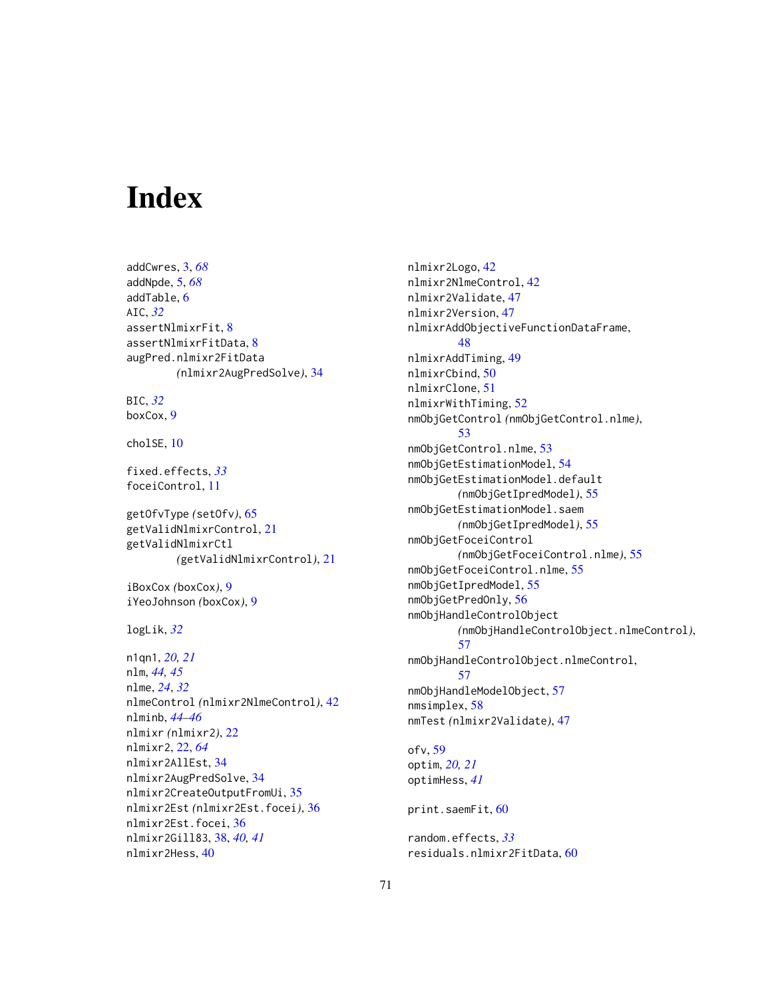# **Index**

addCwres, [3,](#page-2-1) *[68](#page-67-0)* addNpde, [5,](#page-4-1) *[68](#page-67-0)* addTable, [6](#page-5-0) AIC, *[32](#page-31-0)* assertNlmixrFit, [8](#page-7-0) assertNlmixrFitData, [8](#page-7-0) augPred.nlmixr2FitData *(*nlmixr2AugPredSolve*)*, [34](#page-33-0) BIC, *[32](#page-31-0)* boxCox, [9](#page-8-0) cholSE, [10](#page-9-0) fixed.effects, *[33](#page-32-0)* foceiControl, [11](#page-10-0) getOfvType *(*setOfv*)*, [65](#page-64-0) getValidNlmixrControl, [21](#page-20-0) getValidNlmixrCtl *(*getValidNlmixrControl*)*, [21](#page-20-0) iBoxCox *(*boxCox*)*, [9](#page-8-0) iYeoJohnson *(*boxCox*)*, [9](#page-8-0) logLik, *[32](#page-31-0)* n1qn1, *[20,](#page-19-0) [21](#page-20-0)* nlm, *[44,](#page-43-0) [45](#page-44-0)* nlme, *[24](#page-23-0)*, *[32](#page-31-0)* nlmeControl *(*nlmixr2NlmeControl*)*, [42](#page-41-0) nlminb, *[44](#page-43-0)[–46](#page-45-0)* nlmixr *(*nlmixr2*)*, [22](#page-21-1) nlmixr2, [22,](#page-21-1) *[64](#page-63-0)* nlmixr2AllEst, [34](#page-33-0) nlmixr2AugPredSolve, [34](#page-33-0) nlmixr2CreateOutputFromUi, [35](#page-34-0) nlmixr2Est *(*nlmixr2Est.focei*)*, [36](#page-35-0) nlmixr2Est.focei, [36](#page-35-0) nlmixr2Gill83, [38,](#page-37-1) *[40,](#page-39-0) [41](#page-40-0)* nlmixr2Hess, [40](#page-39-0)

nlmixr2Logo, [42](#page-41-0) nlmixr2NlmeControl, [42](#page-41-0) nlmixr2Validate, [47](#page-46-0) nlmixr2Version, [47](#page-46-0) nlmixrAddObjectiveFunctionDataFrame, [48](#page-47-0) nlmixrAddTiming, [49](#page-48-0) nlmixrCbind, [50](#page-49-0) nlmixrClone, [51](#page-50-0) nlmixrWithTiming, [52](#page-51-0) nmObjGetControl *(*nmObjGetControl.nlme*)*, [53](#page-52-0) nmObjGetControl.nlme, [53](#page-52-0) nmObjGetEstimationModel, [54](#page-53-0) nmObjGetEstimationModel.default *(*nmObjGetIpredModel*)*, [55](#page-54-0) nmObjGetEstimationModel.saem *(*nmObjGetIpredModel*)*, [55](#page-54-0) nmObjGetFoceiControl *(*nmObjGetFoceiControl.nlme*)*, [55](#page-54-0) nmObjGetFoceiControl.nlme, [55](#page-54-0) nmObjGetIpredModel, [55](#page-54-0) nmObjGetPredOnly, [56](#page-55-0) nmObjHandleControlObject *(*nmObjHandleControlObject.nlmeControl*)*, [57](#page-56-0) nmObjHandleControlObject.nlmeControl, [57](#page-56-0) nmObjHandleModelObject, [57](#page-56-0) nmsimplex, [58](#page-57-0) nmTest *(*nlmixr2Validate*)*, [47](#page-46-0) ofv, [59](#page-58-0) optim, *[20,](#page-19-0) [21](#page-20-0)* optimHess, *[41](#page-40-0)* print.saemFit, [60](#page-59-0)

random.effects, *[33](#page-32-0)* residuals.nlmixr2FitData, [60](#page-59-0)